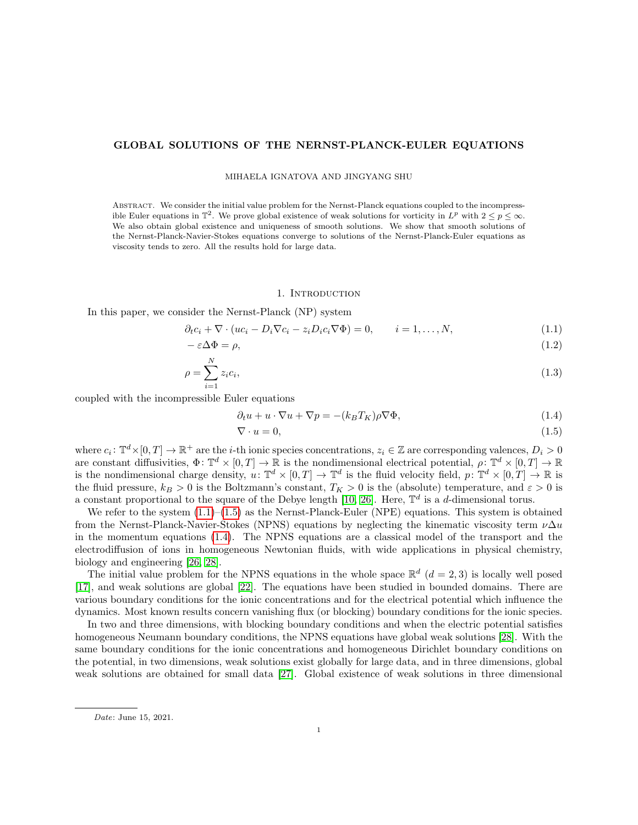## GLOBAL SOLUTIONS OF THE NERNST-PLANCK-EULER EQUATIONS

MIHAELA IGNATOVA AND JINGYANG SHU

Abstract. We consider the initial value problem for the Nernst-Planck equations coupled to the incompressible Euler equations in  $\mathbb{T}^2$ . We prove global existence of weak solutions for vorticity in  $L^p$  with  $2 \le p \le \infty$ . We also obtain global existence and uniqueness of smooth solutions. We show that smooth solutions of the Nernst-Planck-Navier-Stokes equations converge to solutions of the Nernst-Planck-Euler equations as viscosity tends to zero. All the results hold for large data.

#### <span id="page-0-3"></span><span id="page-0-2"></span><span id="page-0-1"></span><span id="page-0-0"></span>1. INTRODUCTION

In this paper, we consider the Nernst-Planck (NP) system

$$
\partial_t c_i + \nabla \cdot (uc_i - D_i \nabla c_i - z_i D_i c_i \nabla \Phi) = 0, \qquad i = 1, \dots, N,
$$
\n(1.1)

$$
-\varepsilon \Delta \Phi = \rho,\tag{1.2}
$$

$$
\rho = \sum_{i=1}^{N} z_i c_i,\tag{1.3}
$$

coupled with the incompressible Euler equations

$$
\partial_t u + u \cdot \nabla u + \nabla p = -(k_B T_K) \rho \nabla \Phi,
$$
\n(1.4)

$$
\nabla \cdot u = 0,\tag{1.5}
$$

where  $c_i: \mathbb{T}^d \times [0,T] \to \mathbb{R}^+$  are the *i*-th ionic species concentrations,  $z_i \in \mathbb{Z}$  are corresponding valences,  $D_i > 0$ are constant diffusivities,  $\Phi: \mathbb{T}^d \times [0,T] \to \mathbb{R}$  is the nondimensional electrical potential,  $\rho: \mathbb{T}^d \times [0,T] \to \mathbb{R}$ is the nondimensional charge density,  $u: \mathbb{T}^d \times [0,T] \to \mathbb{T}^d$  is the fluid velocity field,  $p: \mathbb{T}^d \times [0,T] \to \mathbb{R}$  is the fluid pressure,  $k_B > 0$  is the Boltzmann's constant,  $T_K > 0$  is the (absolute) temperature, and  $\varepsilon > 0$  is a constant proportional to the square of the Debye length [\[10,](#page-35-0) [26\]](#page-35-1). Here,  $\mathbb{T}^d$  is a d-dimensional torus.

We refer to the system  $(1.1)$ – $(1.5)$  as the Nernst-Planck-Euler (NPE) equations. This system is obtained from the Nernst-Planck-Navier-Stokes (NPNS) equations by neglecting the kinematic viscosity term  $\nu\Delta u$ in the momentum equations [\(1.4\)](#page-0-2). The NPNS equations are a classical model of the transport and the electrodiffusion of ions in homogeneous Newtonian fluids, with wide applications in physical chemistry, biology and engineering [\[26,](#page-35-1) [28\]](#page-35-2).

The initial value problem for the NPNS equations in the whole space  $\mathbb{R}^d$  ( $d=2,3$ ) is locally well posed [\[17\]](#page-35-3), and weak solutions are global [\[22\]](#page-35-4). The equations have been studied in bounded domains. There are various boundary conditions for the ionic concentrations and for the electrical potential which influence the dynamics. Most known results concern vanishing flux (or blocking) boundary conditions for the ionic species.

In two and three dimensions, with blocking boundary conditions and when the electric potential satisfies homogeneous Neumann boundary conditions, the NPNS equations have global weak solutions [\[28\]](#page-35-2). With the same boundary conditions for the ionic concentrations and homogeneous Dirichlet boundary conditions on the potential, in two dimensions, weak solutions exist globally for large data, and in three dimensions, global weak solutions are obtained for small data [\[27\]](#page-35-5). Global existence of weak solutions in three dimensional

Date: June 15, 2021.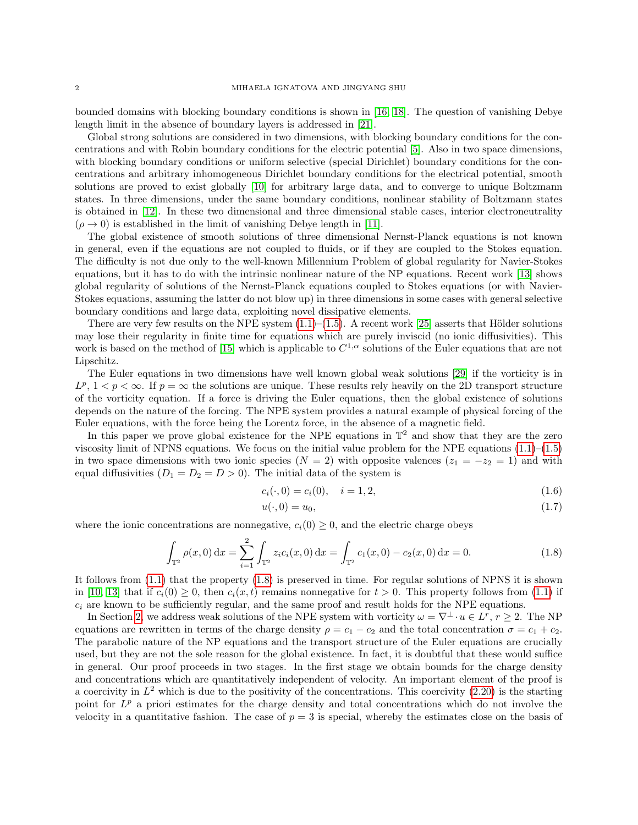bounded domains with blocking boundary conditions is shown in [\[16,](#page-35-6) [18\]](#page-35-7). The question of vanishing Debye length limit in the absence of boundary layers is addressed in [\[21\]](#page-35-8).

Global strong solutions are considered in two dimensions, with blocking boundary conditions for the concentrations and with Robin boundary conditions for the electric potential [\[5\]](#page-34-0). Also in two space dimensions, with blocking boundary conditions or uniform selective (special Dirichlet) boundary conditions for the concentrations and arbitrary inhomogeneous Dirichlet boundary conditions for the electrical potential, smooth solutions are proved to exist globally [\[10\]](#page-35-0) for arbitrary large data, and to converge to unique Boltzmann states. In three dimensions, under the same boundary conditions, nonlinear stability of Boltzmann states is obtained in [\[12\]](#page-35-9). In these two dimensional and three dimensional stable cases, interior electroneutrality  $(\rho \rightarrow 0)$  is established in the limit of vanishing Debye length in [\[11\]](#page-35-10).

The global existence of smooth solutions of three dimensional Nernst-Planck equations is not known in general, even if the equations are not coupled to fluids, or if they are coupled to the Stokes equation. The difficulty is not due only to the well-known Millennium Problem of global regularity for Navier-Stokes equations, but it has to do with the intrinsic nonlinear nature of the NP equations. Recent work [\[13\]](#page-35-11) shows global regularity of solutions of the Nernst-Planck equations coupled to Stokes equations (or with Navier-Stokes equations, assuming the latter do not blow up) in three dimensions in some cases with general selective boundary conditions and large data, exploiting novel dissipative elements.

There are very few results on the NPE system  $(1.1)–(1.5)$  $(1.1)–(1.5)$ . A recent work [\[25\]](#page-35-12) asserts that Hölder solutions may lose their regularity in finite time for equations which are purely inviscid (no ionic diffusivities). This work is based on the method of [\[15\]](#page-35-13) which is applicable to  $C^{1,\alpha}$  solutions of the Euler equations that are not Lipschitz.

The Euler equations in two dimensions have well known global weak solutions [\[29\]](#page-35-14) if the vorticity is in  $L^p$ ,  $1 < p < \infty$ . If  $p = \infty$  the solutions are unique. These results rely heavily on the 2D transport structure of the vorticity equation. If a force is driving the Euler equations, then the global existence of solutions depends on the nature of the forcing. The NPE system provides a natural example of physical forcing of the Euler equations, with the force being the Lorentz force, in the absence of a magnetic field.

In this paper we prove global existence for the NPE equations in  $\mathbb{T}^2$  and show that they are the zero viscosity limit of NPNS equations. We focus on the initial value problem for the NPE equations  $(1.1)$ – $(1.5)$ in two space dimensions with two ionic species ( $N = 2$ ) with opposite valences ( $z_1 = -z_2 = 1$ ) and with equal diffusivities  $(D_1 = D_2 = D > 0)$ . The initial data of the system is

$$
c_i(\cdot, 0) = c_i(0), \quad i = 1, 2,
$$
\n(1.6)

<span id="page-1-2"></span><span id="page-1-1"></span><span id="page-1-0"></span>
$$
u(\cdot,0) = u_0,\tag{1.7}
$$

where the ionic concentrations are nonnegative,  $c_i(0) \geq 0$ , and the electric charge obeys

$$
\int_{\mathbb{T}^2} \rho(x,0) \,dx = \sum_{i=1}^2 \int_{\mathbb{T}^2} z_i c_i(x,0) \,dx = \int_{\mathbb{T}^2} c_1(x,0) - c_2(x,0) \,dx = 0.
$$
\n(1.8)

It follows from [\(1.1\)](#page-0-0) that the property [\(1.8\)](#page-1-0) is preserved in time. For regular solutions of NPNS it is shown in [\[10,](#page-35-0) [13\]](#page-35-11) that if  $c_i(0) \geq 0$ , then  $c_i(x, t)$  remains nonnegative for  $t > 0$ . This property follows from [\(1.1\)](#page-0-0) if  $c_i$  are known to be sufficiently regular, and the same proof and result holds for the NPE equations.

In Section [2,](#page-2-0) we address weak solutions of the NPE system with vorticity  $\omega = \nabla^{\perp} \cdot u \in L^r$ ,  $r \geq 2$ . The NP equations are rewritten in terms of the charge density  $\rho = c_1 - c_2$  and the total concentration  $\sigma = c_1 + c_2$ . The parabolic nature of the NP equations and the transport structure of the Euler equations are crucially used, but they are not the sole reason for the global existence. In fact, it is doubtful that these would suffice in general. Our proof proceeds in two stages. In the first stage we obtain bounds for the charge density and concentrations which are quantitatively independent of velocity. An important element of the proof is a coercivity in  $L^2$  which is due to the positivity of the concentrations. This coercivity  $(2.20)$  is the starting point for  $L^p$  a priori estimates for the charge density and total concentrations which do not involve the velocity in a quantitative fashion. The case of  $p = 3$  is special, whereby the estimates close on the basis of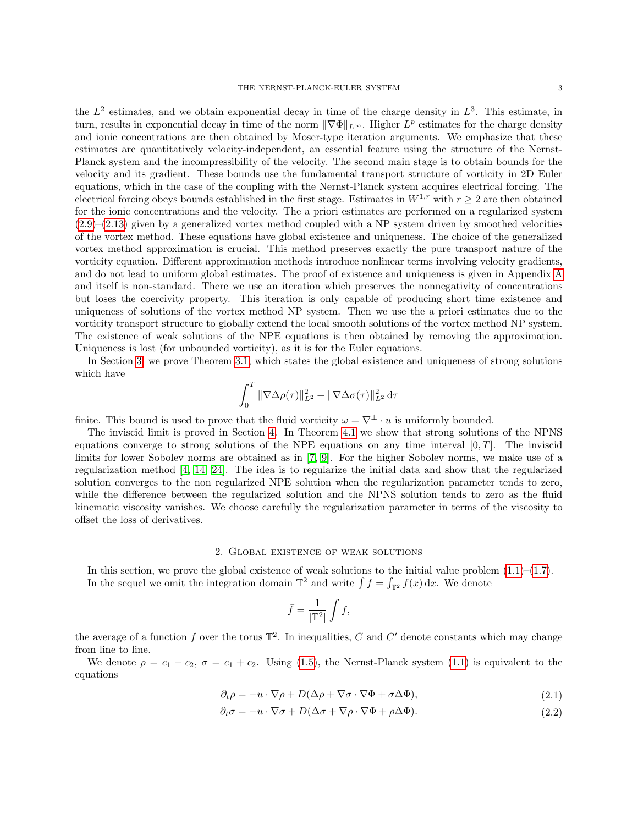the  $L^2$  estimates, and we obtain exponential decay in time of the charge density in  $L^3$ . This estimate, in turn, results in exponential decay in time of the norm  $\|\nabla\Phi\|_{L^{\infty}}$ . Higher  $L^p$  estimates for the charge density and ionic concentrations are then obtained by Moser-type iteration arguments. We emphasize that these estimates are quantitatively velocity-independent, an essential feature using the structure of the Nernst-Planck system and the incompressibility of the velocity. The second main stage is to obtain bounds for the velocity and its gradient. These bounds use the fundamental transport structure of vorticity in 2D Euler equations, which in the case of the coupling with the Nernst-Planck system acquires electrical forcing. The electrical forcing obeys bounds established in the first stage. Estimates in  $W^{1,r}$  with  $r \geq 2$  are then obtained for the ionic concentrations and the velocity. The a priori estimates are performed on a regularized system  $(2.9)$ – $(2.13)$  given by a generalized vortex method coupled with a NP system driven by smoothed velocities of the vortex method. These equations have global existence and uniqueness. The choice of the generalized vortex method approximation is crucial. This method preserves exactly the pure transport nature of the vorticity equation. Different approximation methods introduce nonlinear terms involving velocity gradients, and do not lead to uniform global estimates. The proof of existence and uniqueness is given in Appendix [A](#page-30-0) and itself is non-standard. There we use an iteration which preserves the nonnegativity of concentrations but loses the coercivity property. This iteration is only capable of producing short time existence and uniqueness of solutions of the vortex method NP system. Then we use the a priori estimates due to the vorticity transport structure to globally extend the local smooth solutions of the vortex method NP system. The existence of weak solutions of the NPE equations is then obtained by removing the approximation. Uniqueness is lost (for unbounded vorticity), as it is for the Euler equations.

In Section [3,](#page-11-0) we prove Theorem [3.1,](#page-11-1) which states the global existence and uniqueness of strong solutions which have

$$
\int_0^T \|\nabla \Delta \rho(\tau)\|_{L^2}^2 + \|\nabla \Delta \sigma(\tau)\|_{L^2}^2 d\tau
$$

finite. This bound is used to prove that the fluid vorticity  $\omega = \nabla^{\perp} \cdot u$  is uniformly bounded.

The inviscid limit is proved in Section [4.](#page-18-0) In Theorem [4.1](#page-19-0) we show that strong solutions of the NPNS equations converge to strong solutions of the NPE equations on any time interval  $[0, T]$ . The inviscid limits for lower Sobolev norms are obtained as in [\[7,](#page-34-1) [9\]](#page-35-15). For the higher Sobolev norms, we make use of a regularization method [\[4,](#page-34-2) [14,](#page-35-16) [24\]](#page-35-17). The idea is to regularize the initial data and show that the regularized solution converges to the non regularized NPE solution when the regularization parameter tends to zero, while the difference between the regularized solution and the NPNS solution tends to zero as the fluid kinematic viscosity vanishes. We choose carefully the regularization parameter in terms of the viscosity to offset the loss of derivatives.

## 2. Global existence of weak solutions

<span id="page-2-0"></span>In this section, we prove the global existence of weak solutions to the initial value problem  $(1.1)$ – $(1.7)$ . In the sequel we omit the integration domain  $\mathbb{T}^2$  and write  $\int f = \int_{\mathbb{T}^2} f(x) dx$ . We denote

<span id="page-2-2"></span><span id="page-2-1"></span>
$$
\bar{f} = \frac{1}{|\mathbb{T}^2|} \int f,
$$

the average of a function f over the torus  $\mathbb{T}^2$ . In inequalities, C and C' denote constants which may change from line to line.

We denote  $\rho = c_1 - c_2$ ,  $\sigma = c_1 + c_2$ . Using [\(1.5\)](#page-0-1), the Nernst-Planck system [\(1.1\)](#page-0-0) is equivalent to the equations

$$
\partial_t \rho = -u \cdot \nabla \rho + D(\Delta \rho + \nabla \sigma \cdot \nabla \Phi + \sigma \Delta \Phi), \tag{2.1}
$$

$$
\partial_t \sigma = -u \cdot \nabla \sigma + D(\Delta \sigma + \nabla \rho \cdot \nabla \Phi + \rho \Delta \Phi). \tag{2.2}
$$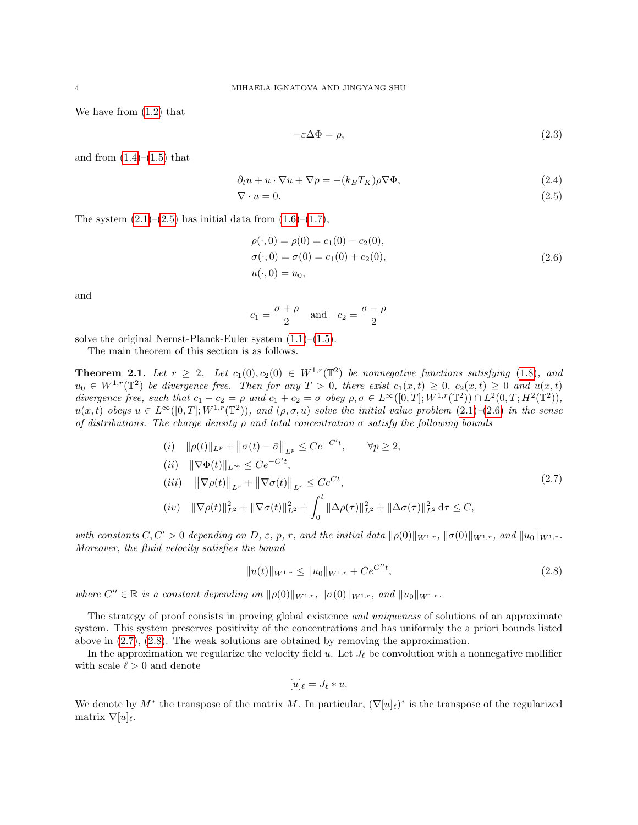We have from [\(1.2\)](#page-0-3) that

<span id="page-3-6"></span><span id="page-3-4"></span><span id="page-3-1"></span><span id="page-3-0"></span>
$$
-\varepsilon \Delta \Phi = \rho,\tag{2.3}
$$

and from  $(1.4)$ – $(1.5)$  that

$$
\partial_t u + u \cdot \nabla u + \nabla p = -(k_B T_K) \rho \nabla \Phi,
$$
\n(2.4)

$$
\nabla \cdot u = 0. \tag{2.5}
$$

The system  $(2.1)$ – $(2.5)$  has initial data from  $(1.6)$ – $(1.7)$ ,

$$
\rho(\cdot,0) = \rho(0) = c_1(0) - c_2(0), \n\sigma(\cdot,0) = \sigma(0) = c_1(0) + c_2(0), \nu(\cdot,0) = u_0,
$$
\n(2.6)

and

$$
c_1 = \frac{\sigma + \rho}{2}
$$
 and  $c_2 = \frac{\sigma - \rho}{2}$ 

solve the original Nernst-Planck-Euler system  $(1.1)$ – $(1.5)$ .

The main theorem of this section is as follows.

<span id="page-3-5"></span>**Theorem 2.1.** Let  $r \geq 2$ . Let  $c_1(0), c_2(0) \in W^{1,r}(\mathbb{T}^2)$  be nonnegative functions satisfying [\(1.8\)](#page-1-0), and  $u_0 \in W^{1,r}(\mathbb{T}^2)$  be divergence free. Then for any  $T > 0$ , there exist  $c_1(x,t) \geq 0$ ,  $c_2(x,t) \geq 0$  and  $u(x,t)$ divergence free, such that  $c_1 - c_2 = \rho$  and  $c_1 + c_2 = \sigma$  obey  $\rho, \sigma \in L^{\infty}([0, T]; W^{1, r}(\mathbb{T}^2)) \cap L^2(0, T; H^2(\mathbb{T}^2)),$  $u(x,t)$  obeys  $u \in L^{\infty}([0,T];W^{1,r}(\mathbb{T}^2))$ , and  $(\rho,\sigma,u)$  solve the initial value problem  $(2.1)$ - $(2.6)$  in the sense of distributions. The charge density  $\rho$  and total concentration  $\sigma$  satisfy the following bounds

$$
(i) \quad \|\rho(t)\|_{L^p} + \|\sigma(t) - \bar{\sigma}\|_{L^p} \le Ce^{-C't}, \qquad \forall p \ge 2,
$$
\n
$$
(ii) \quad \|\nabla \Phi(t)\|_{L^\infty} \le Ce^{-C't},
$$
\n
$$
(iii) \quad \|\nabla \rho(t)\|_{L^r} + \|\nabla \sigma(t)\|_{L^r} \le Ce^{Ct},
$$
\n
$$
(iv) \quad \|\nabla \rho(t)\|_{L^2}^2 + \|\nabla \sigma(t)\|_{L^2}^2 + \int_0^t \|\Delta \rho(\tau)\|_{L^2}^2 + \|\Delta \sigma(\tau)\|_{L^2}^2 \, d\tau \le C,
$$
\n
$$
(2.7)
$$

with constants  $C, C' > 0$  depending on D,  $\varepsilon$ , p, r, and the initial data  $\|\rho(0)\|_{W^{1,r}}$ ,  $\|\sigma(0)\|_{W^{1,r}}$ , and  $\|u_0\|_{W^{1,r}}$ . Moreover, the fluid velocity satisfies the bound

<span id="page-3-2"></span>
$$
||u(t)||_{W^{1,r}} \le ||u_0||_{W^{1,r}} + Ce^{C''t}, \tag{2.8}
$$

where  $C'' \in \mathbb{R}$  is a constant depending on  $\|\rho(0)\|_{W^{1,r}}$ ,  $\|\sigma(0)\|_{W^{1,r}}$ , and  $\|u_0\|_{W^{1,r}}$ .

The strategy of proof consists in proving global existence *and uniqueness* of solutions of an approximate system. This system preserves positivity of the concentrations and has uniformly the a priori bounds listed above in [\(2.7\)](#page-3-2), [\(2.8\)](#page-3-3). The weak solutions are obtained by removing the approximation.

In the approximation we regularize the velocity field u. Let  $J_{\ell}$  be convolution with a nonnegative mollifier with scale  $\ell > 0$  and denote

<span id="page-3-3"></span>
$$
[u]_{\ell}=J_{\ell}\ast u.
$$

We denote by  $M^*$  the transpose of the matrix M. In particular,  $(\nabla[u]_l)^*$  is the transpose of the regularized matrix  $\nabla[u]_{\ell}$ .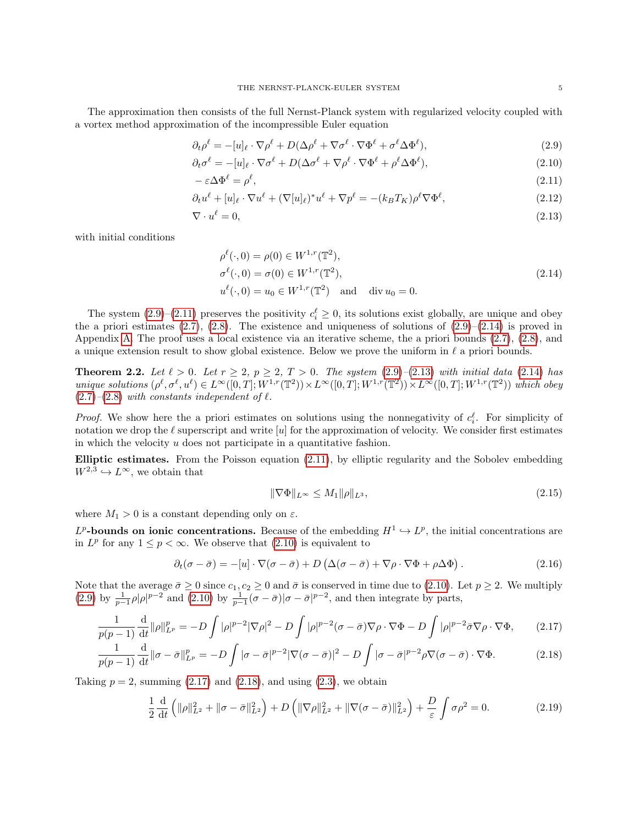The approximation then consists of the full Nernst-Planck system with regularized velocity coupled with a vortex method approximation of the incompressible Euler equation

$$
\partial_t \rho^\ell = -[u]_\ell \cdot \nabla \rho^\ell + D(\Delta \rho^\ell + \nabla \sigma^\ell \cdot \nabla \Phi^\ell + \sigma^\ell \Delta \Phi^\ell),\tag{2.9}
$$

$$
\partial_t \sigma^\ell = -[u]_\ell \cdot \nabla \sigma^\ell + D(\Delta \sigma^\ell + \nabla \rho^\ell \cdot \nabla \Phi^\ell + \rho^\ell \Delta \Phi^\ell),\tag{2.10}
$$

$$
-\varepsilon \Delta \Phi^{\ell} = \rho^{\ell},\tag{2.11}
$$

$$
\partial_t u^{\ell} + [u]_{\ell} \cdot \nabla u^{\ell} + (\nabla [u]_{\ell})^* u^{\ell} + \nabla p^{\ell} = -(k_B T_K) \rho^{\ell} \nabla \Phi^{\ell},\tag{2.12}
$$

$$
\nabla \cdot u^{\ell} = 0,\tag{2.13}
$$

with initial conditions

<span id="page-4-8"></span><span id="page-4-4"></span><span id="page-4-3"></span><span id="page-4-2"></span><span id="page-4-1"></span><span id="page-4-0"></span>
$$
\rho^{\ell}(\cdot,0) = \rho(0) \in W^{1,r}(\mathbb{T}^2), \n\sigma^{\ell}(\cdot,0) = \sigma(0) \in W^{1,r}(\mathbb{T}^2), \nu^{\ell}(\cdot,0) = u_0 \in W^{1,r}(\mathbb{T}^2) \text{ and } \text{div } u_0 = 0.
$$
\n(2.14)

The system  $(2.9)$ – $(2.11)$  preserves the positivity  $c_i^{\ell} \geq 0$ , its solutions exist globally, are unique and obey the a priori estimates  $(2.7)$ ,  $(2.8)$ . The existence and uniqueness of solutions of  $(2.9)$ – $(2.14)$  is proved in Appendix [A.](#page-30-0) The proof uses a local existence via an iterative scheme, the a priori bounds [\(2.7\)](#page-3-2), [\(2.8\)](#page-3-3), and a unique extension result to show global existence. Below we prove the uniform in  $\ell$  a priori bounds.

<span id="page-4-9"></span>**Theorem 2.2.** Let  $\ell > 0$ . Let  $r \ge 2$ ,  $p \ge 2$ ,  $T > 0$ . The system  $(2.9)$ – $(2.13)$  with initial data  $(2.14)$  has unique solutions  $(\rho^{\ell}, \sigma^{\ell}, u^{\ell}) \in L^{\infty}([0,T]; W^{1,r}(\mathbb{T}^2)) \times L^{\infty}([0,T]; W^{1,r}(\mathbb{T}^2)) \times L^{\infty}([0,T]; W^{1,r}(\mathbb{T}^2))$  which obey  $(2.7)$ – $(2.8)$  with constants independent of  $\ell$ .

*Proof.* We show here the a priori estimates on solutions using the nonnegativity of  $c_i^{\ell}$ . For simplicity of notation we drop the  $\ell$  superscript and write  $[u]$  for the approximation of velocity. We consider first estimates in which the velocity  $u$  does not participate in a quantitative fashion.

Elliptic estimates. From the Poisson equation [\(2.11\)](#page-4-2), by elliptic regularity and the Sobolev embedding  $W^{2,3} \hookrightarrow L^{\infty}$ , we obtain that

<span id="page-4-7"></span><span id="page-4-6"></span><span id="page-4-5"></span>
$$
\|\nabla\Phi\|_{L^{\infty}} \le M_1 \|\rho\|_{L^3},\tag{2.15}
$$

where  $M_1 > 0$  is a constant depending only on  $\varepsilon$ .

 $L^p$ **-bounds on ionic concentrations.** Because of the embedding  $H^1 \hookrightarrow L^p$ , the initial concentrations are in  $L^p$  for any  $1 \leq p < \infty$ . We observe that  $(2.10)$  is equivalent to

$$
\partial_t(\sigma - \bar{\sigma}) = -[u] \cdot \nabla(\sigma - \bar{\sigma}) + D(\Delta(\sigma - \bar{\sigma}) + \nabla\rho \cdot \nabla\Phi + \rho\Delta\Phi). \tag{2.16}
$$

Note that the average  $\bar{\sigma} \ge 0$  since  $c_1, c_2 \ge 0$  and  $\bar{\sigma}$  is conserved in time due to [\(2.10\)](#page-4-4). Let  $p \ge 2$ . We multiply [\(2.9\)](#page-4-0) by  $\frac{1}{p-1}\rho|\rho|^{p-2}$  and [\(2.10\)](#page-4-4) by  $\frac{1}{p-1}(\sigma-\bar{\sigma})|\sigma-\bar{\sigma}|^{p-2}$ , and then integrate by parts,

$$
\frac{1}{p(p-1)}\frac{\mathrm{d}}{\mathrm{d}t}\|\rho\|_{L^p}^p = -D\int |\rho|^{p-2}|\nabla \rho|^2 - D\int |\rho|^{p-2}(\sigma - \bar{\sigma})\nabla \rho \cdot \nabla \Phi - D\int |\rho|^{p-2} \bar{\sigma}\nabla \rho \cdot \nabla \Phi,\tag{2.17}
$$

$$
\frac{1}{p(p-1)}\frac{\mathrm{d}}{\mathrm{d}t}\|\sigma-\bar{\sigma}\|_{L^p}^p = -D\int |\sigma-\bar{\sigma}|^{p-2}|\nabla(\sigma-\bar{\sigma})|^2 - D\int |\sigma-\bar{\sigma}|^{p-2}\rho\nabla(\sigma-\bar{\sigma})\cdot\nabla\Phi. \tag{2.18}
$$

Taking  $p = 2$ , summing  $(2.17)$  and  $(2.18)$ , and using  $(2.3)$ , we obtain

$$
\frac{1}{2}\frac{\mathrm{d}}{\mathrm{d}t}\left(\|\rho\|_{L^2}^2 + \|\sigma - \bar{\sigma}\|_{L^2}^2\right) + D\left(\|\nabla \rho\|_{L^2}^2 + \|\nabla(\sigma - \bar{\sigma})\|_{L^2}^2\right) + \frac{D}{\varepsilon}\int \sigma \rho^2 = 0. \tag{2.19}
$$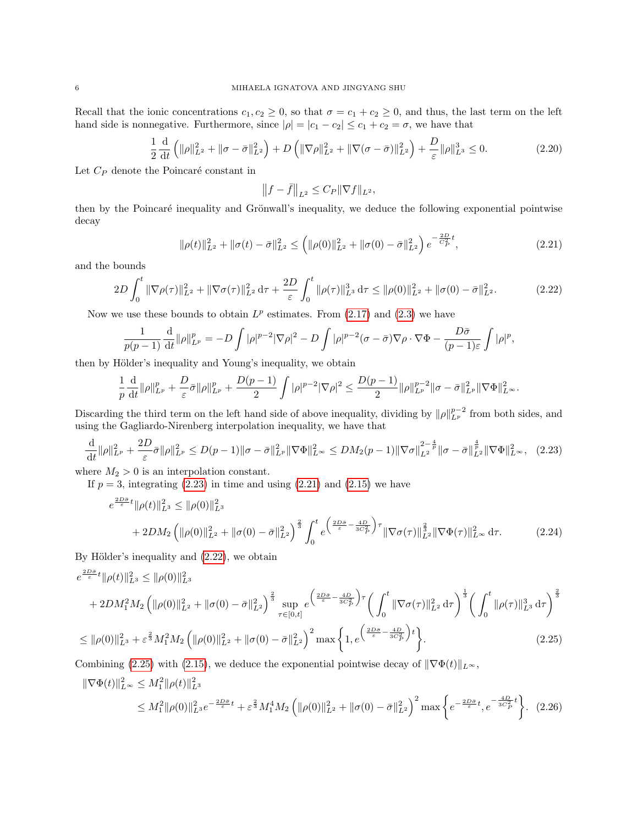Recall that the ionic concentrations  $c_1, c_2 \ge 0$ , so that  $\sigma = c_1 + c_2 \ge 0$ , and thus, the last term on the left hand side is nonnegative. Furthermore, since  $|\rho| = |c_1 - c_2| \le c_1 + c_2 = \sigma$ , we have that

$$
\frac{1}{2}\frac{\mathrm{d}}{\mathrm{d}t}\left(\|\rho\|_{L^2}^2 + \|\sigma - \bar{\sigma}\|_{L^2}^2\right) + D\left(\|\nabla\rho\|_{L^2}^2 + \|\nabla(\sigma - \bar{\sigma})\|_{L^2}^2\right) + \frac{D}{\varepsilon}\|\rho\|_{L^3}^3 \le 0. \tag{2.20}
$$

Let  $C_P$  denote the Poincaré constant in

$$
\left\|f - \bar{f}\right\|_{L^2} \le C_P \|\nabla f\|_{L^2},
$$

then by the Poincaré inequality and Grönwall's inequality, we deduce the following exponential pointwise decay

$$
\|\rho(t)\|_{L^2}^2 + \|\sigma(t) - \bar{\sigma}\|_{L^2}^2 \le \left(\|\rho(0)\|_{L^2}^2 + \|\sigma(0) - \bar{\sigma}\|_{L^2}^2\right) e^{-\frac{2D}{C_P^2}t},\tag{2.21}
$$

<span id="page-5-5"></span><span id="page-5-4"></span><span id="page-5-3"></span><span id="page-5-2"></span><span id="page-5-1"></span><span id="page-5-0"></span>,

and the bounds

$$
2D\int_0^t \|\nabla \rho(\tau)\|_{L^2}^2 + \|\nabla \sigma(\tau)\|_{L^2}^2 d\tau + \frac{2D}{\varepsilon} \int_0^t \|\rho(\tau)\|_{L^3}^3 d\tau \le \|\rho(0)\|_{L^2}^2 + \|\sigma(0) - \bar{\sigma}\|_{L^2}^2. \tag{2.22}
$$

Now we use these bounds to obtain  $L^p$  estimates. From  $(2.17)$  and  $(2.3)$  we have

$$
\frac{1}{p(p-1)}\frac{\mathrm{d}}{\mathrm{d}t}\|\rho\|_{L^p}^p = -D\int |\rho|^{p-2}|\nabla \rho|^2 - D\int |\rho|^{p-2}(\sigma-\bar{\sigma})\nabla \rho \cdot \nabla \Phi - \frac{D\bar{\sigma}}{(p-1)\varepsilon}\int |\rho|^p
$$

then by Hölder's inequality and Young's inequality, we obtain

$$
\frac{1}{p}\frac{\mathrm{d}}{\mathrm{d}t}\|\rho\|_{L^p}^p + \frac{D}{\varepsilon}\bar{\sigma}\|\rho\|_{L^p}^p + \frac{D(p-1)}{2}\int |\rho|^{p-2}|\nabla \rho|^2 \leq \frac{D(p-1)}{2}\|\rho\|_{L^p}^{p-2}\|\sigma-\bar{\sigma}\|_{L^p}^2\|\nabla \Phi\|_{L^\infty}^2.
$$

Discarding the third term on the left hand side of above inequality, dividing by  $\|\rho\|_{L^p}^{p-2}$  from both sides, and using the Gagliardo-Nirenberg interpolation inequality, we have that

$$
\frac{\mathrm{d}}{\mathrm{d}t} \|\rho\|_{L^p}^2 + \frac{2D}{\varepsilon} \bar{\sigma} \|\rho\|_{L^p}^2 \le D(p-1) \|\sigma - \bar{\sigma}\|_{L^p}^2 \|\nabla \Phi\|_{L^\infty}^2 \le DM_2(p-1) \|\nabla \sigma\|_{L^2}^{2-\frac{4}{p}} \|\sigma - \bar{\sigma}\|_{L^2}^{\frac{4}{p}} \|\nabla \Phi\|_{L^\infty}^2, \tag{2.23}
$$

where  $M_2 > 0$  is an interpolation constant.

If  $p = 3$ , integrating  $(2.23)$  in time and using  $(2.21)$  and  $(2.15)$  we have

$$
e^{\frac{2D\bar{\sigma}}{\varepsilon}t} \|\rho(t)\|_{L^{3}}^{2} \leq \|\rho(0)\|_{L^{3}}^{2} + \|\sigma(0) - \bar{\sigma}\|_{L^{2}}^{2}\right)^{\frac{2}{3}} \int_{0}^{t} e^{\left(\frac{2D\bar{\sigma}}{\varepsilon} - \frac{4D}{3C_{P}^{2}}\right)\tau} \|\nabla\sigma(\tau)\|_{L^{2}}^{\frac{2}{3}} \|\nabla\Phi(\tau)\|_{L^{\infty}}^{2} d\tau.
$$
 (2.24)

By Hölder's inequality and  $(2.22)$ , we obtain

$$
e^{\frac{2D\bar{\sigma}}{\varepsilon}t} \|\rho(t)\|_{L^{3}}^{2} \leq \|\rho(0)\|_{L^{2}}^{2} + \|\sigma(0) - \bar{\sigma}\|_{L^{2}}^{2}\right)^{\frac{2}{3}} \sup_{\tau \in [0,t]} e^{\frac{\left(2D\bar{\sigma}}{\varepsilon} - \frac{4D}{3C_{P}^{2}}\right)\tau} \left(\int_{0}^{t} \|\nabla\sigma(\tau)\|_{L^{2}}^{2} d\tau\right)^{\frac{1}{3}} \left(\int_{0}^{t} \|\rho(\tau)\|_{L^{3}}^{3} d\tau\right)^{\frac{2}{3}}
$$
  
 
$$
\leq \|\rho(0)\|_{L^{3}}^{2} + \varepsilon^{\frac{2}{3}} M_{1}^{2} M_{2} \left(\|\rho(0)\|_{L^{2}}^{2} + \|\sigma(0) - \bar{\sigma}\|_{L^{2}}^{2}\right)^{2} \max\left\{1, e^{\left(\frac{2D\bar{\sigma}}{\varepsilon} - \frac{4D}{3C_{P}^{2}}\right)t}\right\}.
$$
 (2.25)

Combining [\(2.25\)](#page-5-4) with [\(2.15\)](#page-4-7), we deduce the exponential pointwise decay of  $\|\nabla \Phi(t)\|_{L^{\infty}}$ ,

$$
\|\nabla\Phi(t)\|_{L^{\infty}}^2 \le M_1^2 \|\rho(t)\|_{L^3}^2
$$
  
 
$$
\le M_1^2 \|\rho(0)\|_{L^3}^2 e^{-\frac{2D\bar{\sigma}}{\varepsilon}t} + \varepsilon^{\frac{2}{3}} M_1^4 M_2 \left( \|\rho(0)\|_{L^2}^2 + \|\sigma(0) - \bar{\sigma}\|_{L^2}^2 \right)^2 \max\left\{ e^{-\frac{2D\bar{\sigma}}{\varepsilon}t}, e^{-\frac{4D}{3C_P^2}t} \right\}. \tag{2.26}
$$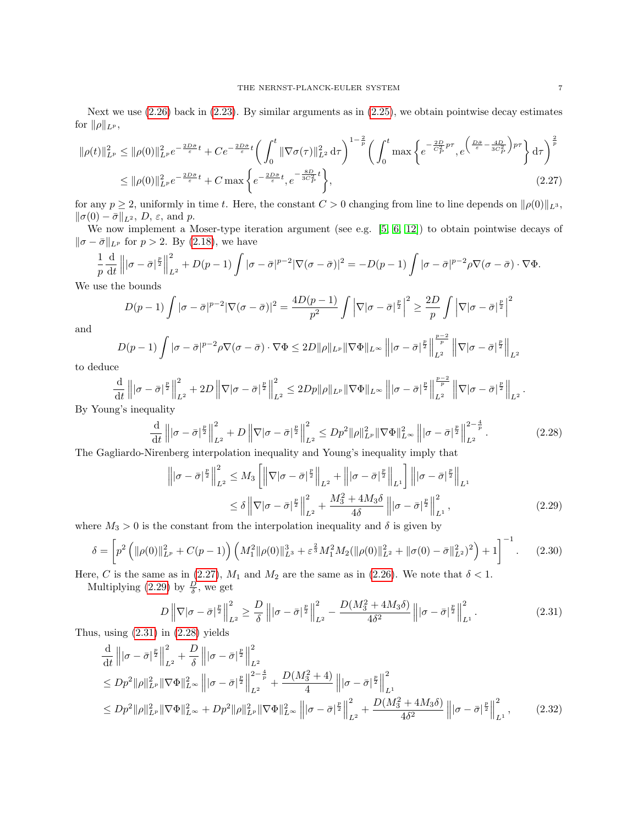Next we use [\(2.26\)](#page-5-5) back in [\(2.23\)](#page-5-1). By similar arguments as in [\(2.25\)](#page-5-4), we obtain pointwise decay estimates for  $\|\rho\|_{L^p}$ ,  $\overline{a}$  $\mathbf{A}$ 

$$
\|\rho(t)\|_{L^p}^2 \le \|\rho(0)\|_{L^p}^2 e^{-\frac{2D\bar{\sigma}}{\varepsilon}t} + Ce^{-\frac{2D\bar{\sigma}}{\varepsilon}t} \left(\int_0^t \|\nabla\sigma(\tau)\|_{L^2}^2 d\tau\right)^{1-\frac{2}{p}} \left(\int_0^t \max\left\{e^{-\frac{2D}{C_P^2}p\tau}, e^{\left(\frac{D\bar{\sigma}}{\varepsilon}-\frac{4D}{3C_P^2}\right)p\tau}\right\} d\tau\right)^{\frac{2}{p}}
$$
  

$$
\le \|\rho(0)\|_{L^p}^2 e^{-\frac{2D\bar{\sigma}}{\varepsilon}t} + C \max\left\{e^{-\frac{2D\bar{\sigma}}{\varepsilon}t}, e^{-\frac{8D}{3C_P^2}t}\right\},
$$
(2.27)

for any  $p \ge 2$ , uniformly in time t. Here, the constant  $C > 0$  changing from line to line depends on  $\|\rho(0)\|_{L^3}$ ,  $\|\sigma(0) - \bar{\sigma}\|_{L^2}, D, \varepsilon, \text{ and } p.$ 

We now implement a Moser-type iteration argument (see e.g. [\[5,](#page-34-0) [6,](#page-34-3) [12\]](#page-35-9)) to obtain pointwise decays of  $\|\sigma - \bar{\sigma}\|_{L^p}$  for  $p > 2$ . By [\(2.18\)](#page-4-6), we have

$$
\frac{1}{p}\frac{d}{dt}\left\||\sigma-\bar{\sigma}|^{\frac{p}{2}}\right\|_{L^2}^2 + D(p-1)\int |\sigma-\bar{\sigma}|^{p-2}|\nabla(\sigma-\bar{\sigma})|^2 = -D(p-1)\int |\sigma-\bar{\sigma}|^{p-2}\rho\nabla(\sigma-\bar{\sigma})\cdot\nabla\Phi.
$$

We use the bounds

<span id="page-6-0"></span>
$$
D(p-1)\int |\sigma - \bar{\sigma}|^{p-2} |\nabla(\sigma - \bar{\sigma})|^2 = \frac{4D(p-1)}{p^2} \int |\nabla |\sigma - \bar{\sigma}|^{\frac{p}{2}}|^2 \ge \frac{2D}{p} \int |\nabla |\sigma - \bar{\sigma}|^{\frac{p}{2}}|^2
$$

and

$$
D(p-1)\int |\sigma-\bar{\sigma}|^{p-2}\rho \nabla(\sigma-\bar{\sigma})\cdot \nabla \Phi \leq 2D\|\rho\|_{L^p} \|\nabla \Phi\|_{L^\infty} \left\||\sigma-\bar{\sigma}|^{\frac{p}{2}}\right\|_{L^2}^{\frac{p-2}{p}} \left\|\nabla |\sigma-\bar{\sigma}|^{\frac{p}{2}}\right\|_{L^2}
$$

to deduce

$$
\frac{\mathrm{d}}{\mathrm{d}t} \left\| |\sigma - \bar{\sigma}|^{\frac{p}{2}} \right\|_{L^2}^2 + 2D \left\| \nabla |\sigma - \bar{\sigma}|^{\frac{p}{2}} \right\|_{L^2}^2 \le 2Dp \|\rho\|_{L^p} \|\nabla \Phi\|_{L^\infty} \left\| |\sigma - \bar{\sigma}|^{\frac{p}{2}} \right\|_{L^2}^{\frac{p-2}{p}} \left\| \nabla |\sigma - \bar{\sigma}|^{\frac{p}{2}} \right\|_{L^2}.
$$

By Young's inequality

$$
\frac{\mathrm{d}}{\mathrm{d}t} \left\| |\sigma - \bar{\sigma}|^{\frac{p}{2}} \right\|_{L^2}^2 + D \left\| \nabla |\sigma - \bar{\sigma}|^{\frac{p}{2}} \right\|_{L^2}^2 \le D p^2 \| \rho \|_{L^p}^2 \| \nabla \Phi \|_{L^\infty}^2 \left\| |\sigma - \bar{\sigma}|^{\frac{p}{2}} \right\|_{L^2}^{2 - \frac{4}{p}}.
$$
\n(2.28)

The Gagliardo-Nirenberg interpolation inequality and Young's inequality imply that

<span id="page-6-4"></span><span id="page-6-3"></span><span id="page-6-1"></span>
$$
\left\| |\sigma - \bar{\sigma}|^{\frac{p}{2}} \right\|_{L^2}^2 \le M_3 \left[ \left\| \nabla |\sigma - \bar{\sigma}|^{\frac{p}{2}} \right\|_{L^2} + \left\| |\sigma - \bar{\sigma}|^{\frac{p}{2}} \right\|_{L^1} \right] \left\| |\sigma - \bar{\sigma}|^{\frac{p}{2}} \right\|_{L^1}
$$
  

$$
\le \delta \left\| \nabla |\sigma - \bar{\sigma}|^{\frac{p}{2}} \right\|_{L^2}^2 + \frac{M_3^2 + 4M_3 \delta}{4 \delta} \left\| |\sigma - \bar{\sigma}|^{\frac{p}{2}} \right\|_{L^1}^2,
$$
 (2.29)

where  $M_3 > 0$  is the constant from the interpolation inequality and  $\delta$  is given by

$$
\delta = \left[ p^2 \left( \|\rho(0)\|_{L^p}^2 + C(p-1) \right) \left( M_1^2 \|\rho(0)\|_{L^3}^3 + \varepsilon^{\frac{2}{3}} M_1^2 M_2 (\|\rho(0)\|_{L^2}^2 + \|\sigma(0) - \bar{\sigma}\|_{L^2}^2)^2 \right) + 1 \right]^{-1}.
$$
 (2.30)

Here, C is the same as in [\(2.27\)](#page-6-0),  $M_1$  and  $M_2$  are the same as in [\(2.26\)](#page-5-5). We note that  $\delta < 1$ .

Multiplying [\(2.29\)](#page-6-1) by  $\frac{D}{\delta}$ , we get

<span id="page-6-5"></span><span id="page-6-2"></span>
$$
D\left\|\nabla|\sigma-\bar{\sigma}\right\|_{L^2}^2 \ge \frac{D}{\delta}\left\||\sigma-\bar{\sigma}\right\|_{L^2}^2 - \frac{D(M_3^2+4M_3\delta)}{4\delta^2}\left\||\sigma-\bar{\sigma}\right\|_{L^1}^2. \tag{2.31}
$$

Thus, using  $(2.31)$  in  $(2.28)$  yields

$$
\frac{\mathrm{d}}{\mathrm{d}t} \left\| |\sigma - \bar{\sigma}|^{\frac{p}{2}} \right\|_{L^{2}}^{2} + \frac{D}{\delta} \left\| |\sigma - \bar{\sigma}|^{\frac{p}{2}} \right\|_{L^{2}}^{2} \n\leq Dp^{2} \|\rho\|_{L^{p}}^{2} \|\nabla \Phi\|_{L^{\infty}}^{2} \left\| |\sigma - \bar{\sigma}|^{\frac{p}{2}} \right\|_{L^{2}}^{2 - \frac{4}{p}} + \frac{D(M_{3}^{2} + 4)}{4} \left\| |\sigma - \bar{\sigma}|^{\frac{p}{2}} \right\|_{L^{1}}^{2} \n\leq Dp^{2} \|\rho\|_{L^{p}}^{2} \|\nabla \Phi\|_{L^{\infty}}^{2} + Dp^{2} \|\rho\|_{L^{p}}^{2} \|\nabla \Phi\|_{L^{\infty}}^{2} \left\| |\sigma - \bar{\sigma}|^{\frac{p}{2}} \right\|_{L^{2}}^{2} + \frac{D(M_{3}^{2} + 4M_{3}\delta)}{4\delta^{2}} \left\| |\sigma - \bar{\sigma}|^{\frac{p}{2}} \right\|_{L^{1}}^{2}, \tag{2.32}
$$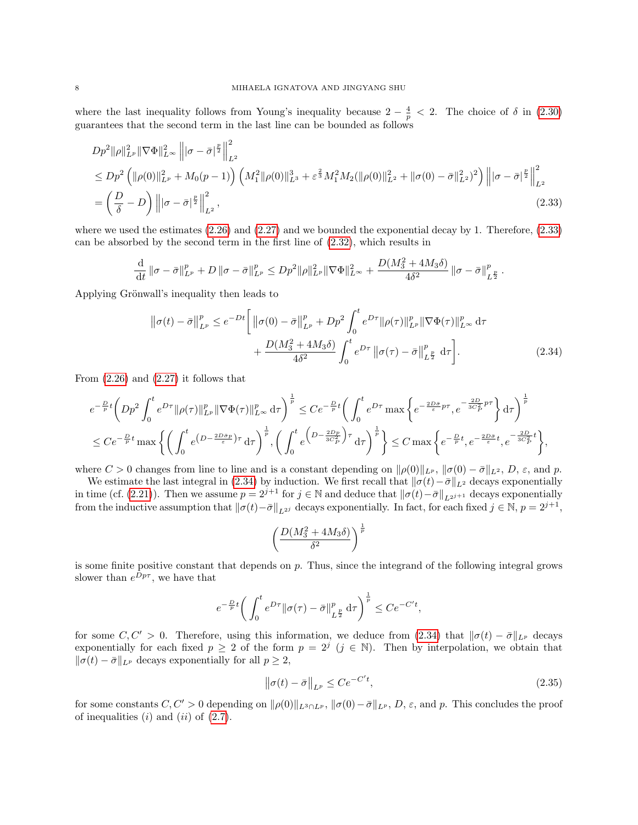where the last inequality follows from Young's inequality because  $2 - \frac{4}{p} < 2$ . The choice of  $\delta$  in [\(2.30\)](#page-6-4) guarantees that the second term in the last line can be bounded as follows

$$
Dp^{2} \|\rho\|_{L^{p}}^{2} \|\nabla \Phi\|_{L^{\infty}}^{2} \left\| |\sigma - \bar{\sigma}|^{\frac{p}{2}} \right\|_{L^{2}}^{2}
$$
  
\n
$$
\leq Dp^{2} \left( \|\rho(0)\|_{L^{p}}^{2} + M_{0}(p-1) \right) \left( M_{1}^{2} \|\rho(0)\|_{L^{3}}^{3} + \varepsilon^{\frac{2}{3}} M_{1}^{2} M_{2} (\|\rho(0)\|_{L^{2}}^{2} + \|\sigma(0) - \bar{\sigma}\|_{L^{2}}^{2})^{2} \right) \left\| |\sigma - \bar{\sigma}|^{\frac{p}{2}} \right\|_{L^{2}}^{2}
$$
  
\n
$$
= \left( \frac{D}{\delta} - D \right) \left\| |\sigma - \bar{\sigma}|^{\frac{p}{2}} \right\|_{L^{2}}^{2},
$$
\n(2.33)

where we used the estimates  $(2.26)$  and  $(2.27)$  and we bounded the exponential decay by 1. Therefore,  $(2.33)$ can be absorbed by the second term in the first line of [\(2.32\)](#page-6-5), which results in

$$
\frac{\mathrm{d}}{\mathrm{d}t} \left\|\sigma - \bar{\sigma}\right\|_{L^p}^p + D \left\|\sigma - \bar{\sigma}\right\|_{L^p}^p \le D p^2 \|\rho\|_{L^p}^2 \|\nabla \Phi\|_{L^\infty}^2 + \frac{D(M_3^2 + 4M_3\delta)}{4\delta^2} \left\|\sigma - \bar{\sigma}\right\|_{L^{\frac{p}{2}}}^p.
$$

Applying Grönwall's inequality then leads to

<span id="page-7-0"></span>
$$
\|\sigma(t) - \bar{\sigma}\|_{L^{p}}^{p} \le e^{-Dt} \Bigg[ \|\sigma(0) - \bar{\sigma}\|_{L^{p}}^{p} + Dp^{2} \int_{0}^{t} e^{D\tau} \|\rho(\tau)\|_{L^{p}}^{p} \|\nabla\Phi(\tau)\|_{L^{\infty}}^{p} d\tau + \frac{D(M_{3}^{2} + 4M_{3}\delta)}{4\delta^{2}} \int_{0}^{t} e^{D\tau} \|\sigma(\tau) - \bar{\sigma}\|_{L^{p}}^{p} d\tau \Bigg].
$$
 (2.34)

From  $(2.26)$  and  $(2.27)$  it follows that

$$
e^{-\frac{D}{p}t}\left(Dp^{2}\int_{0}^{t}e^{D\tau}\|\rho(\tau)\|_{L^{p}}^{p}\|\nabla\Phi(\tau)\|_{L^{\infty}}^{p}d\tau\right)^{\frac{1}{p}} \leq Ce^{-\frac{D}{p}t}\left(\int_{0}^{t}e^{D\tau}\max\left\{e^{-\frac{2D\overline{\sigma}}{\varepsilon}p\tau},e^{-\frac{2D}{3C_{P}^{2}}p\tau}\right\}d\tau\right)^{\frac{1}{p}}\leq Ce^{-\frac{D}{p}t}\max\left\{\left(\int_{0}^{t}e^{\left(D-\frac{2D\overline{\sigma}p}{\varepsilon}\right)\tau}d\tau\right)^{\frac{1}{p}},\left(\int_{0}^{t}e^{\left(D-\frac{2Dp}{3C_{P}^{2}}\right)\tau}d\tau\right)^{\frac{1}{p}}\right\}\leq C\max\left\{e^{-\frac{D}{p}t},e^{-\frac{2D\overline{\sigma}}{\varepsilon}t},e^{-\frac{2D}{3C_{P}^{2}}t}\right\},\right
$$

where  $C > 0$  changes from line to line and is a constant depending on  $\|\rho(0)\|_{L^p}$ ,  $\|\sigma(0) - \bar{\sigma}\|_{L^2}$ , D,  $\varepsilon$ , and p.

We estimate the last integral in [\(2.34\)](#page-7-1) by induction. We first recall that  $\|\sigma(t)-\bar{\sigma}\|_{L^2}$  decays exponentially in time (cf. [\(2.21\)](#page-5-2)). Then we assume  $p = 2^{j+1}$  for  $j \in \mathbb{N}$  and deduce that  $\|\sigma(t)-\bar{\sigma}\|_{L^{2j+1}}$  decays exponentially from the inductive assumption that  $\|\sigma(t)-\bar{\sigma}\|_{L^{2j}}$  decays exponentially. In fact, for each fixed  $j \in \mathbb{N}$ ,  $p = 2^{j+1}$ ,

<span id="page-7-1"></span>
$$
\left(\frac{D(M_3^2+4M_3\delta)}{\delta^2}\right)^{\frac{1}{p}}
$$

is some finite positive constant that depends on  $p$ . Thus, since the integrand of the following integral grows slower than  $e^{Dp\tau}$ , we have that

$$
e^{-\frac{D}{p}t} \bigg( \int_0^t e^{D\tau} \|\sigma(\tau) - \bar{\sigma}\|_{L^{\frac{p}{2}}}^p \, d\tau \bigg)^{\frac{1}{p}} \leq Ce^{-C't},
$$

for some  $C, C' > 0$ . Therefore, using this information, we deduce from [\(2.34\)](#page-7-1) that  $\|\sigma(t) - \bar{\sigma}\|_{L^p}$  decays exponentially for each fixed  $p \geq 2$  of the form  $p = 2^j$   $(j \in \mathbb{N})$ . Then by interpolation, we obtain that  $\|\sigma(t) - \bar{\sigma}\|_{L^p}$  decays exponentially for all  $p \geq 2$ ,

<span id="page-7-2"></span>
$$
\left\|\sigma(t) - \bar{\sigma}\right\|_{L^p} \le Ce^{-C't},\tag{2.35}
$$

for some constants  $C, C' > 0$  depending on  $\|\rho(0)\|_{L^3 \cap L^p}$ ,  $\|\sigma(0)-\bar{\sigma}\|_{L^p}$ , D,  $\varepsilon$ , and p. This concludes the proof of inequalities  $(i)$  and  $(ii)$  of  $(2.7)$ .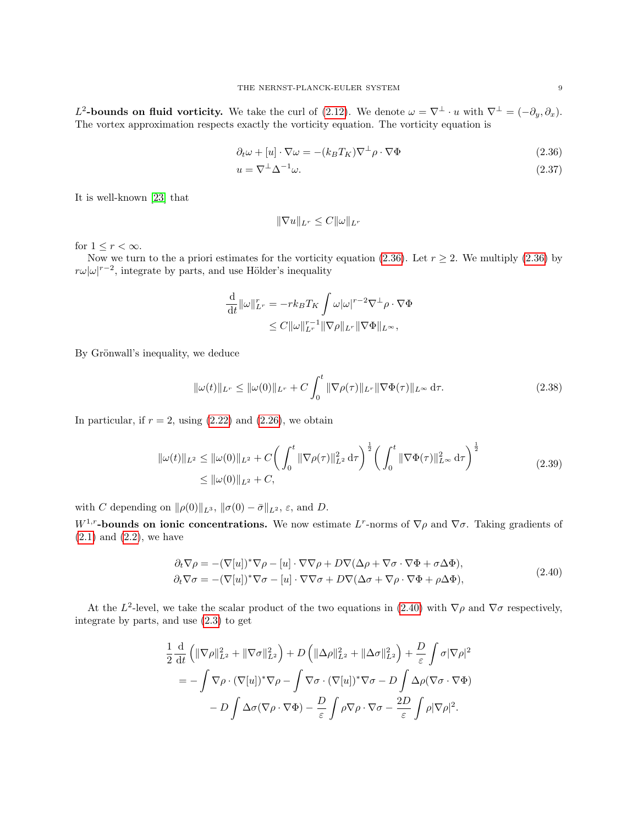L<sup>2</sup>-bounds on fluid vorticity. We take the curl of [\(2.12\)](#page-4-8). We denote  $\omega = \nabla^{\perp} \cdot u$  with  $\nabla^{\perp} = (-\partial_y, \partial_x)$ . The vortex approximation respects exactly the vorticity equation. The vorticity equation is

$$
\partial_t \omega + [u] \cdot \nabla \omega = -(k_B T_K) \nabla^{\perp} \rho \cdot \nabla \Phi \tag{2.36}
$$

$$
u = \nabla^{\perp} \Delta^{-1} \omega. \tag{2.37}
$$

It is well-known [\[23\]](#page-35-18) that

<span id="page-8-4"></span><span id="page-8-3"></span><span id="page-8-0"></span>
$$
\|\nabla u\|_{L^r}\leq C\|\omega\|_{L^r}
$$

for  $1 \leq r < \infty$ .

Now we turn to the a priori estimates for the vorticity equation [\(2.36\)](#page-8-0). Let  $r \ge 2$ . We multiply (2.36) by  $r\omega|\omega|^{r-2}$ , integrate by parts, and use Hölder's inequality

<span id="page-8-2"></span>
$$
\begin{aligned} \frac{\mathrm{d}}{\mathrm{d}t}\|\omega\|_{L^r}^r & = -rk_BT_K\int\omega|\omega|^{r-2}\nabla^\perp\rho\cdot\nabla\Phi\\ & \leq C\|\omega\|_{L^r}^{r-1}\|\nabla\rho\|_{L^r}\|\nabla\Phi\|_{L^\infty}, \end{aligned}
$$

By Grönwall's inequality, we deduce

$$
\|\omega(t)\|_{L^r} \le \|\omega(0)\|_{L^r} + C \int_0^t \|\nabla \rho(\tau)\|_{L^r} \|\nabla \Phi(\tau)\|_{L^\infty} d\tau.
$$
 (2.38)

In particular, if  $r = 2$ , using  $(2.22)$  and  $(2.26)$ , we obtain

$$
\|\omega(t)\|_{L^2} \le \|\omega(0)\|_{L^2} + C \bigg(\int_0^t \|\nabla \rho(\tau)\|_{L^2}^2 d\tau\bigg)^{\frac{1}{2}} \bigg(\int_0^t \|\nabla \Phi(\tau)\|_{L^\infty}^2 d\tau\bigg)^{\frac{1}{2}} \le \|\omega(0)\|_{L^2} + C,
$$
\n(2.39)

with C depending on  $\|\rho(0)\|_{L^3}$ ,  $\|\sigma(0) - \bar{\sigma}\|_{L^2}$ ,  $\varepsilon$ , and D.

W<sup>1,r</sup>-bounds on ionic concentrations. We now estimate L<sup>r</sup>-norms of  $\nabla \rho$  and  $\nabla \sigma$ . Taking gradients of  $(2.1)$  and  $(2.2)$ , we have

<span id="page-8-1"></span>
$$
\partial_t \nabla \rho = -(\nabla[u])^* \nabla \rho - [u] \cdot \nabla \nabla \rho + D \nabla (\Delta \rho + \nabla \sigma \cdot \nabla \Phi + \sigma \Delta \Phi),
$$
  
\n
$$
\partial_t \nabla \sigma = -(\nabla[u])^* \nabla \sigma - [u] \cdot \nabla \nabla \sigma + D \nabla (\Delta \sigma + \nabla \rho \cdot \nabla \Phi + \rho \Delta \Phi),
$$
\n(2.40)

At the  $L^2$ -level, we take the scalar product of the two equations in [\(2.40\)](#page-8-1) with  $\nabla \rho$  and  $\nabla \sigma$  respectively, integrate by parts, and use [\(2.3\)](#page-3-4) to get

$$
\frac{1}{2} \frac{\mathrm{d}}{\mathrm{d}t} \left( \|\nabla \rho\|_{L^2}^2 + \|\nabla \sigma\|_{L^2}^2 \right) + D \left( \|\Delta \rho\|_{L^2}^2 + \|\Delta \sigma\|_{L^2}^2 \right) + \frac{D}{\varepsilon} \int \sigma |\nabla \rho|^2
$$
\n
$$
= -\int \nabla \rho \cdot (\nabla[u])^* \nabla \rho - \int \nabla \sigma \cdot (\nabla[u])^* \nabla \sigma - D \int \Delta \rho (\nabla \sigma \cdot \nabla \Phi)
$$
\n
$$
- D \int \Delta \sigma (\nabla \rho \cdot \nabla \Phi) - \frac{D}{\varepsilon} \int \rho \nabla \rho \cdot \nabla \sigma - \frac{2D}{\varepsilon} \int \rho |\nabla \rho|^2.
$$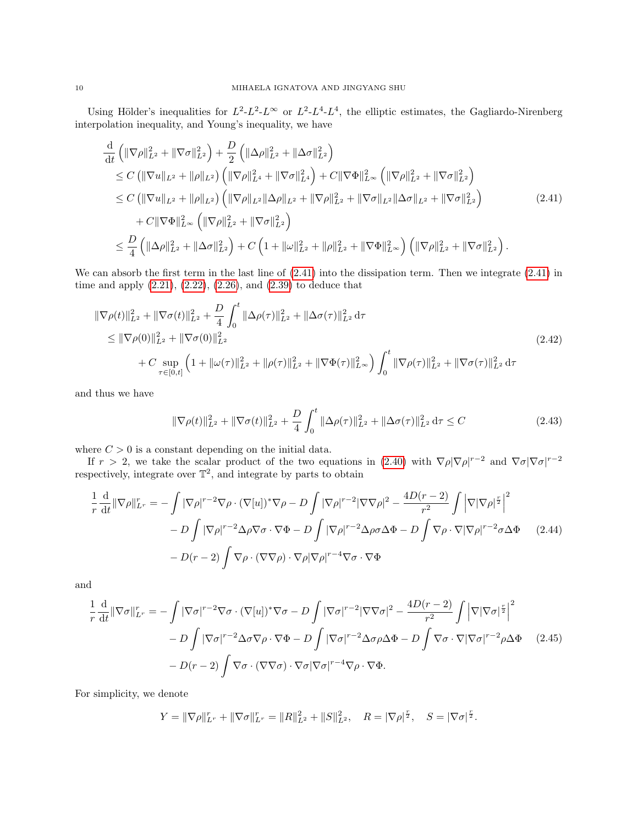Using Hölder's inequalities for  $L^2-L^2-L^\infty$  or  $L^2-L^4-L^4$ , the elliptic estimates, the Gagliardo-Nirenberg interpolation inequality, and Young's inequality, we have

$$
\frac{d}{dt} \left( \|\nabla \rho\|_{L^2}^2 + \|\nabla \sigma\|_{L^2}^2 \right) + \frac{D}{2} \left( \|\Delta \rho\|_{L^2}^2 + \|\Delta \sigma\|_{L^2}^2 \right) \n\leq C \left( \|\nabla u\|_{L^2} + \|\rho\|_{L^2} \right) \left( \|\nabla \rho\|_{L^4}^2 + \|\nabla \sigma\|_{L^4}^2 \right) + C \|\nabla \Phi\|_{L^\infty}^2 \left( \|\nabla \rho\|_{L^2}^2 + \|\nabla \sigma\|_{L^2}^2 \right) \n\leq C \left( \|\nabla u\|_{L^2} + \|\rho\|_{L^2} \right) \left( \|\nabla \rho\|_{L^2} \|\Delta \rho\|_{L^2} + \|\nabla \rho\|_{L^2}^2 + \|\nabla \sigma\|_{L^2} \|\Delta \sigma\|_{L^2} + \|\nabla \sigma\|_{L^2}^2 \right) \n+ C \|\nabla \Phi\|_{L^\infty}^2 \left( \|\nabla \rho\|_{L^2}^2 + \|\nabla \sigma\|_{L^2}^2 \right) \n\leq \frac{D}{4} \left( \|\Delta \rho\|_{L^2}^2 + \|\Delta \sigma\|_{L^2}^2 \right) + C \left( 1 + \|\omega\|_{L^2}^2 + \|\rho\|_{L^2}^2 + \|\nabla \Phi\|_{L^\infty}^2 \right) \left( \|\nabla \rho\|_{L^2}^2 + \|\nabla \sigma\|_{L^2}^2 \right).
$$
\n(2.41)

We can absorb the first term in the last line of [\(2.41\)](#page-9-0) into the dissipation term. Then we integrate [\(2.41\)](#page-9-0) in time and apply [\(2.21\)](#page-5-2), [\(2.22\)](#page-5-3), [\(2.26\)](#page-5-5), and [\(2.39\)](#page-8-2) to deduce that

$$
\|\nabla \rho(t)\|_{L^{2}}^{2} + \|\nabla \sigma(t)\|_{L^{2}}^{2} + \frac{D}{4} \int_{0}^{t} \|\Delta \rho(\tau)\|_{L^{2}}^{2} + \|\Delta \sigma(\tau)\|_{L^{2}}^{2} d\tau
$$
  
\n
$$
\leq \|\nabla \rho(0)\|_{L^{2}}^{2} + \|\nabla \sigma(0)\|_{L^{2}}^{2}
$$
  
\n
$$
+ C \sup_{\tau \in [0,t]} \left(1 + \|\omega(\tau)\|_{L^{2}}^{2} + \|\rho(\tau)\|_{L^{2}}^{2} + \|\nabla \Phi(\tau)\|_{L^{\infty}}^{2}\right) \int_{0}^{t} \|\nabla \rho(\tau)\|_{L^{2}}^{2} + \|\nabla \sigma(\tau)\|_{L^{2}}^{2} d\tau
$$
\n(2.42)

and thus we have

<span id="page-9-3"></span><span id="page-9-1"></span><span id="page-9-0"></span>
$$
\|\nabla \rho(t)\|_{L^2}^2 + \|\nabla \sigma(t)\|_{L^2}^2 + \frac{D}{4} \int_0^t \|\Delta \rho(\tau)\|_{L^2}^2 + \|\Delta \sigma(\tau)\|_{L^2}^2 d\tau \le C \tag{2.43}
$$

where  $C > 0$  is a constant depending on the initial data.

If  $r > 2$ , we take the scalar product of the two equations in [\(2.40\)](#page-8-1) with  $\nabla \rho |\nabla \rho|^{r-2}$  and  $\nabla \sigma |\nabla \sigma|^{r-2}$ respectively, integrate over  $\mathbb{T}^2$ , and integrate by parts to obtain

$$
\frac{1}{r} \frac{d}{dt} \|\nabla \rho\|_{L^r}^r = -\int |\nabla \rho|^{r-2} \nabla \rho \cdot (\nabla [u])^* \nabla \rho - D \int |\nabla \rho|^{r-2} |\nabla \nabla \rho|^2 - \frac{4D(r-2)}{r^2} \int |\nabla |\nabla \rho|^{\frac{r}{2}} \Big|^2
$$

$$
- D \int |\nabla \rho|^{r-2} \Delta \rho \nabla \sigma \cdot \nabla \Phi - D \int |\nabla \rho|^{r-2} \Delta \rho \sigma \Delta \Phi - D \int \nabla \rho \cdot \nabla |\nabla \rho|^{r-2} \sigma \Delta \Phi \qquad (2.44)
$$

$$
- D(r-2) \int \nabla \rho \cdot (\nabla \nabla \rho) \cdot \nabla \rho |\nabla \rho|^{r-4} \nabla \sigma \cdot \nabla \Phi
$$

and

$$
\frac{1}{r} \frac{d}{dt} \|\nabla \sigma\|_{L^r}^r = -\int |\nabla \sigma|^{r-2} \nabla \sigma \cdot (\nabla[u])^* \nabla \sigma - D \int |\nabla \sigma|^{r-2} |\nabla \nabla \sigma|^2 - \frac{4D(r-2)}{r^2} \int |\nabla |\nabla \sigma|^{\frac{r}{2}}|^2
$$

$$
- D \int |\nabla \sigma|^{r-2} \Delta \sigma \nabla \rho \cdot \nabla \Phi - D \int |\nabla \sigma|^{r-2} \Delta \sigma \rho \Delta \Phi - D \int \nabla \sigma \cdot \nabla |\nabla \sigma|^{r-2} \rho \Delta \Phi \qquad (2.45)
$$

$$
- D(r-2) \int \nabla \sigma \cdot (\nabla \nabla \sigma) \cdot \nabla \sigma |\nabla \sigma|^{r-4} \nabla \rho \cdot \nabla \Phi.
$$

For simplicity, we denote

<span id="page-9-2"></span>
$$
Y = \|\nabla \rho\|_{L^r}^r + \|\nabla \sigma\|_{L^r}^r = \|R\|_{L^2}^2 + \|S\|_{L^2}^2, \quad R = |\nabla \rho|^{\frac{r}{2}}, \quad S = |\nabla \sigma|^{\frac{r}{2}}.
$$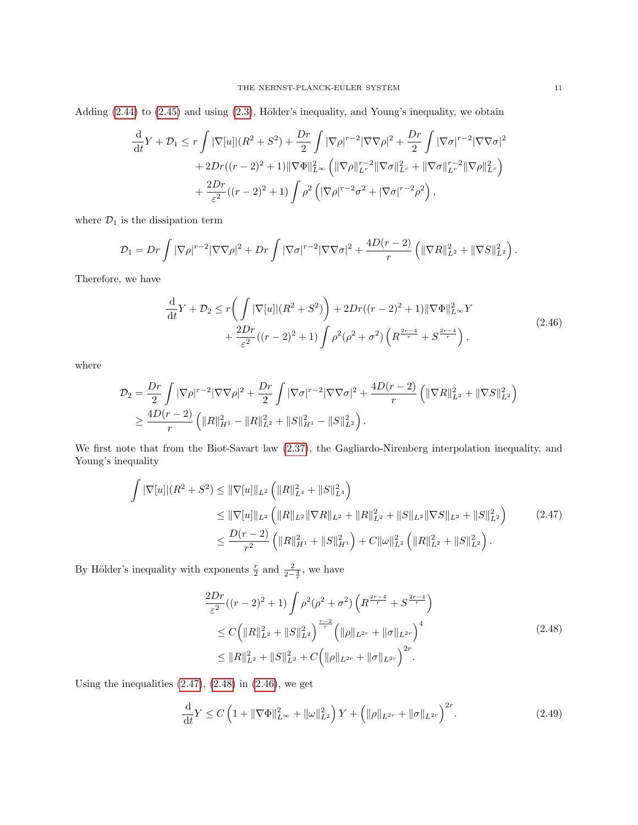Adding  $(2.44)$  to  $(2.45)$  and using  $(2.3)$ , Hölder's inequality, and Young's inequality, we obtain

$$
\frac{d}{dt}Y + \mathcal{D}_1 \le r \int |\nabla[u]|(R^2 + S^2) + \frac{Dr}{2} \int |\nabla\rho|^{r-2} |\nabla\nabla\rho|^2 + \frac{Dr}{2} \int |\nabla\sigma|^{r-2} |\nabla\nabla\sigma|^2
$$
  
+  $2Dr((r-2)^2 + 1) ||\nabla\Phi||_{L^{\infty}}^2 \left( ||\nabla\rho||_{L^r}^{r-2} ||\nabla\sigma||_{L^r}^2 + ||\nabla\sigma||_{L^r}^{r-2} ||\nabla\rho||_{L^r}^2 \right) + \frac{2Dr}{\varepsilon^2}((r-2)^2 + 1) \int \rho^2 \left( |\nabla\rho|^{r-2} \sigma^2 + |\nabla\sigma|^{r-2} \rho^2 \right),$ 

where  $\mathcal{D}_1$  is the dissipation term

$$
\mathcal{D}_1 = Dr \int |\nabla \rho|^{r-2} |\nabla \nabla \rho|^2 + Dr \int |\nabla \sigma|^{r-2} |\nabla \nabla \sigma|^2 + \frac{4D(r-2)}{r} \left( \|\nabla R\|_{L^2}^2 + \|\nabla S\|_{L^2}^2 \right).
$$

Therefore, we have

<span id="page-10-2"></span>
$$
\frac{\mathrm{d}}{\mathrm{d}t}Y + \mathcal{D}_2 \le r \bigg(\int |\nabla[u]|(R^2 + S^2)\bigg) + 2Dr((r-2)^2 + 1)||\nabla\Phi||_{L^{\infty}}^2Y \n+ \frac{2Dr}{\varepsilon^2}((r-2)^2 + 1)\int \rho^2(\rho^2 + \sigma^2)\left(R^{\frac{2r-4}{r}} + S^{\frac{2r-4}{r}}\right),
$$
\n(2.46)

where

$$
\mathcal{D}_2 = \frac{Dr}{2} \int |\nabla \rho|^{r-2} |\nabla \nabla \rho|^2 + \frac{Dr}{2} \int |\nabla \sigma|^{r-2} |\nabla \nabla \sigma|^2 + \frac{4D(r-2)}{r} \left( ||\nabla R||_{L^2}^2 + ||\nabla S||_{L^2}^2 \right) \geq \frac{4D(r-2)}{r} \left( ||R||_{H^1}^2 - ||R||_{L^2}^2 + ||S||_{H^1}^2 - ||S||_{L^2}^2 \right).
$$

We first note that from the Biot-Savart law [\(2.37\)](#page-8-3), the Gagliardo-Nirenberg interpolation inequality, and Young's inequality

$$
\int |\nabla[u]|(R^2 + S^2) \le ||\nabla[u]||_{L^2} \left(||R||_{L^4}^2 + ||S||_{L^4}^2\right)
$$
\n
$$
\le ||\nabla[u]||_{L^2} \left(||R||_{L^2}||\nabla R||_{L^2} + ||R||_{L^2}^2 + ||S||_{L^2}||\nabla S||_{L^2} + ||S||_{L^2}^2\right) \qquad (2.47)
$$
\n
$$
\le \frac{D(r-2)}{r^2} \left(||R||_{H^1}^2 + ||S||_{H^1}^2\right) + C||\omega||_{L^2}^2 \left(||R||_{L^2}^2 + ||S||_{L^2}^2\right).
$$

By Hölder's inequality with exponents  $\frac{r}{2}$  and  $\frac{2}{2-\frac{4}{r}}$ , we have

<span id="page-10-1"></span><span id="page-10-0"></span>
$$
\frac{2Dr}{\varepsilon^2}((r-2)^2+1)\int \rho^2(\rho^2+\sigma^2)\left(R^{\frac{2r-4}{r}}+S^{\frac{2r-4}{r}}\right)
$$
  
\n
$$
\leq C\Big(\|R\|_{L^2}^2+\|S\|_{L^2}^2\Big)^{\frac{r-2}{r}}\Big(\|\rho\|_{L^{2r}}+\|\sigma\|_{L^{2r}}\Big)^4
$$
  
\n
$$
\leq \|R\|_{L^2}^2+\|S\|_{L^2}^2+C\Big(\|\rho\|_{L^{2r}}+\|\sigma\|_{L^{2r}}\Big)^{2r}.
$$
\n(2.48)

Using the inequalities  $(2.47)$ ,  $(2.48)$  in  $(2.46)$ , we get

$$
\frac{\mathrm{d}}{\mathrm{d}t}Y \le C\left(1 + \|\nabla\Phi\|_{L^{\infty}}^2 + \|\omega\|_{L^2}^2\right)Y + \left(\|\rho\|_{L^{2r}} + \|\sigma\|_{L^{2r}}\right)^{2r}.\tag{2.49}
$$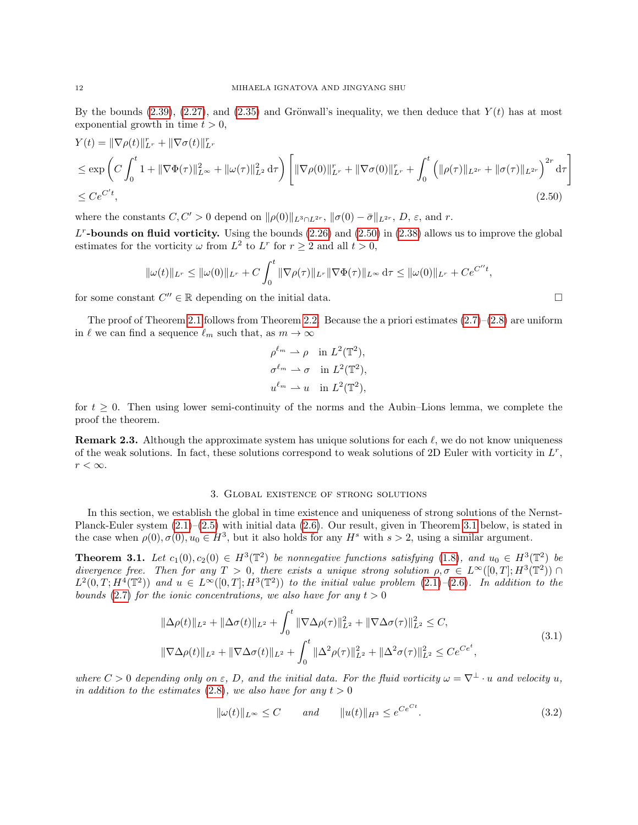By the bounds [\(2.39\)](#page-8-2), [\(2.27\)](#page-6-0), and [\(2.35\)](#page-7-2) and Grönwall's inequality, we then deduce that  $Y(t)$  has at most exponential growth in time  $t > 0$ ,

$$
Y(t) = \|\nabla \rho(t)\|_{L^r}^r + \|\nabla \sigma(t)\|_{L^r}^r
$$
  
\n
$$
\leq \exp\left(C \int_0^t 1 + \|\nabla \Phi(\tau)\|_{L^\infty}^2 + \|\omega(\tau)\|_{L^2}^2 d\tau\right) \left[\|\nabla \rho(0)\|_{L^r}^r + \|\nabla \sigma(0)\|_{L^r}^r + \int_0^t \left(\|\rho(\tau)\|_{L^{2r}} + \|\sigma(\tau)\|_{L^{2r}}\right)^{2r} d\tau\right]
$$
  
\n
$$
\leq C e^{C't}, \tag{2.50}
$$

where the constants  $C, C' > 0$  depend on  $\|\rho(0)\|_{L^3 \cap L^{2r}}$ ,  $\|\sigma(0) - \bar{\sigma}\|_{L^{2r}}$ , D,  $\varepsilon$ , and r.

 $L^r$ -bounds on fluid vorticity. Using the bounds  $(2.26)$  and  $(2.50)$  in  $(2.38)$  allows us to improve the global estimates for the vorticity  $\omega$  from  $L^2$  to  $L^r$  for  $r \geq 2$  and all  $t > 0$ ,

$$
\|\omega(t)\|_{L^r} \le \|\omega(0)\|_{L^r} + C \int_0^t \|\nabla \rho(\tau)\|_{L^r} \|\nabla \Phi(\tau)\|_{L^\infty} d\tau \le \|\omega(0)\|_{L^r} + Ce^{C''t},
$$

for some constant  $C'' \in \mathbb{R}$  depending on the initial data.

The proof of Theorem [2.1](#page-3-5) follows from Theorem [2.2.](#page-4-9) Because the a priori estimates  $(2.7)$ – $(2.8)$  are uniform in  $\ell$  we can find a sequence  $\ell_m$  such that, as  $m \to \infty$ 

$$
\rho^{\ell_m} \rightharpoonup \rho \quad \text{in } L^2(\mathbb{T}^2),
$$
  
\n
$$
\sigma^{\ell_m} \rightharpoonup \sigma \quad \text{in } L^2(\mathbb{T}^2),
$$
  
\n
$$
u^{\ell_m} \rightharpoonup u \quad \text{in } L^2(\mathbb{T}^2),
$$

for  $t \geq 0$ . Then using lower semi-continuity of the norms and the Aubin–Lions lemma, we complete the proof the theorem.

**Remark 2.3.** Although the approximate system has unique solutions for each  $\ell$ , we do not know uniqueness of the weak solutions. In fact, these solutions correspond to weak solutions of 2D Euler with vorticity in  $L^r$ ,  $r<\infty.$ 

## 3. Global existence of strong solutions

<span id="page-11-0"></span>In this section, we establish the global in time existence and uniqueness of strong solutions of the Nernst-Planck-Euler system [\(2.1\)](#page-2-1)–[\(2.5\)](#page-3-0) with initial data [\(2.6\)](#page-3-1). Our result, given in Theorem [3.1](#page-11-1) below, is stated in the case when  $\rho(0), \sigma(0), u_0 \in H^3$ , but it also holds for any  $H^s$  with  $s > 2$ , using a similar argument.

<span id="page-11-1"></span>**Theorem 3.1.** Let  $c_1(0), c_2(0) \in H^3(\mathbb{T}^2)$  be nonnegative functions satisfying [\(1.8\)](#page-1-0), and  $u_0 \in H^3(\mathbb{T}^2)$  be divergence free. Then for any  $T > 0$ , there exists a unique strong solution  $\rho, \sigma \in L^{\infty}([0, T]; H^3(\mathbb{T}^2))$  $L^2(0,T;H^4(\mathbb{T}^2))$  and  $u \in L^{\infty}([0,T];H^3(\mathbb{T}^2))$  to the initial value problem  $(2.1)-(2.6)$  $(2.1)-(2.6)$  $(2.1)-(2.6)$ . In addition to the bounds [\(2.7\)](#page-3-2) for the ionic concentrations, we also have for any  $t > 0$ 

$$
\|\Delta \rho(t)\|_{L^2} + \|\Delta \sigma(t)\|_{L^2} + \int_0^t \|\nabla \Delta \rho(\tau)\|_{L^2}^2 + \|\nabla \Delta \sigma(\tau)\|_{L^2}^2 \le C,
$$
  

$$
\|\nabla \Delta \rho(t)\|_{L^2} + \|\nabla \Delta \sigma(t)\|_{L^2} + \int_0^t \|\Delta^2 \rho(\tau)\|_{L^2}^2 + \|\Delta^2 \sigma(\tau)\|_{L^2}^2 \le Ce^{C\epsilon^t},
$$
\n(3.1)

where  $C > 0$  depending only on  $\varepsilon$ , D, and the initial data. For the fluid vorticity  $\omega = \nabla^{\perp} \cdot u$  and velocity u, in addition to the estimates [\(2.8\)](#page-3-3), we also have for any  $t > 0$ 

<span id="page-11-4"></span>
$$
\|\omega(t)\|_{L^{\infty}} \le C \quad \text{and} \quad \|u(t)\|_{H^3} \le e^{Ce^{Ct}}.\tag{3.2}
$$

<span id="page-11-3"></span><span id="page-11-2"></span>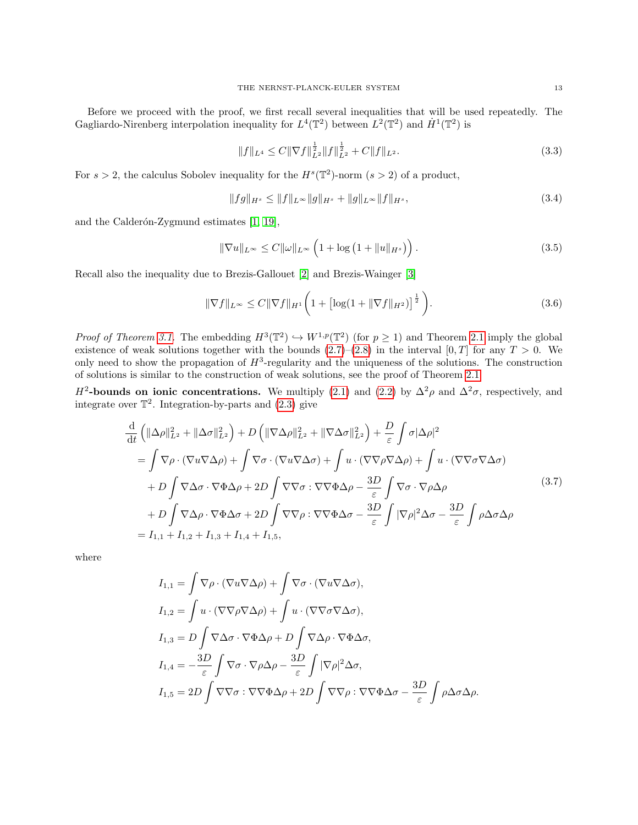Before we proceed with the proof, we first recall several inequalities that will be used repeatedly. The Gagliardo-Nirenberg interpolation inequality for  $L^4(\mathbb{T}^2)$  between  $L^2(\mathbb{T}^2)$  and  $\dot{H}^1(\mathbb{T}^2)$  is

<span id="page-12-3"></span><span id="page-12-1"></span>
$$
||f||_{L^{4}} \leq C||\nabla f||_{L^{2}}^{\frac{1}{2}}||f||_{L^{2}}^{\frac{1}{2}} + C||f||_{L^{2}}.
$$
\n(3.3)

For  $s > 2$ , the calculus Sobolev inequality for the  $H<sup>s</sup>(\mathbb{T}^2)$ -norm  $(s > 2)$  of a product,

<span id="page-12-4"></span><span id="page-12-0"></span>
$$
||fg||_{H^s} \le ||f||_{L^{\infty}}||g||_{H^s} + ||g||_{L^{\infty}}||f||_{H^s},
$$
\n(3.4)

and the Calderón-Zygmund estimates  $[1, 19]$  $[1, 19]$ ,

$$
\|\nabla u\|_{L^{\infty}} \le C \|\omega\|_{L^{\infty}} \left(1 + \log\left(1 + \|u\|_{H^s}\right)\right). \tag{3.5}
$$

Recall also the inequality due to Brezis-Gallouet [\[2\]](#page-34-5) and Brezis-Wainger [\[3\]](#page-34-6)

<span id="page-12-2"></span>
$$
\|\nabla f\|_{L^{\infty}} \le C \|\nabla f\|_{H^{1}} \bigg(1 + \big[\log(1 + \|\nabla f\|_{H^{2}})\big]^{\frac{1}{2}}\bigg). \tag{3.6}
$$

*Proof of Theorem [3.1.](#page-11-1)* The embedding  $H^3(\mathbb{T}^2) \hookrightarrow W^{1,p}(\mathbb{T}^2)$  (for  $p \ge 1$ ) and Theorem [2.1](#page-3-5) imply the global existence of weak solutions together with the bounds  $(2.7)$ – $(2.8)$  in the interval  $[0, T]$  for any  $T > 0$ . We only need to show the propagation of  $H^3$ -regularity and the uniqueness of the solutions. The construction of solutions is similar to the construction of weak solutions, see the proof of Theorem [2.1.](#page-3-5)

H<sup>2</sup>-bounds on ionic concentrations. We multiply [\(2.1\)](#page-2-1) and [\(2.2\)](#page-2-2) by  $\Delta^2 \rho$  and  $\Delta^2 \sigma$ , respectively, and integrate over  $\mathbb{T}^2$ . Integration-by-parts and  $(2.3)$  give

$$
\frac{d}{dt} \left( \|\Delta \rho\|_{L^2}^2 + \|\Delta \sigma\|_{L^2}^2 \right) + D \left( \|\nabla \Delta \rho\|_{L^2}^2 + \|\nabla \Delta \sigma\|_{L^2}^2 \right) + \frac{D}{\varepsilon} \int \sigma |\Delta \rho|^2
$$
\n
$$
= \int \nabla \rho \cdot (\nabla u \nabla \Delta \rho) + \int \nabla \sigma \cdot (\nabla u \nabla \Delta \sigma) + \int u \cdot (\nabla \nabla \rho \nabla \Delta \rho) + \int u \cdot (\nabla \nabla \sigma \nabla \Delta \sigma)
$$
\n
$$
+ D \int \nabla \Delta \sigma \cdot \nabla \Phi \Delta \rho + 2D \int \nabla \nabla \sigma : \nabla \nabla \Phi \Delta \rho - \frac{3D}{\varepsilon} \int \nabla \sigma \cdot \nabla \rho \Delta \rho
$$
\n
$$
+ D \int \nabla \Delta \rho \cdot \nabla \Phi \Delta \sigma + 2D \int \nabla \nabla \rho : \nabla \nabla \Phi \Delta \sigma - \frac{3D}{\varepsilon} \int |\nabla \rho|^2 \Delta \sigma - \frac{3D}{\varepsilon} \int \rho \Delta \sigma \Delta \rho
$$
\n
$$
= I_{1,1} + I_{1,2} + I_{1,3} + I_{1,4} + I_{1,5},
$$
\n(3.7)

where

$$
I_{1,1} = \int \nabla \rho \cdot (\nabla u \nabla \Delta \rho) + \int \nabla \sigma \cdot (\nabla u \nabla \Delta \sigma),
$$
  
\n
$$
I_{1,2} = \int u \cdot (\nabla \nabla \rho \nabla \Delta \rho) + \int u \cdot (\nabla \nabla \sigma \nabla \Delta \sigma),
$$
  
\n
$$
I_{1,3} = D \int \nabla \Delta \sigma \cdot \nabla \Phi \Delta \rho + D \int \nabla \Delta \rho \cdot \nabla \Phi \Delta \sigma,
$$
  
\n
$$
I_{1,4} = -\frac{3D}{\varepsilon} \int \nabla \sigma \cdot \nabla \rho \Delta \rho - \frac{3D}{\varepsilon} \int |\nabla \rho|^2 \Delta \sigma,
$$
  
\n
$$
I_{1,5} = 2D \int \nabla \nabla \sigma : \nabla \nabla \Phi \Delta \rho + 2D \int \nabla \nabla \rho : \nabla \nabla \Phi \Delta \sigma - \frac{3D}{\varepsilon} \int \rho \Delta \sigma \Delta \rho.
$$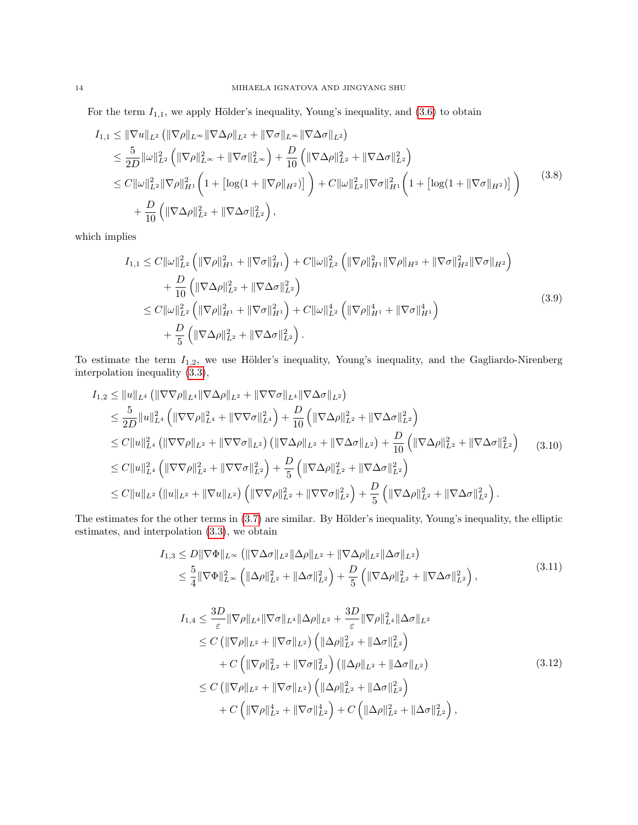For the term  $I_{1,1}$ , we apply Hölder's inequality, Young's inequality, and  $(3.6)$  to obtain

$$
I_{1,1} \leq \|\nabla u\|_{L^{2}} \left(\|\nabla \rho\|_{L^{\infty}} \|\nabla \Delta \rho\|_{L^{2}} + \|\nabla \sigma\|_{L^{\infty}} \|\nabla \Delta \sigma\|_{L^{2}}\right)
$$
  
\n
$$
\leq \frac{5}{2D} \|\omega\|_{L^{2}}^{2} \left(\|\nabla \rho\|_{L^{\infty}}^{2} + \|\nabla \sigma\|_{L^{\infty}}^{2}\right) + \frac{D}{10} \left(\|\nabla \Delta \rho\|_{L^{2}}^{2} + \|\nabla \Delta \sigma\|_{L^{2}}^{2}\right)
$$
  
\n
$$
\leq C \|\omega\|_{L^{2}}^{2} \|\nabla \rho\|_{H^{1}}^{2} \left(1 + \left[\log(1 + \|\nabla \rho\|_{H^{2}})\right]\right) + C \|\omega\|_{L^{2}}^{2} \|\nabla \sigma\|_{H^{1}}^{2} \left(1 + \left[\log(1 + \|\nabla \sigma\|_{H^{2}})\right]\right)
$$
  
\n
$$
+ \frac{D}{10} \left(\|\nabla \Delta \rho\|_{L^{2}}^{2} + \|\nabla \Delta \sigma\|_{L^{2}}^{2}\right),
$$
\n(3.8)

which implies

<span id="page-13-0"></span>
$$
I_{1,1} \leq C \|\omega\|_{L^{2}}^{2} \left( \|\nabla\rho\|_{H^{1}}^{2} + \|\nabla\sigma\|_{H^{1}}^{2} \right) + C \|\omega\|_{L^{2}}^{2} \left( \|\nabla\rho\|_{H^{1}}^{2} \|\nabla\rho\|_{H^{2}} + \|\nabla\sigma\|_{H^{2}}^{2} \|\nabla\sigma\|_{H^{2}} \right) + \frac{D}{10} \left( \|\nabla\Delta\rho\|_{L^{2}}^{2} + \|\nabla\Delta\sigma\|_{L^{2}}^{2} \right) \leq C \|\omega\|_{L^{2}}^{2} \left( \|\nabla\rho\|_{H^{1}}^{2} + \|\nabla\sigma\|_{H^{1}}^{2} \right) + C \|\omega\|_{L^{2}}^{4} \left( \|\nabla\rho\|_{H^{1}}^{4} + \|\nabla\sigma\|_{H^{1}}^{4} \right) + \frac{D}{5} \left( \|\nabla\Delta\rho\|_{L^{2}}^{2} + \|\nabla\Delta\sigma\|_{L^{2}}^{2} \right).
$$
\n(3.9)

To estimate the term  $I_{1,2}$ , we use Hölder's inequality, Young's inequality, and the Gagliardo-Nirenberg interpolation inequality [\(3.3\)](#page-12-1),

$$
I_{1,2} \leq ||u||_{L^{4}} (||\nabla\nabla\rho||_{L^{4}} ||\nabla\Delta\rho||_{L^{2}} + ||\nabla\nabla\sigma||_{L^{4}} ||\nabla\Delta\sigma||_{L^{2}})
$$
  
\n
$$
\leq \frac{5}{2D} ||u||_{L^{4}}^{2} (||\nabla\nabla\rho||_{L^{4}}^{2} + ||\nabla\nabla\sigma||_{L^{4}}^{2}) + \frac{D}{10} (||\nabla\Delta\rho||_{L^{2}}^{2} + ||\nabla\Delta\sigma||_{L^{2}}^{2})
$$
  
\n
$$
\leq C ||u||_{L^{4}}^{2} (||\nabla\nabla\rho||_{L^{2}} + ||\nabla\nabla\sigma||_{L^{2}}) (||\nabla\Delta\rho||_{L^{2}} + ||\nabla\Delta\sigma||_{L^{2}}) + \frac{D}{10} (||\nabla\Delta\rho||_{L^{2}}^{2} + ||\nabla\Delta\sigma||_{L^{2}}^{2})
$$
  
\n
$$
\leq C ||u||_{L^{4}}^{2} (||\nabla\nabla\rho||_{L^{2}}^{2} + ||\nabla\nabla\sigma||_{L^{2}}^{2}) + \frac{D}{5} (||\nabla\Delta\rho||_{L^{2}}^{2} + ||\nabla\Delta\sigma||_{L^{2}}^{2})
$$
  
\n
$$
\leq C ||u||_{L^{2}} (||u||_{L^{2}} + ||\nabla u||_{L^{2}}) (||\nabla\nabla\rho||_{L^{2}}^{2} + ||\nabla\nabla\sigma||_{L^{2}}^{2}) + \frac{D}{5} (||\nabla\Delta\rho||_{L^{2}}^{2} + ||\nabla\Delta\rho||_{L^{2}}^{2}).
$$
 (3.10)

The estimates for the other terms in  $(3.7)$  are similar. By Hölder's inequality, Young's inequality, the elliptic estimates, and interpolation [\(3.3\)](#page-12-1), we obtain

<span id="page-13-1"></span>
$$
I_{1,3} \leq D \|\nabla \Phi\|_{L^{\infty}} \left( \|\nabla \Delta \sigma\|_{L^{2}} \|\Delta \rho\|_{L^{2}} + \|\nabla \Delta \rho\|_{L^{2}} \|\Delta \sigma\|_{L^{2}} \right)
$$
  

$$
\leq \frac{5}{4} \|\nabla \Phi\|_{L^{\infty}}^{2} \left( \|\Delta \rho\|_{L^{2}}^{2} + \|\Delta \sigma\|_{L^{2}}^{2} \right) + \frac{D}{5} \left( \|\nabla \Delta \rho\|_{L^{2}}^{2} + \|\nabla \Delta \sigma\|_{L^{2}}^{2} \right),
$$
\n(3.11)

$$
I_{1,4} \leq \frac{3D}{\varepsilon} \|\nabla \rho\|_{L^{4}} \|\nabla \sigma\|_{L^{4}} \|\Delta \rho\|_{L^{2}} + \frac{3D}{\varepsilon} \|\nabla \rho\|_{L^{4}}^{2} \|\Delta \sigma\|_{L^{2}} \n\leq C \left( \|\nabla \rho\|_{L^{2}} + \|\nabla \sigma\|_{L^{2}} \right) \left( \|\Delta \rho\|_{L^{2}}^{2} + \|\Delta \sigma\|_{L^{2}}^{2} \right) \n+ C \left( \|\nabla \rho\|_{L^{2}}^{2} + \|\nabla \sigma\|_{L^{2}}^{2} \right) \left( \|\Delta \rho\|_{L^{2}} + \|\Delta \sigma\|_{L^{2}}^{2} \right) \n\leq C \left( \|\nabla \rho\|_{L^{2}} + \|\nabla \sigma\|_{L^{2}}^{2} \right) \left( \|\Delta \rho\|_{L^{2}}^{2} + \|\Delta \sigma\|_{L^{2}}^{2} \right) \n+ C \left( \|\nabla \rho\|_{L^{2}}^{4} + \|\nabla \sigma\|_{L^{2}}^{4} \right) + C \left( \|\Delta \rho\|_{L^{2}}^{2} + \|\Delta \sigma\|_{L^{2}}^{2} \right),
$$
\n(3.12)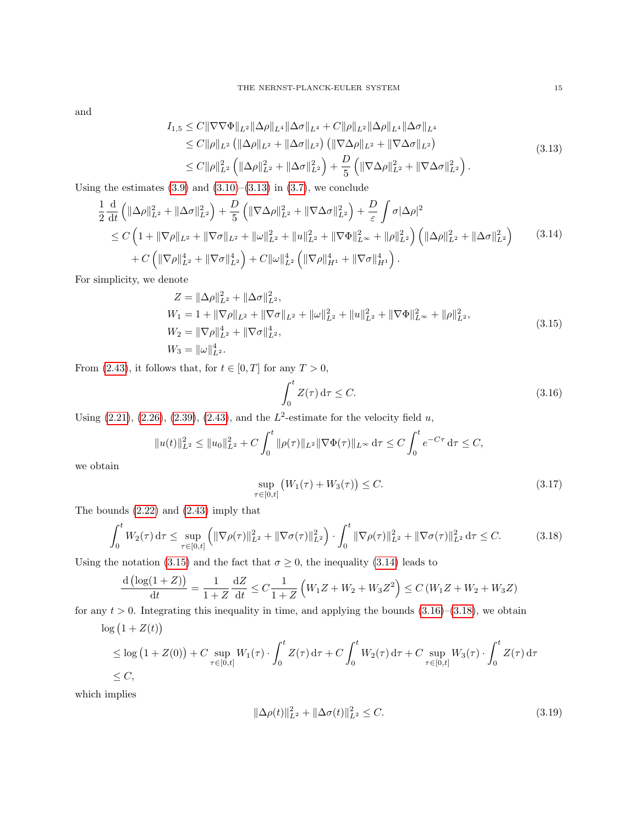and

$$
I_{1,5} \leq C \|\nabla \nabla \Phi\|_{L^{2}} \|\Delta \rho\|_{L^{4}} \|\Delta \sigma\|_{L^{4}} + C \|\rho\|_{L^{2}} \|\Delta \rho\|_{L^{4}} \|\Delta \sigma\|_{L^{4}} \leq C \|\rho\|_{L^{2}} \left( \|\Delta \rho\|_{L^{2}} + \|\Delta \sigma\|_{L^{2}} \right) \left( \|\nabla \Delta \rho\|_{L^{2}} + \|\nabla \Delta \sigma\|_{L^{2}} \right) \leq C \|\rho\|_{L^{2}}^{2} \left( \|\Delta \rho\|_{L^{2}}^{2} + \|\Delta \sigma\|_{L^{2}}^{2} \right) + \frac{D}{5} \left( \|\nabla \Delta \rho\|_{L^{2}}^{2} + \|\nabla \Delta \sigma\|_{L^{2}}^{2} \right).
$$
\n(3.13)

Using the estimates  $(3.9)$  and  $(3.10)$ – $(3.13)$  in  $(3.7)$ , we conclude

$$
\frac{1}{2} \frac{d}{dt} \left( \|\Delta \rho\|_{L^2}^2 + \|\Delta \sigma\|_{L^2}^2 \right) + \frac{D}{5} \left( \|\nabla \Delta \rho\|_{L^2}^2 + \|\nabla \Delta \sigma\|_{L^2}^2 \right) + \frac{D}{\varepsilon} \int \sigma |\Delta \rho|^2
$$
\n
$$
\leq C \left( 1 + \|\nabla \rho\|_{L^2} + \|\nabla \sigma\|_{L^2} + \|\omega\|_{L^2}^2 + \|u\|_{L^2}^2 + \|\nabla \Phi\|_{L^\infty}^2 + \|\rho\|_{L^2}^2 \right) \left( \|\Delta \rho\|_{L^2}^2 + \|\Delta \sigma\|_{L^2}^2 \right) \qquad (3.14)
$$
\n
$$
+ C \left( \|\nabla \rho\|_{L^2}^4 + \|\nabla \sigma\|_{L^2}^4 \right) + C \|\omega\|_{L^2}^4 \left( \|\nabla \rho\|_{H^1}^4 + \|\nabla \sigma\|_{H^1}^4 \right).
$$

For simplicity, we denote

$$
Z = \|\Delta \rho\|_{L^2}^2 + \|\Delta \sigma\|_{L^2}^2,
$$
  
\n
$$
W_1 = 1 + \|\nabla \rho\|_{L^2} + \|\nabla \sigma\|_{L^2} + \|\omega\|_{L^2}^2 + \|u\|_{L^2}^2 + \|\nabla \Phi\|_{L^\infty}^2 + \|\rho\|_{L^2}^2,
$$
  
\n
$$
W_2 = \|\nabla \rho\|_{L^2}^4 + \|\nabla \sigma\|_{L^2}^4,
$$
  
\n
$$
W_3 = \|\omega\|_{L^2}^4.
$$
\n(3.15)

From [\(2.43\)](#page-9-3), it follows that, for  $t \in [0, T]$  for any  $T > 0$ ,

<span id="page-14-3"></span><span id="page-14-2"></span><span id="page-14-1"></span><span id="page-14-0"></span>
$$
\int_0^t Z(\tau) \, \mathrm{d}\tau \le C. \tag{3.16}
$$

Using  $(2.21)$ ,  $(2.26)$ ,  $(2.39)$ ,  $(2.43)$ , and the  $L^2$ -estimate for the velocity field u,

$$
||u(t)||_{L^2}^2 \le ||u_0||_{L^2}^2 + C \int_0^t ||\rho(\tau)||_{L^2} ||\nabla \Phi(\tau)||_{L^\infty} d\tau \le C \int_0^t e^{-C\tau} d\tau \le C,
$$

we obtain

<span id="page-14-4"></span>
$$
\sup_{\tau \in [0,t]} \left( W_1(\tau) + W_3(\tau) \right) \le C. \tag{3.17}
$$

The bounds [\(2.22\)](#page-5-3) and [\(2.43\)](#page-9-3) imply that

 $\sim$ 

$$
\int_0^t W_2(\tau) d\tau \le \sup_{\tau \in [0,t]} \left( \|\nabla \rho(\tau)\|_{L^2}^2 + \|\nabla \sigma(\tau)\|_{L^2}^2 \right) \cdot \int_0^t \|\nabla \rho(\tau)\|_{L^2}^2 + \|\nabla \sigma(\tau)\|_{L^2}^2 d\tau \le C. \tag{3.18}
$$

Using the notation [\(3.15\)](#page-14-1) and the fact that  $\sigma \geq 0$ , the inequality [\(3.14\)](#page-14-2) leads to

$$
\frac{d\left(\log(1+Z)\right)}{dt} = \frac{1}{1+Z}\frac{dZ}{dt} \le C\frac{1}{1+Z}\left(W_1Z + W_2 + W_3Z^2\right) \le C\left(W_1Z + W_2 + W_3Z\right)
$$

for any  $t > 0$ . Integrating this inequality in time, and applying the bounds  $(3.16)$ – $(3.18)$ , we obtain

$$
\log (1 + Z(t))
$$
\n
$$
\leq \log (1 + Z(0)) + C \sup_{\tau \in [0,t]} W_1(\tau) \cdot \int_0^t Z(\tau) d\tau + C \int_0^t W_2(\tau) d\tau + C \sup_{\tau \in [0,t]} W_3(\tau) \cdot \int_0^t Z(\tau) d\tau
$$
\n
$$
\leq C,
$$

which implies

<span id="page-14-5"></span>
$$
\|\Delta \rho(t)\|_{L^2}^2 + \|\Delta \sigma(t)\|_{L^2}^2 \le C. \tag{3.19}
$$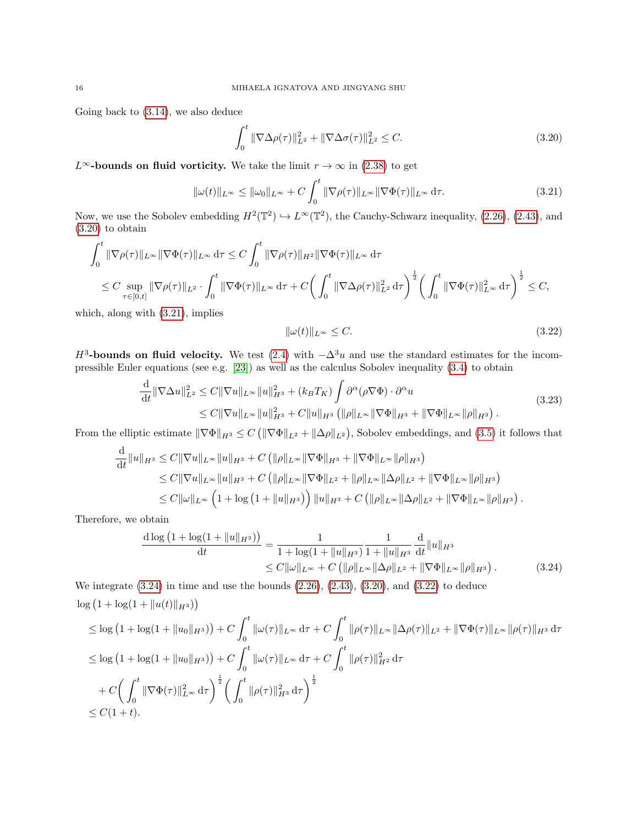Going back to [\(3.14\)](#page-14-2), we also deduce

<span id="page-15-0"></span>
$$
\int_0^t \|\nabla \Delta \rho(\tau)\|_{L^2}^2 + \|\nabla \Delta \sigma(\tau)\|_{L^2}^2 \le C.
$$
\n(3.20)

L<sup>∞</sup>-bounds on fluid vorticity. We take the limit  $r \to \infty$  in [\(2.38\)](#page-8-4) to get

$$
\|\omega(t)\|_{L^{\infty}} \le \|\omega_0\|_{L^{\infty}} + C \int_0^t \|\nabla \rho(\tau)\|_{L^{\infty}} \|\nabla \Phi(\tau)\|_{L^{\infty}} d\tau.
$$
\n(3.21)

Now, we use the Sobolev embedding  $H^2(\mathbb{T}^2) \hookrightarrow L^\infty(\mathbb{T}^2)$ , the Cauchy-Schwarz inequality, [\(2.26\)](#page-5-5), [\(2.43\)](#page-9-3), and [\(3.20\)](#page-15-0) to obtain

$$
\int_0^t \|\nabla \rho(\tau)\|_{L^\infty} \|\nabla \Phi(\tau)\|_{L^\infty} d\tau \leq C \int_0^t \|\nabla \rho(\tau)\|_{H^2} \|\nabla \Phi(\tau)\|_{L^\infty} d\tau
$$
\n
$$
\leq C \sup_{\tau \in [0,t]} \|\nabla \rho(\tau)\|_{L^2} \cdot \int_0^t \|\nabla \Phi(\tau)\|_{L^\infty} d\tau + C \bigg(\int_0^t \|\nabla \Delta \rho(\tau)\|_{L^2}^2 d\tau\bigg)^{\frac{1}{2}} \bigg(\int_0^t \|\nabla \Phi(\tau)\|_{L^\infty}^2 d\tau\bigg)^{\frac{1}{2}} \leq C,
$$

which, along with [\(3.21\)](#page-15-1), implies

<span id="page-15-4"></span><span id="page-15-3"></span><span id="page-15-2"></span><span id="page-15-1"></span>
$$
\|\omega(t)\|_{L^{\infty}} \le C. \tag{3.22}
$$

 $H^3$ -bounds on fluid velocity. We test [\(2.4\)](#page-3-6) with  $-\Delta^3 u$  and use the standard estimates for the incompressible Euler equations (see e.g. [\[23\]](#page-35-18)) as well as the calculus Sobolev inequality [\(3.4\)](#page-12-3) to obtain

$$
\frac{\mathrm{d}}{\mathrm{d}t} \|\nabla \Delta u\|_{L^2}^2 \le C \|\nabla u\|_{L^\infty} \|u\|_{H^3}^2 + (k_B T_K) \int \partial^\alpha (\rho \nabla \Phi) \cdot \partial^\alpha u
$$
\n
$$
\le C \|\nabla u\|_{L^\infty} \|u\|_{H^3}^2 + C \|u\|_{H^3} \left( \|\rho\|_{L^\infty} \|\nabla \Phi\|_{H^3} + \|\nabla \Phi\|_{L^\infty} \|\rho\|_{H^3} \right). \tag{3.23}
$$

From the elliptic estimate  $\|\nabla \Phi\|_{H^3} \leq C \left( \|\nabla \Phi\|_{L^2} + \|\Delta \rho\|_{L^2} \right)$ , Sobolev embeddings, and [\(3.5\)](#page-12-4) it follows that

$$
\frac{d}{dt} \|u\|_{H^3} \leq C \|\nabla u\|_{L^\infty} \|u\|_{H^3} + C \left( \|\rho\|_{L^\infty} \|\nabla \Phi\|_{H^3} + \|\nabla \Phi\|_{L^\infty} \|\rho\|_{H^3} \right)
$$
\n
$$
\leq C \|\nabla u\|_{L^\infty} \|u\|_{H^3} + C \left( \|\rho\|_{L^\infty} \|\nabla \Phi\|_{L^2} + \|\rho\|_{L^\infty} \|\Delta \rho\|_{L^2} + \|\nabla \Phi\|_{L^\infty} \|\rho\|_{H^3} \right)
$$
\n
$$
\leq C \|\omega\|_{L^\infty} \left( 1 + \log \left( 1 + \|u\|_{H^3} \right) \right) \|u\|_{H^3} + C \left( \|\rho\|_{L^\infty} \|\Delta \rho\|_{L^2} + \|\nabla \Phi\|_{L^\infty} \|\rho\|_{H^3} \right).
$$

Therefore, we obtain

$$
\frac{\mathrm{d}\log\left(1+\log(1+\|u\|_{H^3})\right)}{\mathrm{d}t} = \frac{1}{1+\log(1+\|u\|_{H^3})} \frac{1}{1+\|u\|_{H^3}} \frac{\mathrm{d}}{\mathrm{d}t} \|u\|_{H^3}
$$
\n
$$
\leq C \|\omega\|_{L^\infty} + C \left( \|\rho\|_{L^\infty} \|\Delta\rho\|_{L^2} + \|\nabla\Phi\|_{L^\infty} \|\rho\|_{H^3} \right). \tag{3.24}
$$

We integrate  $(3.24)$  in time and use the bounds  $(2.26)$ ,  $(2.43)$ ,  $(3.20)$ , and  $(3.22)$  to deduce  $\log (1 + \log(1 + \|u(t)\|_{H^3}))$ 

$$
\leq \log (1 + \log(1 + \|u_0\|_{H^3})) + C \int_0^t \|\omega(\tau)\|_{L^\infty} d\tau + C \int_0^t \|\rho(\tau)\|_{L^\infty} \|\Delta\rho(\tau)\|_{L^2} + \|\nabla\Phi(\tau)\|_{L^\infty} \|\rho(\tau)\|_{H^3} d\tau
$$
  
\n
$$
\leq \log (1 + \log(1 + \|u_0\|_{H^3})) + C \int_0^t \|\omega(\tau)\|_{L^\infty} d\tau + C \int_0^t \|\rho(\tau)\|_{H^2}^2 d\tau
$$
  
\n
$$
+ C \Big(\int_0^t \|\nabla\Phi(\tau)\|_{L^\infty}^2 d\tau\Big)^{\frac{1}{2}} \Big(\int_0^t \|\rho(\tau)\|_{H^3}^2 d\tau\Big)^{\frac{1}{2}}
$$
  
\n
$$
\leq C(1+t).
$$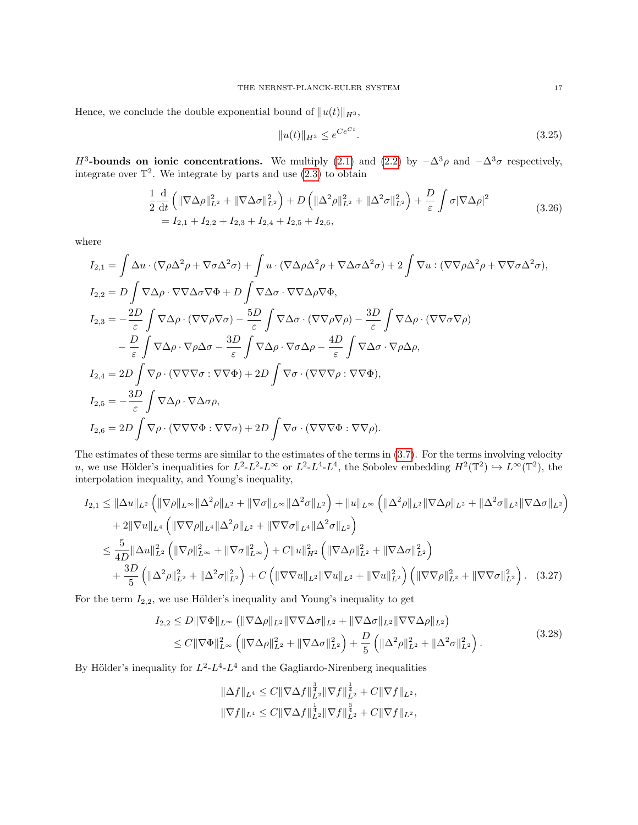Hence, we conclude the double exponential bound of  $||u(t)||_{H^3}$ ,

<span id="page-16-2"></span><span id="page-16-1"></span>
$$
||u(t)||_{H^3} \le e^{Ce^{Ct}}.\tag{3.25}
$$

H<sup>3</sup>-bounds on ionic concentrations. We multiply [\(2.1\)](#page-2-1) and [\(2.2\)](#page-2-2) by  $-\Delta^3 \rho$  and  $-\Delta^3 \sigma$  respectively, integrate over  $\mathbb{T}^2$ . We integrate by parts and use  $(2.3)$  to obtain

$$
\frac{1}{2} \frac{d}{dt} \left( \|\nabla \Delta \rho\|_{L^2}^2 + \|\nabla \Delta \sigma\|_{L^2}^2 \right) + D \left( \|\Delta^2 \rho\|_{L^2}^2 + \|\Delta^2 \sigma\|_{L^2}^2 \right) + \frac{D}{\varepsilon} \int \sigma |\nabla \Delta \rho|^2
$$
\n
$$
= I_{2,1} + I_{2,2} + I_{2,3} + I_{2,4} + I_{2,5} + I_{2,6},
$$
\n(3.26)

where

$$
I_{2,1} = \int \Delta u \cdot (\nabla \rho \Delta^2 \rho + \nabla \sigma \Delta^2 \sigma) + \int u \cdot (\nabla \Delta \rho \Delta^2 \rho + \nabla \Delta \sigma \Delta^2 \sigma) + 2 \int \nabla u : (\nabla \nabla \rho \Delta^2 \rho + \nabla \nabla \sigma \Delta^2 \sigma),
$$
  
\n
$$
I_{2,2} = D \int \nabla \Delta \rho \cdot \nabla \nabla \Delta \sigma \nabla \Phi + D \int \nabla \Delta \sigma \cdot \nabla \nabla \Delta \rho \nabla \Phi,
$$
  
\n
$$
I_{2,3} = -\frac{2D}{\varepsilon} \int \nabla \Delta \rho \cdot (\nabla \nabla \rho \nabla \sigma) - \frac{5D}{\varepsilon} \int \nabla \Delta \sigma \cdot (\nabla \nabla \rho \nabla \rho) - \frac{3D}{\varepsilon} \int \nabla \Delta \rho \cdot (\nabla \nabla \sigma \nabla \rho)
$$
  
\n
$$
- \frac{D}{\varepsilon} \int \nabla \Delta \rho \cdot \nabla \rho \Delta \sigma - \frac{3D}{\varepsilon} \int \nabla \Delta \rho \cdot \nabla \sigma \Delta \rho - \frac{4D}{\varepsilon} \int \nabla \Delta \sigma \cdot \nabla \rho \Delta \rho,
$$
  
\n
$$
I_{2,4} = 2D \int \nabla \rho \cdot (\nabla \nabla \nabla \sigma : \nabla \nabla \Phi) + 2D \int \nabla \sigma \cdot (\nabla \nabla \nabla \rho : \nabla \nabla \Phi),
$$
  
\n
$$
I_{2,5} = -\frac{3D}{\varepsilon} \int \nabla \Delta \rho \cdot \nabla \Delta \sigma \rho,
$$
  
\n
$$
I_{2,6} = 2D \int \nabla \rho \cdot (\nabla \nabla \nabla \Phi : \nabla \nabla \sigma) + 2D \int \nabla \sigma \cdot (\nabla \nabla \nabla \Phi : \nabla \nabla \rho).
$$

The estimates of these terms are similar to the estimates of the terms in [\(3.7\)](#page-12-2). For the terms involving velocity u, we use Hölder's inequalities for  $L^2-L^2-L^\infty$  or  $L^2-L^4-L^4$ , the Sobolev embedding  $H^2(\mathbb{T}^2) \hookrightarrow L^\infty(\mathbb{T}^2)$ , the interpolation inequality, and Young's inequality,

$$
I_{2,1} \leq \|\Delta u\|_{L^{2}} \left( \|\nabla \rho\|_{L^{\infty}} \|\Delta^{2} \rho\|_{L^{2}} + \|\nabla \sigma\|_{L^{\infty}} \|\Delta^{2} \sigma\|_{L^{2}} \right) + \|u\|_{L^{\infty}} \left( \|\Delta^{2} \rho\|_{L^{2}} \|\nabla \Delta \rho\|_{L^{2}} + \|\Delta^{2} \sigma\|_{L^{2}} \|\nabla \Delta \sigma\|_{L^{2}} \right) + 2\|\nabla u\|_{L^{4}} \left( \|\nabla \nabla \rho\|_{L^{4}} \|\Delta^{2} \rho\|_{L^{2}} + \|\nabla \nabla \sigma\|_{L^{4}} \|\Delta^{2} \sigma\|_{L^{2}} \right) \leq \frac{5}{4D} \|\Delta u\|_{L^{2}}^{2} \left( \|\nabla \rho\|_{L^{\infty}}^{2} + \|\nabla \sigma\|_{L^{\infty}}^{2} \right) + C\|u\|_{H^{2}}^{2} \left( \|\nabla \Delta \rho\|_{L^{2}}^{2} + \|\nabla \Delta \sigma\|_{L^{2}}^{2} \right) + \frac{3D}{5} \left( \|\Delta^{2} \rho\|_{L^{2}}^{2} + \|\Delta^{2} \sigma\|_{L^{2}}^{2} \right) + C \left( \|\nabla \nabla u\|_{L^{2}} \|\nabla u\|_{L^{2}} + \|\nabla u\|_{L^{2}}^{2} \right) \left( \|\nabla \nabla \rho\|_{L^{2}}^{2} + \|\nabla \nabla \sigma\|_{L^{2}}^{2} \right). \tag{3.27}
$$

For the term  $I_{2,2}$ , we use Hölder's inequality and Young's inequality to get

$$
I_{2,2} \leq D \|\nabla \Phi\|_{L^{\infty}} \left( \|\nabla \Delta \rho\|_{L^{2}} \|\nabla \nabla \Delta \sigma\|_{L^{2}} + \|\nabla \Delta \sigma\|_{L^{2}} \|\nabla \nabla \Delta \rho\|_{L^{2}} \right)
$$
  
\n
$$
\leq C \|\nabla \Phi\|_{L^{\infty}}^{2} \left( \|\nabla \Delta \rho\|_{L^{2}}^{2} + \|\nabla \Delta \sigma\|_{L^{2}}^{2} \right) + \frac{D}{5} \left( \|\Delta^{2} \rho\|_{L^{2}}^{2} + \|\Delta^{2} \sigma\|_{L^{2}}^{2} \right).
$$
\n(3.28)

By Hölder's inequality for  $L^2-L^4-L^4$  and the Gagliardo-Nirenberg inequalities

<span id="page-16-0"></span>
$$
\|\Delta f\|_{L^4} \leq C \|\nabla \Delta f\|_{L^2}^{\frac{3}{4}} \|\nabla f\|_{L^2}^{\frac{1}{4}} + C \|\nabla f\|_{L^2},
$$
  

$$
\|\nabla f\|_{L^4} \leq C \|\nabla \Delta f\|_{L^2}^{\frac{1}{4}} \|\nabla f\|_{L^2}^{\frac{3}{4}} + C \|\nabla f\|_{L^2},
$$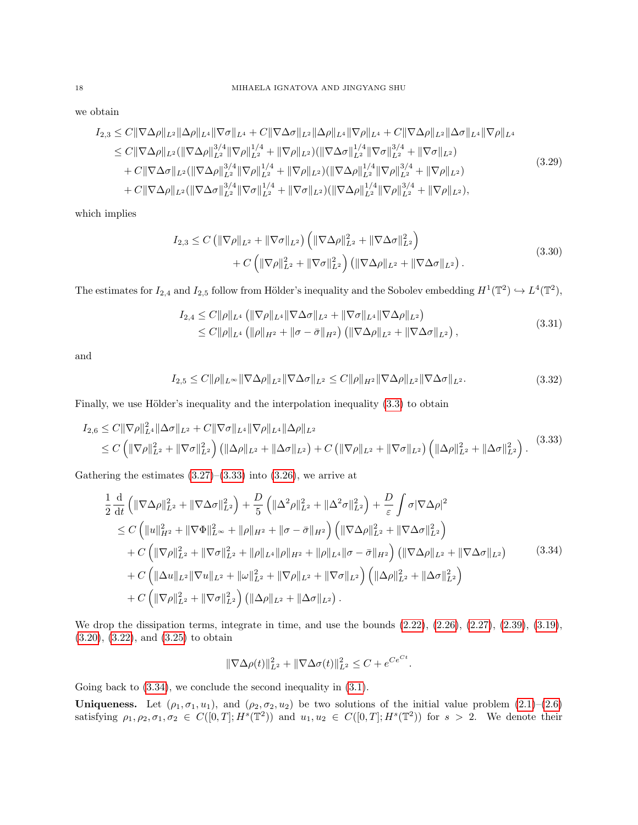we obtain

$$
I_{2,3} \leq C \|\nabla \Delta \rho\|_{L^{2}} \|\Delta \rho\|_{L^{4}} \|\nabla \sigma\|_{L^{4}} + C \|\nabla \Delta \sigma\|_{L^{2}} \|\Delta \rho\|_{L^{4}} \|\nabla \rho\|_{L^{4}} + C \|\nabla \Delta \rho\|_{L^{2}} \|\Delta \sigma\|_{L^{4}} \|\nabla \rho\|_{L^{4}}
$$
  
\n
$$
\leq C \|\nabla \Delta \rho\|_{L^{2}} (\|\nabla \Delta \rho\|_{L^{2}}^{3/4} \|\nabla \rho\|_{L^{2}}^{1/4} + \|\nabla \rho\|_{L^{2}}) (\|\nabla \Delta \sigma\|_{L^{2}}^{1/4} \|\nabla \sigma\|_{L^{2}}^{3/4} + \|\nabla \sigma\|_{L^{2}})
$$
  
\n
$$
+ C \|\nabla \Delta \sigma\|_{L^{2}} (\|\nabla \Delta \rho\|_{L^{2}}^{3/4} \|\nabla \rho\|_{L^{2}}^{1/4} + \|\nabla \rho\|_{L^{2}}) (\|\nabla \Delta \rho\|_{L^{2}}^{1/4} \|\nabla \rho\|_{L^{2}}^{3/4} + \|\nabla \rho\|_{L^{2}})
$$
  
\n
$$
+ C \|\nabla \Delta \rho\|_{L^{2}} (\|\nabla \Delta \rho\|_{L^{2}}^{3/4} \|\nabla \sigma\|_{L^{2}}^{1/4} + \|\nabla \rho\|_{L^{2}}) (\|\nabla \Delta \rho\|_{L^{2}}^{1/4} \|\nabla \rho\|_{L^{2}}^{3/4} + \|\nabla \rho\|_{L^{2}}),
$$
  
\n
$$
(3.29)
$$

which implies

$$
I_{2,3} \leq C \left( \|\nabla \rho\|_{L^{2}} + \|\nabla \sigma\|_{L^{2}} \right) \left( \|\nabla \Delta \rho\|_{L^{2}}^{2} + \|\nabla \Delta \sigma\|_{L^{2}}^{2} \right) + C \left( \|\nabla \rho\|_{L^{2}}^{2} + \|\nabla \sigma\|_{L^{2}}^{2} \right) \left( \|\nabla \Delta \rho\|_{L^{2}} + \|\nabla \Delta \sigma\|_{L^{2}} \right).
$$
\n(3.30)

The estimates for  $I_{2,4}$  and  $I_{2,5}$  follow from Hölder's inequality and the Sobolev embedding  $H^1(\mathbb{T}^2) \hookrightarrow L^4(\mathbb{T}^2)$ ,

$$
I_{2,4} \leq C ||\rho||_{L^{4}} \left( \|\nabla \rho\|_{L^{4}} \|\nabla \Delta \sigma\|_{L^{2}} + \|\nabla \sigma\|_{L^{4}} \|\nabla \Delta \rho\|_{L^{2}} \right) \leq C ||\rho||_{L^{4}} \left( \|\rho\|_{H^{2}} + \|\sigma - \bar{\sigma}\|_{H^{2}} \right) \left( \|\nabla \Delta \rho\|_{L^{2}} + \|\nabla \Delta \sigma\|_{L^{2}} \right),
$$
\n(3.31)

and

<span id="page-17-0"></span>
$$
I_{2,5} \le C \|\rho\|_{L^\infty} \|\nabla \Delta \rho\|_{L^2} \|\nabla \Delta \sigma\|_{L^2} \le C \|\rho\|_{H^2} \|\nabla \Delta \rho\|_{L^2} \|\nabla \Delta \sigma\|_{L^2}.
$$
\n(3.32)

Finally, we use Hölder's inequality and the interpolation inequality  $(3.3)$  to obtain

$$
I_{2,6} \leq C \|\nabla \rho\|_{L^4}^2 \|\Delta \sigma\|_{L^2} + C \|\nabla \sigma\|_{L^4} \|\nabla \rho\|_{L^4} \|\Delta \rho\|_{L^2}
$$
  
\n
$$
\leq C \left( \|\nabla \rho\|_{L^2}^2 + \|\nabla \sigma\|_{L^2}^2 \right) \left( \|\Delta \rho\|_{L^2} + \|\Delta \sigma\|_{L^2} \right) + C \left( \|\nabla \rho\|_{L^2} + \|\nabla \sigma\|_{L^2} \right) \left( \|\Delta \rho\|_{L^2}^2 + \|\Delta \sigma\|_{L^2}^2 \right). \tag{3.33}
$$

Gathering the estimates  $(3.27)$ – $(3.33)$  into  $(3.26)$ , we arrive at

$$
\frac{1}{2} \frac{d}{dt} \left( \|\nabla \Delta \rho\|_{L^2}^2 + \|\nabla \Delta \sigma\|_{L^2}^2 \right) + \frac{D}{5} \left( \|\Delta^2 \rho\|_{L^2}^2 + \|\Delta^2 \sigma\|_{L^2}^2 \right) + \frac{D}{\varepsilon} \int \sigma |\nabla \Delta \rho|^2
$$
\n
$$
\leq C \left( \|u\|_{H^2}^2 + \|\nabla \Phi\|_{L^\infty}^2 + \|\rho\|_{H^2} + \|\sigma - \bar{\sigma}\|_{H^2} \right) \left( \|\nabla \Delta \rho\|_{L^2}^2 + \|\nabla \Delta \sigma\|_{L^2}^2 \right)
$$
\n
$$
+ C \left( \|\nabla \rho\|_{L^2}^2 + \|\nabla \sigma\|_{L^2}^2 + \|\rho\|_{L^4} \|\rho\|_{H^2} + \|\rho\|_{L^4} \|\sigma - \bar{\sigma}\|_{H^2} \right) \left( \|\nabla \Delta \rho\|_{L^2} + \|\nabla \Delta \sigma\|_{L^2} \right)
$$
\n
$$
+ C \left( \|\Delta u\|_{L^2} \|\nabla u\|_{L^2} + \|\omega\|_{L^2}^2 + \|\nabla \rho\|_{L^2} + \|\nabla \sigma\|_{L^2} \right) \left( \|\Delta \rho\|_{L^2}^2 + \|\Delta \sigma\|_{L^2}^2 \right)
$$
\n
$$
+ C \left( \|\nabla \rho\|_{L^2}^2 + \|\nabla \sigma\|_{L^2}^2 \right) \left( \|\Delta \rho\|_{L^2} + \|\Delta \sigma\|_{L^2} \right).
$$
\n(3.34)

We drop the dissipation terms, integrate in time, and use the bounds  $(2.22)$ ,  $(2.26)$ ,  $(2.27)$ ,  $(2.39)$ ,  $(3.19)$ , [\(3.20\)](#page-15-0), [\(3.22\)](#page-15-3), and [\(3.25\)](#page-16-2) to obtain

<span id="page-17-1"></span>
$$
\|\nabla \Delta \rho(t)\|_{L^2}^2 + \|\nabla \Delta \sigma(t)\|_{L^2}^2 \le C + e^{Ce^{Ct}}.
$$

Going back to  $(3.34)$ , we conclude the second inequality in  $(3.1)$ .

**Uniqueness.** Let  $(\rho_1, \sigma_1, u_1)$ , and  $(\rho_2, \sigma_2, u_2)$  be two solutions of the initial value problem  $(2.1)$ – $(2.6)$ satisfying  $\rho_1, \rho_2, \sigma_1, \sigma_2 \in C([0,T]; H^s(\mathbb{T}^2))$  and  $u_1, u_2 \in C([0,T]; H^s(\mathbb{T}^2))$  for  $s > 2$ . We denote their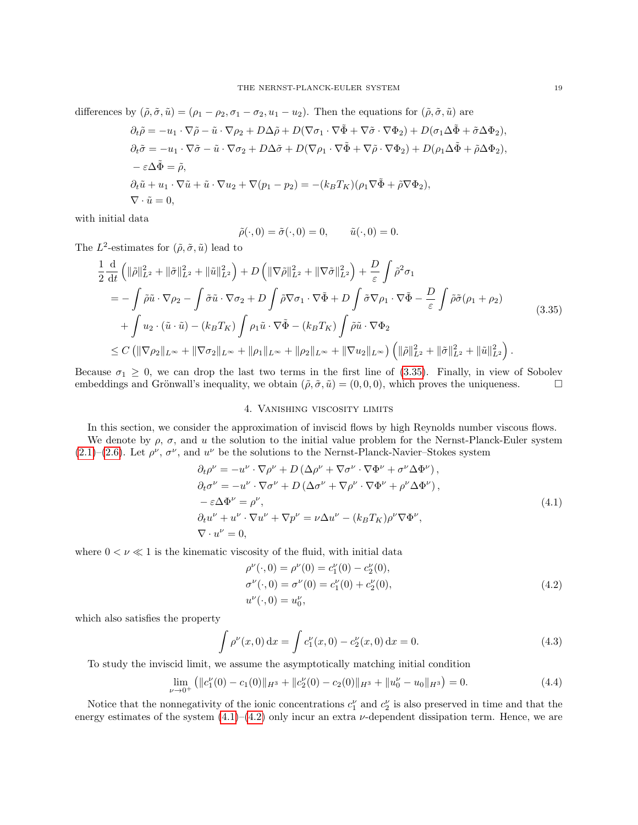differences by  $(\tilde{\rho}, \tilde{\sigma}, \tilde{u}) = (\rho_1 - \rho_2, \sigma_1 - \sigma_2, u_1 - u_2)$ . Then the equations for  $(\tilde{\rho}, \tilde{\sigma}, \tilde{u})$  are

$$
\partial_t \tilde{\rho} = -u_1 \cdot \nabla \tilde{\rho} - \tilde{u} \cdot \nabla \rho_2 + D\Delta \tilde{\rho} + D(\nabla \sigma_1 \cdot \nabla \tilde{\Phi} + \nabla \tilde{\sigma} \cdot \nabla \Phi_2) + D(\sigma_1 \Delta \tilde{\Phi} + \tilde{\sigma} \Delta \Phi_2),
$$
  
\n
$$
\partial_t \tilde{\sigma} = -u_1 \cdot \nabla \tilde{\sigma} - \tilde{u} \cdot \nabla \sigma_2 + D\Delta \tilde{\sigma} + D(\nabla \rho_1 \cdot \nabla \tilde{\Phi} + \nabla \tilde{\rho} \cdot \nabla \Phi_2) + D(\rho_1 \Delta \tilde{\Phi} + \tilde{\rho} \Delta \Phi_2),
$$
  
\n
$$
-\varepsilon \Delta \tilde{\Phi} = \tilde{\rho},
$$
  
\n
$$
\partial_t \tilde{u} + u_1 \cdot \nabla \tilde{u} + \tilde{u} \cdot \nabla u_2 + \nabla (p_1 - p_2) = -(k_B T_K)(\rho_1 \nabla \tilde{\Phi} + \tilde{\rho} \nabla \Phi_2),
$$
  
\n
$$
\nabla \cdot \tilde{u} = 0,
$$

with initial data

<span id="page-18-1"></span>
$$
\tilde{\rho}(\cdot,0) = \tilde{\sigma}(\cdot,0) = 0, \qquad \tilde{u}(\cdot,0) = 0.
$$

The  $L^2$ -estimates for  $(\tilde{\rho}, \tilde{\sigma}, \tilde{u})$  lead to

$$
\frac{1}{2} \frac{\mathrm{d}}{\mathrm{d}t} \left( \|\tilde{\rho}\|_{L^2}^2 + \|\tilde{\sigma}\|_{L^2}^2 + \|\tilde{u}\|_{L^2}^2 \right) + D \left( \|\nabla \tilde{\rho}\|_{L^2}^2 + \|\nabla \tilde{\sigma}\|_{L^2}^2 \right) + \frac{D}{\varepsilon} \int \tilde{\rho}^2 \sigma_1
$$
\n
$$
= -\int \tilde{\rho}\tilde{u} \cdot \nabla \rho_2 - \int \tilde{\sigma}\tilde{u} \cdot \nabla \sigma_2 + D \int \tilde{\rho} \nabla \sigma_1 \cdot \nabla \tilde{\Phi} + D \int \tilde{\sigma} \nabla \rho_1 \cdot \nabla \tilde{\Phi} - \frac{D}{\varepsilon} \int \tilde{\rho}\tilde{\sigma}(\rho_1 + \rho_2)
$$
\n
$$
+ \int u_2 \cdot (\tilde{u} \cdot \tilde{u}) - (k_B T_K) \int \rho_1 \tilde{u} \cdot \nabla \tilde{\Phi} - (k_B T_K) \int \tilde{\rho}\tilde{u} \cdot \nabla \Phi_2
$$
\n
$$
\leq C \left( \|\nabla \rho_2\|_{L^\infty} + \|\nabla \sigma_2\|_{L^\infty} + \|\rho_1\|_{L^\infty} + \|\rho_2\|_{L^\infty} + \|\nabla u_2\|_{L^\infty} \right) \left( \|\tilde{\rho}\|_{L^2}^2 + \|\tilde{\sigma}\|_{L^2}^2 + \|\tilde{u}\|_{L^2}^2 \right). \tag{3.35}
$$

Because  $\sigma_1 \geq 0$ , we can drop the last two terms in the first line of [\(3.35\)](#page-18-1). Finally, in view of Sobolev embeddings and Grönwall's inequality, we obtain  $(\tilde{\rho}, \tilde{\sigma}, \tilde{u}) = (0, 0, 0)$ , which proves the uniqueness.

# 4. Vanishing viscosity limits

<span id="page-18-0"></span>In this section, we consider the approximation of inviscid flows by high Reynolds number viscous flows. We denote by  $\rho$ ,  $\sigma$ , and u the solution to the initial value problem for the Nernst-Planck-Euler system  $(2.1)$ – $(2.6)$ . Let  $\rho^{\nu}$ ,  $\sigma^{\nu}$ , and  $u^{\nu}$  be the solutions to the Nernst-Planck-Navier–Stokes system

$$
\partial_t \rho^{\nu} = -u^{\nu} \cdot \nabla \rho^{\nu} + D \left( \Delta \rho^{\nu} + \nabla \sigma^{\nu} \cdot \nabla \Phi^{\nu} + \sigma^{\nu} \Delta \Phi^{\nu} \right),
$$
  
\n
$$
\partial_t \sigma^{\nu} = -u^{\nu} \cdot \nabla \sigma^{\nu} + D \left( \Delta \sigma^{\nu} + \nabla \rho^{\nu} \cdot \nabla \Phi^{\nu} + \rho^{\nu} \Delta \Phi^{\nu} \right),
$$
  
\n
$$
-\varepsilon \Delta \Phi^{\nu} = \rho^{\nu},
$$
  
\n
$$
\partial_t u^{\nu} + u^{\nu} \cdot \nabla u^{\nu} + \nabla p^{\nu} = \nu \Delta u^{\nu} - (k_B T_K) \rho^{\nu} \nabla \Phi^{\nu},
$$
  
\n
$$
\nabla \cdot u^{\nu} = 0,
$$
  
\n(4.1)

where  $0 < \nu \ll 1$  is the kinematic viscosity of the fluid, with initial data

<span id="page-18-5"></span><span id="page-18-4"></span><span id="page-18-3"></span><span id="page-18-2"></span>
$$
\rho^{\nu}(\cdot,0) = \rho^{\nu}(0) = c_1^{\nu}(0) - c_2^{\nu}(0),
$$
  
\n
$$
\sigma^{\nu}(\cdot,0) = \sigma^{\nu}(0) = c_1^{\nu}(0) + c_2^{\nu}(0),
$$
  
\n
$$
u^{\nu}(\cdot,0) = u_0^{\nu},
$$
\n(4.2)

which also satisfies the property

$$
\int \rho^{\nu}(x,0) dx = \int c_1^{\nu}(x,0) - c_2^{\nu}(x,0) dx = 0.
$$
\n(4.3)

To study the inviscid limit, we assume the asymptotically matching initial condition

$$
\lim_{\nu \to 0^+} (||c_1^{\nu}(0) - c_1(0)||_{H^3} + ||c_2^{\nu}(0) - c_2(0)||_{H^3} + ||u_0^{\nu} - u_0||_{H^3}) = 0.
$$
\n(4.4)

Notice that the nonnegativity of the ionic concentrations  $c_1^{\nu}$  and  $c_2^{\nu}$  is also preserved in time and that the energy estimates of the system  $(4.1)$ – $(4.2)$  only incur an extra  $\nu$ -dependent dissipation term. Hence, we are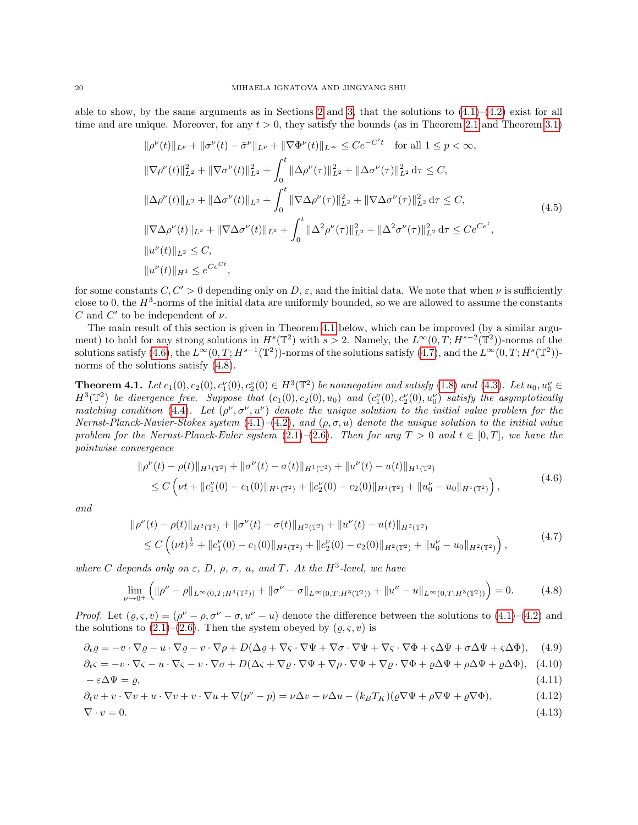able to show, by the same arguments as in Sections [2](#page-2-0) and [3,](#page-11-0) that the solutions to  $(4.1)$ – $(4.2)$  exist for all time and are unique. Moreover, for any  $t > 0$ , they satisfy the bounds (as in Theorem [2.1](#page-3-5) and Theorem [3.1\)](#page-11-1)

<span id="page-19-9"></span>
$$
\|\rho^{\nu}(t)\|_{L^{p}} + \|\sigma^{\nu}(t) - \bar{\sigma}^{\nu}\|_{L^{p}} + \|\nabla\Phi^{\nu}(t)\|_{L^{\infty}} \leq Ce^{-C't} \quad \text{for all } 1 \leq p < \infty,
$$
  

$$
\|\nabla\rho^{\nu}(t)\|_{L^{2}}^{2} + \|\nabla\sigma^{\nu}(t)\|_{L^{2}}^{2} + \int_{0}^{t} \|\Delta\rho^{\nu}(\tau)\|_{L^{2}}^{2} + \|\Delta\sigma^{\nu}(\tau)\|_{L^{2}}^{2} d\tau \leq C,
$$
  

$$
\|\Delta\rho^{\nu}(t)\|_{L^{2}} + \|\Delta\sigma^{\nu}(t)\|_{L^{2}} + \int_{0}^{t} \|\nabla\Delta\rho^{\nu}(\tau)\|_{L^{2}}^{2} + \|\nabla\Delta\sigma^{\nu}(\tau)\|_{L^{2}}^{2} d\tau \leq C,
$$
  

$$
\|\nabla\Delta\rho^{\nu}(t)\|_{L^{2}} + \|\nabla\Delta\sigma^{\nu}(t)\|_{L^{2}} + \int_{0}^{t} \|\Delta^{2}\rho^{\nu}(\tau)\|_{L^{2}}^{2} + \|\Delta^{2}\sigma^{\nu}(\tau)\|_{L^{2}}^{2} d\tau \leq Ce^{Ce^{t}},
$$
  

$$
\|u^{\nu}(t)\|_{L^{2}} \leq C,
$$
  

$$
\|u^{\nu}(t)\|_{H^{3}} \leq e^{Ce^{Ct}},
$$
 (4.5)

for some constants  $C, C' > 0$  depending only on D,  $\varepsilon$ , and the initial data. We note that when  $\nu$  is sufficiently close to 0, the  $H^3$ -norms of the initial data are uniformly bounded, so we are allowed to assume the constants C and  $C'$  to be independent of  $\nu$ .

The main result of this section is given in Theorem [4.1](#page-19-0) below, which can be improved (by a similar argument) to hold for any strong solutions in  $H^s(\mathbb{T}^2)$  with  $s > 2$ . Namely, the  $L^{\infty}(0,T; H^{s-2}(\mathbb{T}^2))$ -norms of the solutions satisfy [\(4.6\)](#page-19-1), the  $L^{\infty}(0,T;H^{s-1}(\mathbb{T}^2))$ -norms of the solutions satisfy [\(4.7\)](#page-19-2), and the  $L^{\infty}(0,T;H^s(\mathbb{T}^2))$ norms of the solutions satisfy  $(4.8)$ .

<span id="page-19-0"></span>**Theorem 4.1.** Let  $c_1(0), c_2(0), c_1^{\nu}(0), c_2^{\nu}(0) \in H^3(\mathbb{T}^2)$  be nonnegative and satisfy [\(1.8\)](#page-1-0) and [\(4.3\)](#page-18-4). Let  $u_0, u_0^{\nu} \in$  $H^3(\mathbb{T}^2)$  be divergence free. Suppose that  $(c_1(0), c_2(0), u_0)$  and  $(c_1'(0), c_2'(0), u_0'')$  satisfy the asymptotically matching condition [\(4.4\)](#page-18-5). Let  $(\rho^{\nu}, \sigma^{\nu}, u^{\nu})$  denote the unique solution to the initial value problem for the Nernst-Planck-Navier-Stokes system  $(4.1)$ – $(4.2)$ , and  $(\rho, \sigma, u)$  denote the unique solution to the initial value problem for the Nernst-Planck-Euler system  $(2.1)$ – $(2.6)$ . Then for any  $T > 0$  and  $t \in [0, T]$ , we have the pointwise convergence

<span id="page-19-2"></span><span id="page-19-1"></span>
$$
\|\rho^{\nu}(t) - \rho(t)\|_{H^1(\mathbb{T}^2)} + \|\sigma^{\nu}(t) - \sigma(t)\|_{H^1(\mathbb{T}^2)} + \|u^{\nu}(t) - u(t)\|_{H^1(\mathbb{T}^2)}\leq C \left(\nu t + \|c_1^{\nu}(0) - c_1(0)\|_{H^1(\mathbb{T}^2)} + \|c_2^{\nu}(0) - c_2(0)\|_{H^1(\mathbb{T}^2)} + \|u_0^{\nu} - u_0\|_{H^1(\mathbb{T}^2)}\right),
$$
\n(4.6)

and

<span id="page-19-3"></span>
$$
\|\rho^{\nu}(t) - \rho(t)\|_{H^2(\mathbb{T}^2)} + \|\sigma^{\nu}(t) - \sigma(t)\|_{H^2(\mathbb{T}^2)} + \|u^{\nu}(t) - u(t)\|_{H^2(\mathbb{T}^2)}\leq C\left((\nu t)^{\frac{1}{2}} + \|c_1^{\nu}(0) - c_1(0)\|_{H^2(\mathbb{T}^2)} + \|c_2^{\nu}(0) - c_2(0)\|_{H^2(\mathbb{T}^2)} + \|u_0^{\nu} - u_0\|_{H^2(\mathbb{T}^2)}\right),
$$
\n(4.7)

where C depends only on  $\varepsilon$ , D,  $\rho$ ,  $\sigma$ , u, and T. At the H<sup>3</sup>-level, we have

<span id="page-19-8"></span><span id="page-19-7"></span><span id="page-19-6"></span><span id="page-19-5"></span><span id="page-19-4"></span>
$$
\lim_{\nu \to 0^+} \left( \|\rho^{\nu} - \rho\|_{L^{\infty}(0,T;H^3(\mathbb{T}^2))} + \|\sigma^{\nu} - \sigma\|_{L^{\infty}(0,T;H^3(\mathbb{T}^2))} + \|u^{\nu} - u\|_{L^{\infty}(0,T;H^3(\mathbb{T}^2))} \right) = 0.
$$
 (4.8)

Proof. Let  $(\varrho, \varsigma, v) = (\rho^{\nu} - \rho, \sigma^{\nu} - \sigma, u^{\nu} - u)$  denote the difference between the solutions to  $(4.1)$ – $(4.2)$  and the solutions to  $(2.1)$ – $(2.6)$ . Then the system obeyed by  $(\varrho, \varsigma, v)$  is

$$
\partial_t \varrho = -v \cdot \nabla \varrho - u \cdot \nabla \varrho - v \cdot \nabla \rho + D(\Delta \varrho + \nabla \varsigma \cdot \nabla \Psi + \nabla \sigma \cdot \nabla \Psi + \nabla \varsigma \cdot \nabla \Phi + \varsigma \Delta \Psi + \sigma \Delta \Psi + \varsigma \Delta \Phi), \quad (4.9)
$$

$$
\partial_t \varsigma = -v \cdot \nabla \varsigma - u \cdot \nabla \varsigma - v \cdot \nabla \sigma + D(\Delta \varsigma + \nabla \varrho \cdot \nabla \Psi + \nabla \rho \cdot \nabla \Psi + \nabla \varrho \cdot \nabla \Phi + \varrho \Delta \Psi + \rho \Delta \Psi + \varrho \Delta \Phi), \tag{4.10}
$$

$$
-\varepsilon \Delta \Psi = \varrho,\tag{4.11}
$$

$$
\partial_t v + v \cdot \nabla v + u \cdot \nabla v + v \cdot \nabla u + \nabla (p^{\nu} - p) = \nu \Delta v + \nu \Delta u - (k_B T_K)(\varrho \nabla \Psi + \rho \nabla \Psi + \varrho \nabla \Phi), \tag{4.12}
$$

$$
\nabla \cdot v = 0. \tag{4.13}
$$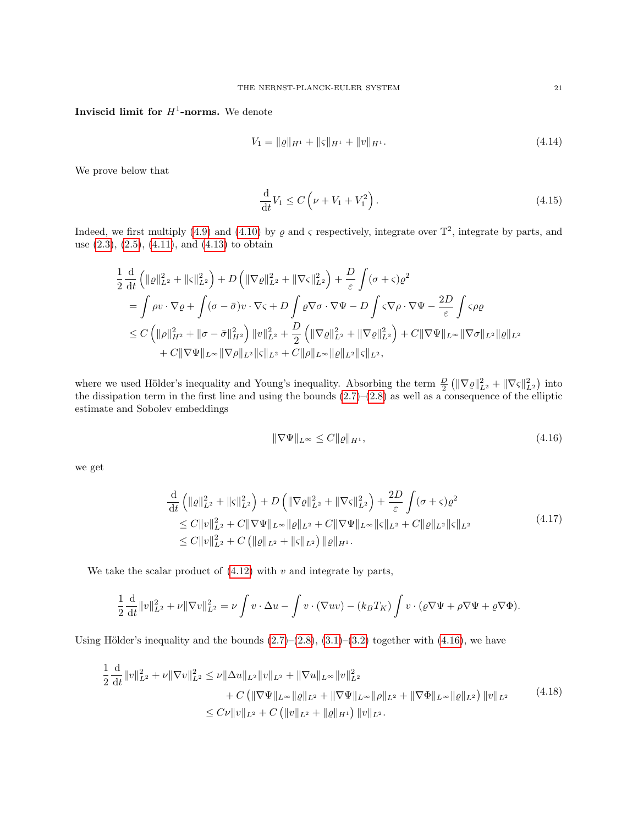# Inviscid limit for  $H^1$ -norms. We denote

$$
V_1 = \|\varrho\|_{H^1} + \|\varsigma\|_{H^1} + \|v\|_{H^1}.
$$
\n(4.14)

We prove below that

<span id="page-20-3"></span>
$$
\frac{\mathrm{d}}{\mathrm{d}t}V_1 \le C\left(\nu + V_1 + V_1^2\right). \tag{4.15}
$$

Indeed, we first multiply [\(4.9\)](#page-19-4) and [\(4.10\)](#page-19-5) by  $\rho$  and  $\varsigma$  respectively, integrate over  $\mathbb{T}^2$ , integrate by parts, and use  $(2.3)$ ,  $(2.5)$ ,  $(4.11)$ , and  $(4.13)$  to obtain

$$
\frac{1}{2} \frac{\mathrm{d}}{\mathrm{d}t} \left( \|\varrho\|_{L^2}^2 + \|\varsigma\|_{L^2}^2 \right) + D \left( \|\nabla\varrho\|_{L^2}^2 + \|\nabla\varsigma\|_{L^2}^2 \right) + \frac{D}{\varepsilon} \int (\sigma + \varsigma) \varrho^2
$$
\n
$$
= \int \rho v \cdot \nabla \varrho + \int (\sigma - \bar{\sigma}) v \cdot \nabla \varsigma + D \int \varrho \nabla \sigma \cdot \nabla \Psi - D \int \varsigma \nabla \rho \cdot \nabla \Psi - \frac{2D}{\varepsilon} \int \varsigma \rho \varrho
$$
\n
$$
\leq C \left( \|\rho\|_{H^2}^2 + \|\sigma - \bar{\sigma}\|_{H^2}^2 \right) \|v\|_{L^2}^2 + \frac{D}{2} \left( \|\nabla\varrho\|_{L^2}^2 + \|\nabla\varrho\|_{L^2}^2 \right) + C \|\nabla\Psi\|_{L^\infty} \|\nabla\sigma\|_{L^2} \|g\|_{L^2}
$$
\n
$$
+ C \|\nabla\Psi\|_{L^\infty} \|\nabla\rho\|_{L^2} \|\varsigma\|_{L^2} + C \|\rho\|_{L^\infty} \|\varrho\|_{L^2} \|\varsigma\|_{L^2},
$$

where we used Hölder's inequality and Young's inequality. Absorbing the term  $\frac{D}{2} (\|\nabla \varrho\|_{L^2}^2 + \|\nabla \varsigma\|_{L^2}^2)$  into the dissipation term in the first line and using the bounds  $(2.7)$ – $(2.8)$  as well as a consequence of the elliptic estimate and Sobolev embeddings

<span id="page-20-2"></span><span id="page-20-1"></span><span id="page-20-0"></span>
$$
\|\nabla\Psi\|_{L^{\infty}} \le C \|\varrho\|_{H^1},\tag{4.16}
$$

we get

$$
\frac{\mathrm{d}}{\mathrm{d}t} \left( \| \varrho \|_{L^2}^2 + \| \varsigma \|_{L^2}^2 \right) + D \left( \| \nabla \varrho \|_{L^2}^2 + \| \nabla \varsigma \|_{L^2}^2 \right) + \frac{2D}{\varepsilon} \int (\sigma + \varsigma) \varrho^2
$$
\n
$$
\leq C \| v \|_{L^2}^2 + C \| \nabla \Psi \|_{L^\infty} \| \varrho \|_{L^2} + C \| \nabla \Psi \|_{L^\infty} \| \varsigma \|_{L^2} + C \| \varrho \|_{L^2} \| \varsigma \|_{L^2}
$$
\n
$$
\leq C \| v \|_{L^2}^2 + C \left( \| \varrho \|_{L^2} + \| \varsigma \|_{L^2} \right) \| \varrho \|_{H^1}.
$$
\n
$$
(4.17)
$$

We take the scalar product of  $(4.12)$  with v and integrate by parts,

$$
\frac{1}{2}\frac{\mathrm{d}}{\mathrm{d}t}||v||_{L^{2}}^{2} + \nu||\nabla v||_{L^{2}}^{2} = \nu \int v \cdot \Delta u - \int v \cdot (\nabla uv) - (k_{B}T_{K}) \int v \cdot (\varrho \nabla \Psi + \rho \nabla \Psi + \varrho \nabla \Phi).
$$

Using Hölder's inequality and the bounds  $(2.7)$ – $(2.8)$ ,  $(3.1)$ – $(3.2)$  together with  $(4.16)$ , we have

$$
\frac{1}{2} \frac{\mathrm{d}}{\mathrm{d}t} \|v\|_{L^2}^2 + \nu \|\nabla v\|_{L^2}^2 \le \nu \|\Delta u\|_{L^2} \|v\|_{L^2} + \|\nabla u\|_{L^\infty} \|v\|_{L^2}^2 \n+ C \left( \|\nabla \Psi\|_{L^\infty} \| \varrho \|_{L^2} + \|\nabla \Psi\|_{L^\infty} \| \rho \|_{L^2} + \|\nabla \Phi\|_{L^\infty} \| \varrho \|_{L^2} \right) \|v\|_{L^2} \n\le C \nu \|v\|_{L^2} + C \left( \|v\|_{L^2} + \| \varrho \|_{H^1} \right) \|v\|_{L^2}.
$$
\n(4.18)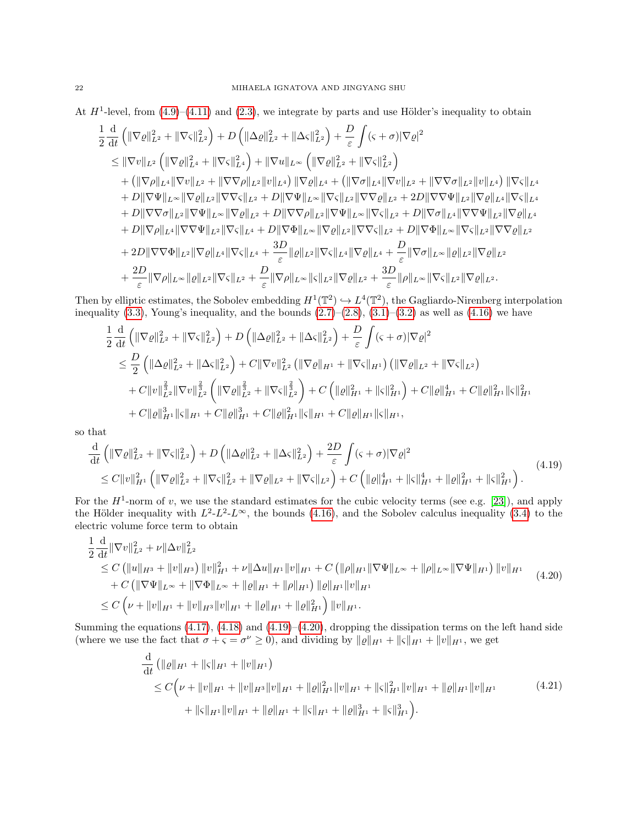At  $H^1$ -level, from  $(4.9)$ – $(4.11)$  and  $(2.3)$ , we integrate by parts and use Hölder's inequality to obtain

$$
\begin{split}\n&\frac{1}{2}\frac{\mathrm{d}}{\mathrm{d}t}\left(\|\nabla\varrho\|^{2}_{L^{2}}+\|\nabla\varsigma\|^{2}_{L^{2}}\right)+D\left(\|\Delta\varrho\|^{2}_{L^{2}}+\|\Delta\varsigma\|^{2}_{L^{2}}\right)+\frac{D}{\varepsilon}\int(\varsigma+\sigma)|\nabla\varrho|^{2} \\
&\leq\|\nabla v\|_{L^{2}}\left(\|\nabla\varrho\|^{2}_{L^{4}}+\|\nabla\varsigma\|^{2}_{L^{4}}\right)+\|\nabla u\|_{L^{\infty}}\left(\|\nabla\varrho\|^{2}_{L^{2}}+\|\nabla\varsigma\|^{2}_{L^{2}}\right) \\
&+\left(\|\nabla\rho\|_{L^{4}}\|\nabla v\|_{L^{2}}+\|\nabla\nabla\rho\|_{L^{2}}\|v\|_{L^{4}}\right)\|\nabla\varrho\|_{L^{4}}+\left(\|\nabla\sigma\|_{L^{4}}\|\nabla v\|_{L^{2}}+\|\nabla\nabla\sigma\|_{L^{2}}\|v\|_{L^{4}}\right)\|\nabla\varsigma\|_{L^{4}} \\
&+D\|\nabla\Psi\|_{L^{\infty}}\|\nabla\varrho\|_{L^{2}}\|\nabla\nabla\varsigma\|_{L^{2}}+D\|\nabla\Psi\|_{L^{\infty}}\|\nabla\varsigma\|_{L^{2}}\|\nabla\nabla\varrho\|_{L^{2}}+2D\|\nabla\nabla\Psi\|_{L^{2}}\|\nabla\varrho\|_{L^{4}}\|\nabla\varsigma\|_{L^{4}} \\
&+D\|\nabla\nabla\sigma\|_{L^{2}}\|\nabla\Psi\|_{L^{\infty}}\|\nabla\varrho\|_{L^{2}}+D\|\nabla\nabla\rho\|_{L^{2}}\|\nabla\Psi\|_{L^{\infty}}\|\nabla\varsigma\|_{L^{2}}+D\|\nabla\sigma\|_{L^{4}}\|\nabla\nabla\Psi\|_{L^{4}}\|\nabla\varsigma\|\varrho\|_{L^{4}} \\
&+D\|\nabla\rho\|_{L^{4}}\|\nabla\nabla\Psi\|_{L^{2}}\|\nabla\varsigma\|_{L^{4}}+D\|\nabla\Phi\
$$

Then by elliptic estimates, the Sobolev embedding  $H^1(\mathbb{T}^2) \hookrightarrow L^4(\mathbb{T}^2)$ , the Gagliardo-Nirenberg interpolation inequality  $(3.3)$ , Young's inequality, and the bounds  $(2.7)$ – $(2.8)$ ,  $(3.1)$ – $(3.2)$  as well as  $(4.16)$  we have

$$
\frac{1}{2} \frac{d}{dt} \left( \|\nabla \varrho\|_{L^2}^2 + \|\nabla \varsigma\|_{L^2}^2 \right) + D \left( \|\Delta \varrho\|_{L^2}^2 + \|\Delta \varsigma\|_{L^2}^2 \right) + \frac{D}{\varepsilon} \int (\varsigma + \sigma) |\nabla \varrho|^2
$$
\n
$$
\leq \frac{D}{2} \left( \|\Delta \varrho\|_{L^2}^2 + \|\Delta \varsigma\|_{L^2}^2 \right) + C \|\nabla v\|_{L^2}^2 \left( \|\nabla \varrho\|_{H^1} + \|\nabla \varsigma\|_{H^1} \right) \left( \|\nabla \varrho\|_{L^2} + \|\nabla \varsigma\|_{L^2} \right)
$$
\n
$$
+ C \|v\|_{L^2}^{\frac{2}{3}} \|\nabla v\|_{L^2}^{\frac{2}{3}} \left( \|\nabla \varrho\|_{L^2}^{\frac{2}{3}} + \|\nabla \varsigma\|_{L^2}^{\frac{2}{3}} \right) + C \left( \| \varrho \|_{H^1}^2 + \| \varsigma \|_{H^1}^2 \right) + C \| \varrho \|_{H^1}^4 + C \| \varrho \|_{H^1}^2 \| \varsigma \|_{H^1}
$$
\n
$$
+ C \| \varrho \|_{H^1}^3 \| \varsigma \|_{H^1} + C \| \varrho \|_{H^1}^3 + C \| \varrho \|_{H^1}^2 \| \varsigma \|_{H^1} + C \| \varrho \|_{H^1} \| \varsigma \|_{H^1},
$$

so that

$$
\frac{\mathrm{d}}{\mathrm{d}t} \left( \|\nabla \varrho\|_{L^2}^2 + \|\nabla \varsigma\|_{L^2}^2 \right) + D \left( \|\Delta \varrho\|_{L^2}^2 + \|\Delta \varsigma\|_{L^2}^2 \right) + \frac{2D}{\varepsilon} \int (\varsigma + \sigma) |\nabla \varrho|^2
$$
\n
$$
\leq C \|v\|_{H^1}^2 \left( \|\nabla \varrho\|_{L^2}^2 + \|\nabla \varsigma\|_{L^2}^2 + \|\nabla \varrho\|_{L^2} + \|\nabla \varsigma\|_{L^2} \right) + C \left( \|\varrho\|_{H^1}^4 + \|\varsigma\|_{H^1}^4 + \|\varrho\|_{H^1}^2 + \|\varsigma\|_{H^1}^2 \right). \tag{4.19}
$$

For the  $H^1$ -norm of v, we use the standard estimates for the cubic velocity terms (see e.g. [\[23\]](#page-35-18)), and apply the Hölder inequality with  $L^2-L^2-\mathcal{L}^{\infty}$ , the bounds [\(4.16\)](#page-20-0), and the Sobolev calculus inequality [\(3.4\)](#page-12-3) to the electric volume force term to obtain

$$
\frac{1}{2} \frac{\mathrm{d}}{\mathrm{d}t} \|\nabla v\|_{L^{2}}^{2} + \nu \|\Delta v\|_{L^{2}}^{2} \n\leq C \left( \|u\|_{H^{3}} + \|v\|_{H^{3}} \right) \|v\|_{H^{1}}^{2} + \nu \|\Delta u\|_{H^{1}} \|v\|_{H^{1}} + C \left( \|\rho\|_{H^{1}} \|\nabla \Psi\|_{L^{\infty}} + \|\rho\|_{L^{\infty}} \|\nabla \Psi\|_{H^{1}} \right) \|v\|_{H^{1}} \n+ C \left( \|\nabla \Psi\|_{L^{\infty}} + \|\nabla \Phi\|_{L^{\infty}} + \|\rho\|_{H^{1}} + \|\rho\|_{H^{1}} \right) \|e\|_{H^{1}} \|v\|_{H^{1}} \n\leq C \left( \nu + \|v\|_{H^{1}} + \|v\|_{H^{3}} \|v\|_{H^{1}} + \|\rho\|_{H^{1}} + \|\rho\|_{H^{1}} \right) \|v\|_{H^{1}}.
$$
\n(4.20)

Summing the equations  $(4.17)$ ,  $(4.18)$  and  $(4.19)$ – $(4.20)$ , dropping the dissipation terms on the left hand side (where we use the fact that  $\sigma + \varsigma = \sigma^{\nu} \ge 0$ ), and dividing by  $||\varrho||_{H^1} + ||\varsigma||_{H^1} + ||\upsilon||_{H^1}$ , we get

<span id="page-21-2"></span><span id="page-21-1"></span><span id="page-21-0"></span>
$$
\frac{\mathrm{d}}{\mathrm{d}t} \left( \|\varrho\|_{H^1} + \|\varsigma\|_{H^1} + \|v\|_{H^1} \right) \n\leq C \Big( \nu + \|v\|_{H^1} + \|v\|_{H^3} \|v\|_{H^1} + \|\varrho\|_{H^1}^2 \|v\|_{H^1} + \|\varsigma\|_{H^1}^2 \|v\|_{H^1} + \|\varrho\|_{H^1} \|v\|_{H^1} \n+ \|\varsigma\|_{H^1} \|v\|_{H^1} + \|\varrho\|_{H^1} + \|\varsigma\|_{H^1}^3 + \|\varsigma\|_{H^1}^3 \Big). \tag{4.21}
$$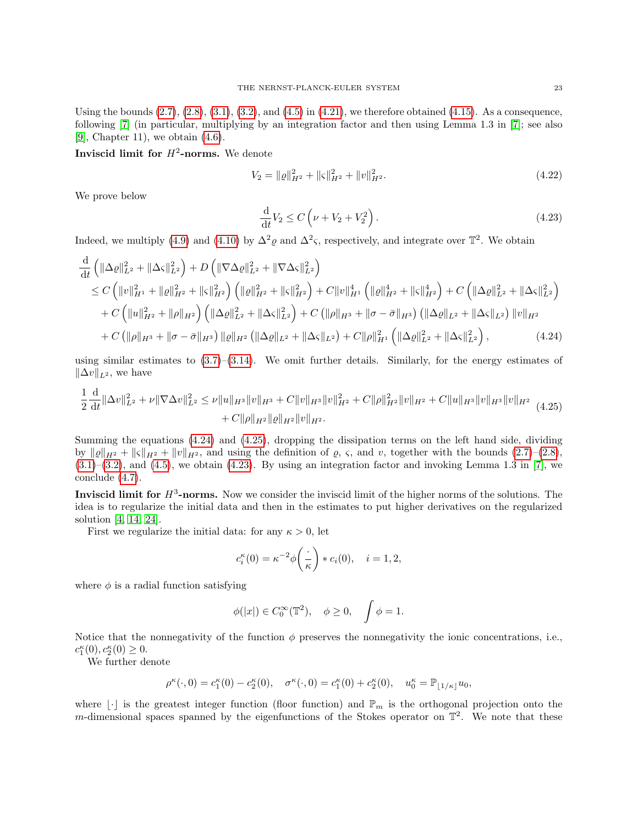Using the bounds  $(2.7), (2.8), (3.1), (3.2),$  $(2.7), (2.8), (3.1), (3.2),$  $(2.7), (2.8), (3.1), (3.2),$  $(2.7), (2.8), (3.1), (3.2),$  $(2.7), (2.8), (3.1), (3.2),$  $(2.7), (2.8), (3.1), (3.2),$  $(2.7), (2.8), (3.1), (3.2),$  and  $(4.5)$  in  $(4.21)$ , we therefore obtained  $(4.15)$ . As a consequence, following [\[7\]](#page-34-1) (in particular, multiplying by an integration factor and then using Lemma 1.3 in [\[7\]](#page-34-1); see also [\[9\]](#page-35-15), Chapter 11), we obtain [\(4.6\)](#page-19-1).

Inviscid limit for  $H^2$ -norms. We denote

$$
V_2 = \|\varrho\|_{H^2}^2 + \|\varsigma\|_{H^2}^2 + \|v\|_{H^2}^2. \tag{4.22}
$$

We prove below

<span id="page-22-2"></span><span id="page-22-1"></span><span id="page-22-0"></span>
$$
\frac{\mathrm{d}}{\mathrm{d}t}V_2 \le C\left(\nu + V_2 + V_2^2\right). \tag{4.23}
$$

Indeed, we multiply [\(4.9\)](#page-19-4) and [\(4.10\)](#page-19-5) by  $\Delta^2 \rho$  and  $\Delta^2 \varsigma$ , respectively, and integrate over  $\mathbb{T}^2$ . We obtain

$$
\frac{d}{dt} \left( \|\Delta \varrho\|_{L^{2}}^{2} + \|\Delta \varsigma\|_{L^{2}}^{2} \right) + D \left( \|\nabla \Delta \varrho\|_{L^{2}}^{2} + \|\nabla \Delta \varsigma\|_{L^{2}}^{2} \right) \n\leq C \left( \|v\|_{H^{1}}^{2} + \| \varrho\|_{H^{2}}^{2} + \| \varsigma\|_{H^{2}}^{2} \right) \left( \| \varrho\|_{H^{2}}^{2} + \| \varsigma\|_{H^{2}}^{2} \right) + C \|v\|_{H^{1}}^{4} \left( \| \varrho\|_{H^{2}}^{4} + \| \varsigma\|_{H^{2}}^{4} \right) + C \left( \| \Delta \varrho\|_{L^{2}}^{2} + \| \Delta \varsigma\|_{L^{2}}^{2} \right) \n+ C \left( \|u\|_{H^{2}}^{2} + \| \rho\|_{H^{2}} \right) \left( \| \Delta \varrho\|_{L^{2}}^{2} + \| \Delta \varsigma\|_{L^{2}}^{2} \right) + C \left( \| \rho\|_{H^{3}} + \| \sigma - \bar{\sigma} \|_{H^{3}} \right) \left( \| \Delta \varrho\|_{L^{2}} + \| \Delta \varsigma\|_{L^{2}} \right) \|v\|_{H^{2}} \n+ C \left( \| \rho\|_{H^{3}} + \| \sigma - \bar{\sigma} \|_{H^{3}} \right) \| \varrho\|_{H^{2}} \left( \| \Delta \varrho\|_{L^{2}} + \| \Delta \varsigma\|_{L^{2}} \right) + C \| \rho \|_{H^{1}}^{2} \left( \| \Delta \varrho\|_{L^{2}}^{2} + \| \Delta \varsigma\|_{L^{2}}^{2} \right), \tag{4.24}
$$

using similar estimates to  $(3.7)$ – $(3.14)$ . We omit further details. Similarly, for the energy estimates of  $\|\Delta v\|_{L^2}$ , we have

$$
\frac{1}{2}\frac{\mathrm{d}}{\mathrm{d}t}\|\Delta v\|_{L^{2}}^{2} + \nu\|\nabla\Delta v\|_{L^{2}}^{2} \leq \nu\|u\|_{H^{3}}\|v\|_{H^{3}} + C\|v\|_{H^{3}}\|v\|_{H^{2}}^{2} + C\|\rho\|_{H^{2}}^{2}\|v\|_{H^{2}} + C\|u\|_{H^{3}}\|v\|_{H^{3}}\|v\|_{H^{2}}\|v\|_{H^{2}} \tag{4.25}
$$
\n
$$
+ C\|\rho\|_{H^{2}}\|v\|_{H^{2}}.
$$

Summing the equations [\(4.24\)](#page-22-0) and [\(4.25\)](#page-22-1), dropping the dissipation terms on the left hand side, dividing by  $\| \varrho \|_{H^2} + \| \varsigma \|_{H^2} + \| v \|_{H^2}$ , and using the definition of  $\varrho$ ,  $\varsigma$ , and  $v$ , together with the bounds  $(2.7)$ – $(2.8)$ ,  $(3.1)$ – $(3.2)$ , and  $(4.5)$ , we obtain  $(4.23)$ . By using an integration factor and invoking Lemma 1.3 in [\[7\]](#page-34-1), we conclude [\(4.7\)](#page-19-2).

Inviscid limit for  $H^3$ -norms. Now we consider the inviscid limit of the higher norms of the solutions. The idea is to regularize the initial data and then in the estimates to put higher derivatives on the regularized solution [\[4,](#page-34-2) [14,](#page-35-16) [24\]](#page-35-17).

First we regularize the initial data: for any  $\kappa > 0$ , let

$$
c_i^{\kappa}(0) = \kappa^{-2} \phi\left(\frac{\cdot}{\kappa}\right) * c_i(0), \quad i = 1, 2,
$$

where  $\phi$  is a radial function satisfying

$$
\phi(|x|) \in C_0^{\infty}(\mathbb{T}^2), \quad \phi \ge 0, \quad \int \phi = 1.
$$

Notice that the nonnegativity of the function  $\phi$  preserves the nonnegativity the ionic concentrations, i.e.,  $c_1^{\kappa}(0), c_2^{\kappa}(0) \geq 0.$ 

We further denote

$$
\rho^{\kappa}(\cdot,0) = c_1^{\kappa}(0) - c_2^{\kappa}(0), \quad \sigma^{\kappa}(\cdot,0) = c_1^{\kappa}(0) + c_2^{\kappa}(0), \quad u_0^{\kappa} = \mathbb{P}_{\lfloor 1/\kappa \rfloor} u_0,
$$

where  $\lfloor \cdot \rfloor$  is the greatest integer function (floor function) and  $\mathbb{P}_m$  is the orthogonal projection onto the m-dimensional spaces spanned by the eigenfunctions of the Stokes operator on  $\mathbb{T}^2$ . We note that these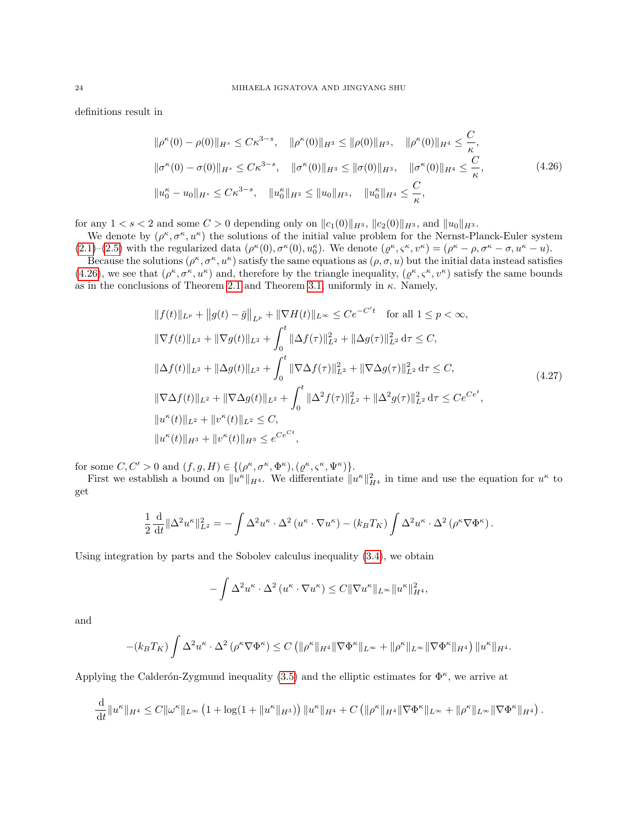definitions result in

<span id="page-23-0"></span>
$$
\|\rho^{\kappa}(0) - \rho(0)\|_{H^s} \le C\kappa^{3-s}, \quad \|\rho^{\kappa}(0)\|_{H^3} \le \|\rho(0)\|_{H^3}, \quad \|\rho^{\kappa}(0)\|_{H^4} \le \frac{C}{\kappa},
$$
  

$$
\|\sigma^{\kappa}(0) - \sigma(0)\|_{H^s} \le C\kappa^{3-s}, \quad \|\sigma^{\kappa}(0)\|_{H^3} \le \|\sigma(0)\|_{H^3}, \quad \|\sigma^{\kappa}(0)\|_{H^4} \le \frac{C}{\kappa},
$$
  

$$
\|u_0^{\kappa} - u_0\|_{H^s} \le C\kappa^{3-s}, \quad \|u_0^{\kappa}\|_{H^3} \le \|u_0\|_{H^3}, \quad \|u_0^{\kappa}\|_{H^4} \le \frac{C}{\kappa},
$$
 (4.26)

for any  $1 < s < 2$  and some  $C > 0$  depending only on  $||c_1(0)||_{H^3}$ ,  $||c_2(0)||_{H^3}$ , and  $||u_0||_{H^3}$ .

We denote by  $(\rho^{\kappa}, \sigma^{\kappa}, u^{\kappa})$  the solutions of the initial value problem for the Nernst-Planck-Euler system [\(2.1\)](#page-2-1)–[\(2.5\)](#page-3-0) with the regularized data  $(\rho^{\kappa}(0), \sigma^{\kappa}(0), u_0^{\kappa})$ . We denote  $(\rho^{\kappa}, \varsigma^{\kappa}, v^{\kappa}) = (\rho^{\kappa} - \rho, \sigma^{\kappa} - \sigma, u^{\kappa} - u)$ .

Because the solutions  $(\rho^{\kappa}, \sigma^{\kappa}, u^{\kappa})$  satisfy the same equations as  $(\rho, \sigma, u)$  but the initial data instead satisfies [\(4.26\)](#page-23-0), we see that  $(\rho^{\kappa}, \sigma^{\kappa}, u^{\kappa})$  and, therefore by the triangle inequality,  $(\rho^{\kappa}, \varsigma^{\kappa}, v^{\kappa})$  satisfy the same bounds as in the conclusions of Theorem [2.1](#page-3-5) and Theorem [3.1,](#page-11-1) uniformly in  $\kappa$ . Namely,

<span id="page-23-1"></span>
$$
||f(t)||_{L^{p}} + ||g(t) - \bar{g}||_{L^{p}} + ||\nabla H(t)||_{L^{\infty}} \leq Ce^{-C't} \quad \text{for all } 1 \leq p < \infty,
$$
  
\n
$$
||\nabla f(t)||_{L^{2}} + ||\nabla g(t)||_{L^{2}} + \int_{0}^{t} ||\Delta f(\tau)||_{L^{2}}^{2} + ||\Delta g(\tau)||_{L^{2}}^{2} d\tau \leq C,
$$
  
\n
$$
||\Delta f(t)||_{L^{2}} + ||\Delta g(t)||_{L^{2}} + \int_{0}^{t} ||\nabla \Delta f(\tau)||_{L^{2}}^{2} + ||\nabla \Delta g(\tau)||_{L^{2}}^{2} d\tau \leq C,
$$
  
\n
$$
||\nabla \Delta f(t)||_{L^{2}} + ||\nabla \Delta g(t)||_{L^{2}} + \int_{0}^{t} ||\Delta^{2} f(\tau)||_{L^{2}}^{2} + ||\Delta^{2} g(\tau)||_{L^{2}}^{2} d\tau \leq Ce^{Ce^{t}},
$$
  
\n
$$
||u^{\kappa}(t)||_{L^{2}} + ||v^{\kappa}(t)||_{L^{2}} \leq C,
$$
  
\n
$$
||u^{\kappa}(t)||_{H^{3}} + ||v^{\kappa}(t)||_{H^{3}} \leq e^{Ce^{Ct}},
$$

for some  $C, C' > 0$  and  $(f, g, H) \in \{(\rho^{\kappa}, \sigma^{\kappa}, \Phi^{\kappa}), (\varrho^{\kappa}, \varsigma^{\kappa}, \Psi^{\kappa})\}.$ 

First we establish a bound on  $||u^{\kappa}||_{H^4}$ . We differentiate  $||u^{\kappa}||_{H^4}^2$  in time and use the equation for  $u^{\kappa}$  to get

$$
\frac{1}{2} \frac{\mathrm{d}}{\mathrm{d}t} \| \Delta^2 u^{\kappa} \|_{L^2}^2 = - \int \Delta^2 u^{\kappa} \cdot \Delta^2 \left( u^{\kappa} \cdot \nabla u^{\kappa} \right) - (k_B T_K) \int \Delta^2 u^{\kappa} \cdot \Delta^2 \left( \rho^{\kappa} \nabla \Phi^{\kappa} \right).
$$

Using integration by parts and the Sobolev calculus inequality [\(3.4\)](#page-12-3), we obtain

$$
-\int \Delta^2 u^{\kappa} \cdot \Delta^2 \left( u^{\kappa} \cdot \nabla u^{\kappa} \right) \leq C ||\nabla u^{\kappa}||_{L^{\infty}} ||u^{\kappa}||_{H^4}^2,
$$

and

$$
-(k_B T_K) \int \Delta^2 u^{\kappa} \cdot \Delta^2 (\rho^{\kappa} \nabla \Phi^{\kappa}) \leq C \left( \|\rho^{\kappa}\|_{H^4} \|\nabla \Phi^{\kappa}\|_{L^{\infty}} + \|\rho^{\kappa}\|_{L^{\infty}} \|\nabla \Phi^{\kappa}\|_{H^4} \right) \|u^{\kappa}\|_{H^4}.
$$

Applying the Calderón-Zygmund inequality [\(3.5\)](#page-12-4) and the elliptic estimates for  $\Phi^{\kappa}$ , we arrive at

$$
\frac{\mathrm{d}}{\mathrm{d}t} \|u^{\kappa}\|_{H^4} \leq C \| \omega^{\kappa}\|_{L^{\infty}} \left(1 + \log(1 + \|u^{\kappa}\|_{H^3})\right) \|u^{\kappa}\|_{H^4} + C \left( \|\rho^{\kappa}\|_{H^4} \|\nabla \Phi^{\kappa}\|_{L^{\infty}} + \|\rho^{\kappa}\|_{L^{\infty}} \|\nabla \Phi^{\kappa}\|_{H^4} \right).
$$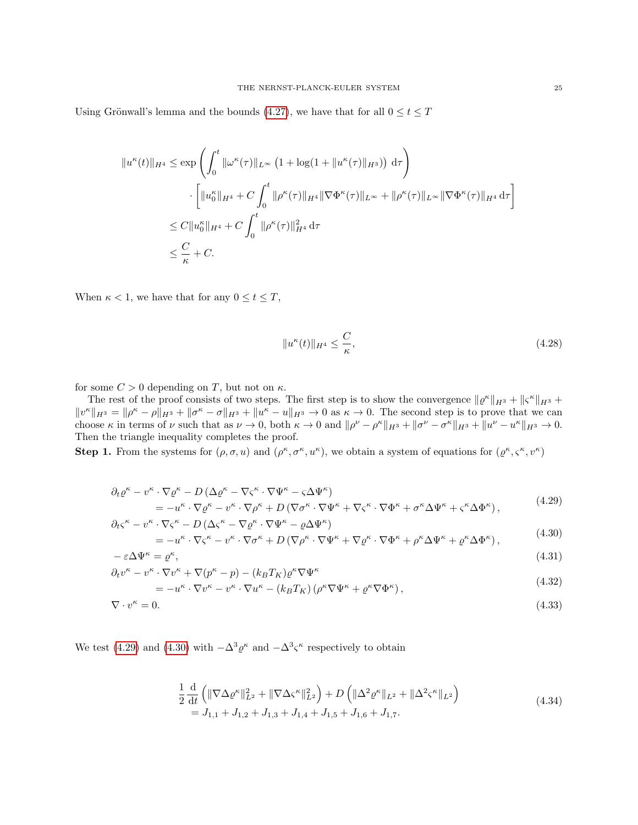Using Grönwall's lemma and the bounds [\(4.27\)](#page-23-1), we have that for all  $0\leq t\leq T$ 

$$
||u^{\kappa}(t)||_{H^{4}} \leq \exp\left(\int_{0}^{t} ||\omega^{\kappa}(\tau)||_{L^{\infty}} \left(1 + \log(1 + ||u^{\kappa}(\tau)||_{H^{3}})\right) d\tau\right)
$$

$$
\cdot \left[||u_{0}^{\kappa}||_{H^{4}} + C \int_{0}^{t} ||\rho^{\kappa}(\tau)||_{H^{4}} ||\nabla \Phi^{\kappa}(\tau)||_{L^{\infty}} + ||\rho^{\kappa}(\tau)||_{L^{\infty}} ||\nabla \Phi^{\kappa}(\tau)||_{H^{4}} d\tau\right]
$$

$$
\leq C||u_{0}^{\kappa}||_{H^{4}} + C \int_{0}^{t} ||\rho^{\kappa}(\tau)||_{H^{4}}^{2} d\tau
$$

$$
\leq \frac{C}{\kappa} + C.
$$

When  $\kappa < 1$ , we have that for any  $0 \le t \le T$ ,

<span id="page-24-4"></span><span id="page-24-3"></span><span id="page-24-1"></span><span id="page-24-0"></span>
$$
||u^{\kappa}(t)||_{H^4} \le \frac{C}{\kappa},\tag{4.28}
$$

for some  $C > 0$  depending on T, but not on  $\kappa$ .

The rest of the proof consists of two steps. The first step is to show the convergence  $\|\varrho^{\kappa}\|_{H^3} + \|\varsigma^{\kappa}\|_{H^3}$  $||v^{\kappa}||_{H^{3}} = ||\rho^{\kappa} - \rho||_{H^{3}} + ||\sigma^{\kappa} - \sigma||_{H^{3}} + ||u^{\kappa} - u||_{H^{3}} \to 0$  as  $\kappa \to 0$ . The second step is to prove that we can choose  $\kappa$  in terms of  $\nu$  such that as  $\nu \to 0$ , both  $\kappa \to 0$  and  $\|\rho^{\nu} - \rho^{\kappa}\|_{H^3} + \|\sigma^{\nu} - \sigma^{\kappa}\|_{H^3} + \|u^{\nu} - u^{\kappa}\|_{H^3} \to 0$ . Then the triangle inequality completes the proof.

Step 1. From the systems for  $(\rho, \sigma, u)$  and  $(\rho^{\kappa}, \sigma^{\kappa}, u^{\kappa})$ , we obtain a system of equations for  $(\rho^{\kappa}, \varsigma^{\kappa}, v^{\kappa})$ 

$$
\partial_t \varrho^{\kappa} - v^{\kappa} \cdot \nabla \varrho^{\kappa} - D \left( \Delta \varrho^{\kappa} - \nabla \varsigma^{\kappa} \cdot \nabla \Psi^{\kappa} - \varsigma \Delta \Psi^{\kappa} \right) \n= -u^{\kappa} \cdot \nabla \varrho^{\kappa} - v^{\kappa} \cdot \nabla \rho^{\kappa} + D \left( \nabla \sigma^{\kappa} \cdot \nabla \Psi^{\kappa} + \nabla \varsigma^{\kappa} \cdot \nabla \Phi^{\kappa} + \sigma^{\kappa} \Delta \Psi^{\kappa} + \varsigma^{\kappa} \Delta \Phi^{\kappa} \right),
$$
\n(4.29)

$$
\partial_{t}\varsigma^{\kappa} - v^{\kappa} \cdot \nabla \varsigma^{\kappa} - D\left(\Delta \varsigma^{\kappa} - \nabla \varrho^{\kappa} \cdot \nabla \Psi^{\kappa} - \varrho \Delta \Psi^{\kappa}\right) \n= -u^{\kappa} \cdot \nabla \varsigma^{\kappa} - v^{\kappa} \cdot \nabla \sigma^{\kappa} + D\left(\nabla \rho^{\kappa} \cdot \nabla \Psi^{\kappa} + \nabla \varrho^{\kappa} \cdot \nabla \Phi^{\kappa} + \rho^{\kappa} \Delta \Psi^{\kappa} + \varrho^{\kappa} \Delta \Phi^{\kappa}\right),
$$
\n(4.30)

$$
-\varepsilon \Delta \Psi^{\kappa} = \varrho^{\kappa},\tag{4.31}
$$

$$
\partial_t v^{\kappa} - v^{\kappa} \cdot \nabla v^{\kappa} + \nabla (p^{\kappa} - p) - (k_B T_K) \varrho^{\kappa} \nabla \Psi^{\kappa}
$$
\n
$$
(4.32)
$$

$$
= -u^{\kappa} \cdot \nabla v^{\kappa} - v^{\kappa} \cdot \nabla u^{\kappa} - (k_B T_K) \left( \rho^{\kappa} \nabla \Psi^{\kappa} + \varrho^{\kappa} \nabla \Phi^{\kappa} \right), \tag{4.32}
$$

$$
\nabla \cdot v^{\kappa} = 0. \tag{4.33}
$$

We test [\(4.29\)](#page-24-0) and [\(4.30\)](#page-24-1) with  $-\Delta^3 \varrho^{\kappa}$  and  $-\Delta^3 \varsigma^{\kappa}$  respectively to obtain

<span id="page-24-2"></span>
$$
\frac{1}{2} \frac{\mathrm{d}}{\mathrm{d}t} \left( \| \nabla \Delta \varrho^{\kappa} \|_{L^2}^2 + \| \nabla \Delta \varsigma^{\kappa} \|_{L^2}^2 \right) + D \left( \| \Delta^2 \varrho^{\kappa} \|_{L^2} + \| \Delta^2 \varsigma^{\kappa} \|_{L^2} \right) \n= J_{1,1} + J_{1,2} + J_{1,3} + J_{1,4} + J_{1,5} + J_{1,6} + J_{1,7}.
$$
\n(4.34)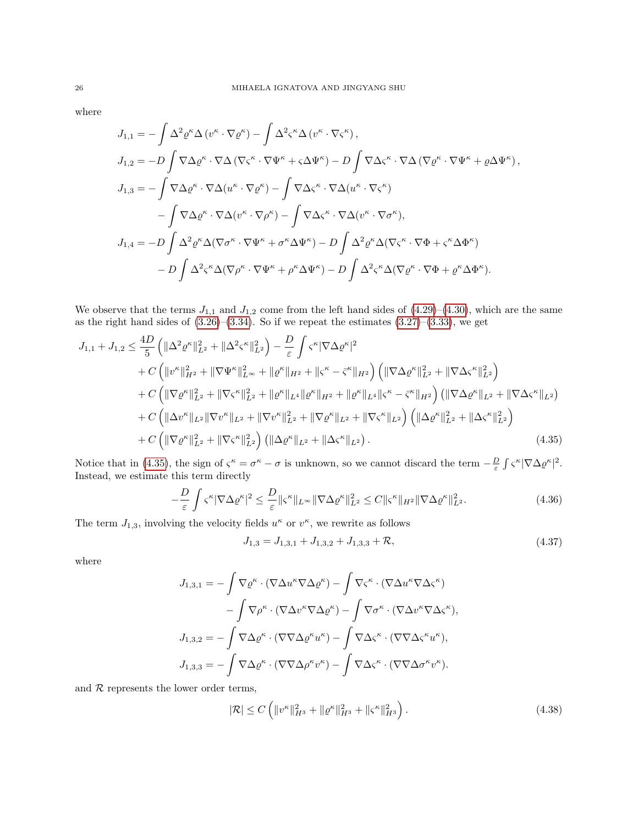where

$$
J_{1,1} = -\int \Delta^2 \varrho^{\kappa} \Delta \left( v^{\kappa} \cdot \nabla \varrho^{\kappa} \right) - \int \Delta^2 \zeta^{\kappa} \Delta \left( v^{\kappa} \cdot \nabla \zeta^{\kappa} \right),
$$
  
\n
$$
J_{1,2} = -D \int \nabla \Delta \varrho^{\kappa} \cdot \nabla \Delta \left( \nabla \zeta^{\kappa} \cdot \nabla \Psi^{\kappa} + \zeta \Delta \Psi^{\kappa} \right) - D \int \nabla \Delta \zeta^{\kappa} \cdot \nabla \Delta \left( \nabla \varrho^{\kappa} \cdot \nabla \Psi^{\kappa} + \varrho \Delta \Psi^{\kappa} \right),
$$
  
\n
$$
J_{1,3} = -\int \nabla \Delta \varrho^{\kappa} \cdot \nabla \Delta (u^{\kappa} \cdot \nabla \varrho^{\kappa}) - \int \nabla \Delta \zeta^{\kappa} \cdot \nabla \Delta (u^{\kappa} \cdot \nabla \zeta^{\kappa})
$$
  
\n
$$
- \int \nabla \Delta \varrho^{\kappa} \cdot \nabla \Delta (v^{\kappa} \cdot \nabla \rho^{\kappa}) - \int \nabla \Delta \zeta^{\kappa} \cdot \nabla \Delta (v^{\kappa} \cdot \nabla \sigma^{\kappa}),
$$
  
\n
$$
J_{1,4} = -D \int \Delta^2 \varrho^{\kappa} \Delta (\nabla \sigma^{\kappa} \cdot \nabla \Psi^{\kappa} + \sigma^{\kappa} \Delta \Psi^{\kappa}) - D \int \Delta^2 \varrho^{\kappa} \Delta (\nabla \zeta^{\kappa} \cdot \nabla \Phi + \zeta^{\kappa} \Delta \Phi^{\kappa})
$$
  
\n
$$
- D \int \Delta^2 \zeta^{\kappa} \Delta (\nabla \rho^{\kappa} \cdot \nabla \Psi^{\kappa} + \rho^{\kappa} \Delta \Psi^{\kappa}) - D \int \Delta^2 \zeta^{\kappa} \Delta (\nabla \varrho^{\kappa} \cdot \nabla \Phi + \varrho^{\kappa} \Delta \Phi^{\kappa}).
$$

We observe that the terms  $J_{1,1}$  and  $J_{1,2}$  come from the left hand sides of  $(4.29)-(4.30)$  $(4.29)-(4.30)$ , which are the same as the right hand sides of  $(3.26)$ – $(3.34)$ . So if we repeat the estimates  $(3.27)$ – $(3.33)$ , we get

$$
J_{1,1} + J_{1,2} \leq \frac{4D}{5} \left( \|\Delta^{2}\varrho^{\kappa}\|_{L^{2}}^{2} + \|\Delta^{2}\varsigma^{\kappa}\|_{L^{2}}^{2} \right) - \frac{D}{\varepsilon} \int \varsigma^{\kappa} |\nabla\Delta\varrho^{\kappa}|^{2} + C \left( \|v^{\kappa}\|_{H^{2}}^{2} + \|\nabla\Psi^{\kappa}\|_{L^{\infty}}^{2} + \|\varrho^{\kappa}\|_{H^{2}} + \|\varsigma^{\kappa} - \bar{\varsigma}^{\kappa}\|_{H^{2}} \right) \left( \|\nabla\Delta\varrho^{\kappa}\|_{L^{2}}^{2} + \|\nabla\Delta\varsigma^{\kappa}\|_{L^{2}}^{2} \right) + C \left( \|\nabla\varrho^{\kappa}\|_{L^{2}}^{2} + \|\nabla\varsigma^{\kappa}\|_{L^{2}}^{2} + \|\varrho^{\kappa}\|_{L^{4}} \|\varrho^{\kappa}\|_{H^{2}} + \|\varrho^{\kappa}\|_{L^{4}} \|\varsigma^{\kappa} - \bar{\varsigma}^{\kappa}\|_{H^{2}} \right) \left( \|\nabla\Delta\varrho^{\kappa}\|_{L^{2}} + \|\nabla\Delta\varsigma^{\kappa}\|_{L^{2}} \right) + C \left( \|\Delta v^{\kappa}\|_{L^{2}} \|\nabla v^{\kappa}\|_{L^{2}} + \|\nabla v^{\kappa}\|_{L^{2}}^{2} + \|\nabla\varrho^{\kappa}\|_{L^{2}} + \|\nabla\varsigma^{\kappa}\|_{L^{2}} \right) \left( \|\Delta\varrho^{\kappa}\|_{L^{2}}^{2} + \|\Delta\varsigma^{\kappa}\|_{L^{2}}^{2} \right) + C \left( \|\nabla\varrho^{\kappa}\|_{L^{2}}^{2} + \|\nabla\varsigma^{\kappa}\|_{L^{2}}^{2} \right) \left( \|\Delta\varrho^{\kappa}\|_{L^{2}} + \|\Delta\varsigma^{\kappa}\|_{L^{2}} \right). \tag{4.35}
$$

Notice that in [\(4.35\)](#page-25-0), the sign of  $\varsigma^{\kappa} = \sigma^{\kappa} - \sigma$  is unknown, so we cannot discard the term  $-\frac{D}{\varepsilon} \int \varsigma^{\kappa} |\nabla \Delta \varrho^{\kappa}|^2$ . Instead, we estimate this term directly

$$
-\frac{D}{\varepsilon} \int \varsigma^{\kappa} |\nabla \Delta \varrho^{\kappa}|^2 \le \frac{D}{\varepsilon} \|\varsigma^{\kappa}\|_{L^{\infty}} \|\nabla \Delta \varrho^{\kappa}\|_{L^2}^2 \le C \|\varsigma^{\kappa}\|_{H^2} \|\nabla \Delta \varrho^{\kappa}\|_{L^2}^2. \tag{4.36}
$$

The term  $J_{1,3}$ , involving the velocity fields  $u^{\kappa}$  or  $v^{\kappa}$ , we rewrite as follows

<span id="page-25-0"></span>
$$
J_{1,3} = J_{1,3,1} + J_{1,3,2} + J_{1,3,3} + \mathcal{R},\tag{4.37}
$$

where

$$
J_{1,3,1} = -\int \nabla \varrho^{\kappa} \cdot (\nabla \Delta u^{\kappa} \nabla \Delta \varrho^{\kappa}) - \int \nabla \varsigma^{\kappa} \cdot (\nabla \Delta u^{\kappa} \nabla \Delta \varsigma^{\kappa})
$$

$$
- \int \nabla \rho^{\kappa} \cdot (\nabla \Delta v^{\kappa} \nabla \Delta \varrho^{\kappa}) - \int \nabla \sigma^{\kappa} \cdot (\nabla \Delta v^{\kappa} \nabla \Delta \varsigma^{\kappa}),
$$

$$
J_{1,3,2} = -\int \nabla \Delta \varrho^{\kappa} \cdot (\nabla \nabla \Delta \varrho^{\kappa} u^{\kappa}) - \int \nabla \Delta \varsigma^{\kappa} \cdot (\nabla \nabla \Delta \varsigma^{\kappa} u^{\kappa}),
$$

$$
J_{1,3,3} = -\int \nabla \Delta \varrho^{\kappa} \cdot (\nabla \nabla \Delta \rho^{\kappa} v^{\kappa}) - \int \nabla \Delta \varsigma^{\kappa} \cdot (\nabla \nabla \Delta \sigma^{\kappa} v^{\kappa}).
$$

and  $R$  represents the lower order terms,

$$
|\mathcal{R}| \le C \left( \|v^{\kappa}\|_{H^3}^2 + \|\varrho^{\kappa}\|_{H^3}^2 + \|\varsigma^{\kappa}\|_{H^3}^2 \right). \tag{4.38}
$$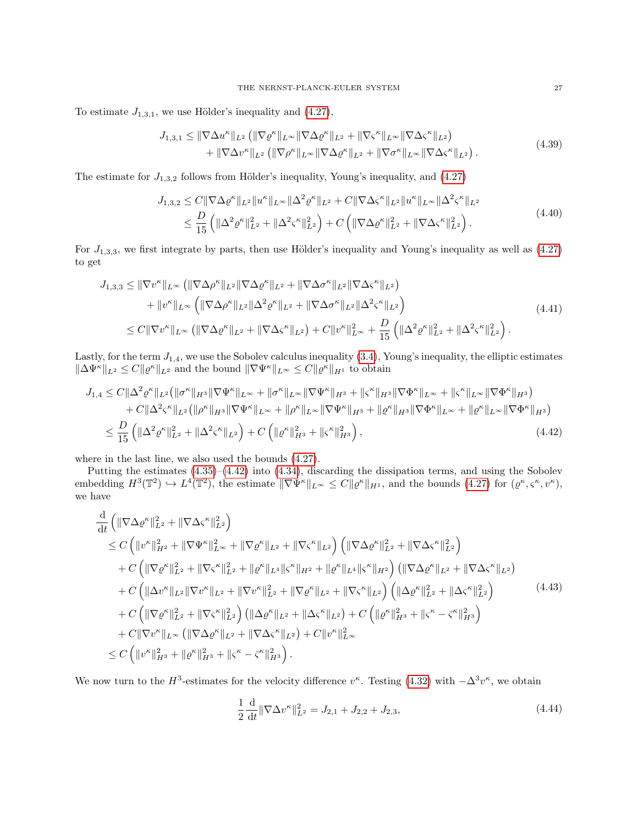To estimate  $J_{1,3,1}$ , we use Hölder's inequality and  $(4.27)$ ,

$$
J_{1,3,1} \leq \|\nabla \Delta u^{\kappa}\|_{L^{2}} \left( \|\nabla \varrho^{\kappa}\|_{L^{\infty}} \|\nabla \Delta \varrho^{\kappa}\|_{L^{2}} + \|\nabla \varsigma^{\kappa}\|_{L^{\infty}} \|\nabla \Delta \varsigma^{\kappa}\|_{L^{2}} \right) + \|\nabla \Delta v^{\kappa}\|_{L^{2}} \left( \|\nabla \rho^{\kappa}\|_{L^{\infty}} \|\nabla \Delta \varrho^{\kappa}\|_{L^{2}} + \|\nabla \sigma^{\kappa}\|_{L^{\infty}} \|\nabla \Delta \varsigma^{\kappa}\|_{L^{2}} \right).
$$
\n(4.39)

The estimate for  $J_{1,3,2}$  follows from Hölder's inequality, Young's inequality, and [\(4.27\)](#page-23-1)

$$
J_{1,3,2} \leq C \|\nabla \Delta \varrho^{\kappa}\|_{L^{2}} \|u^{\kappa}\|_{L^{\infty}} \|\Delta^{2} \varrho^{\kappa}\|_{L^{2}} + C \|\nabla \Delta \varsigma^{\kappa}\|_{L^{2}} \|u^{\kappa}\|_{L^{\infty}} \|\Delta^{2} \varsigma^{\kappa}\|_{L^{2}} \leq \frac{D}{15} \left( \|\Delta^{2} \varrho^{\kappa}\|_{L^{2}}^{2} + \|\Delta^{2} \varsigma^{\kappa}\|_{L^{2}}^{2} \right) + C \left( \|\nabla \Delta \varrho^{\kappa}\|_{L^{2}}^{2} + \|\nabla \Delta \varsigma^{\kappa}\|_{L^{2}}^{2} \right).
$$
\n(4.40)

For  $J_{1,3,3}$ , we first integrate by parts, then use Hölder's inequality and Young's inequality as well as  $(4.27)$ to get

$$
J_{1,3,3} \leq \|\nabla v^{\kappa}\|_{L^{\infty}} \left( \|\nabla \Delta \rho^{\kappa}\|_{L^{2}} \|\nabla \Delta \varrho^{\kappa}\|_{L^{2}} + \|\nabla \Delta \sigma^{\kappa}\|_{L^{2}} \|\nabla \Delta \varsigma^{\kappa}\|_{L^{2}} \right) + \|v^{\kappa}\|_{L^{\infty}} \left( \|\nabla \Delta \rho^{\kappa}\|_{L^{2}} \|\Delta^{2} \varrho^{\kappa}\|_{L^{2}} + \|\nabla \Delta \sigma^{\kappa}\|_{L^{2}} \|\Delta^{2} \varsigma^{\kappa}\|_{L^{2}} \right) \leq C \|\nabla v^{\kappa}\|_{L^{\infty}} \left( \|\nabla \Delta \varrho^{\kappa}\|_{L^{2}} + \|\nabla \Delta \varsigma^{\kappa}\|_{L^{2}} \right) + C \|v^{\kappa}\|_{L^{\infty}}^{2} + \frac{D}{15} \left( \|\Delta^{2} \varrho^{\kappa}\|_{L^{2}}^{2} + \|\Delta^{2} \varsigma^{\kappa}\|_{L^{2}}^{2} \right).
$$
\n(4.41)

Lastly, for the term  $J_{1,4}$ , we use the Sobolev calculus inequality  $(3.4)$ , Young's inequality, the elliptic estimates  $\|\Delta \Psi^{\kappa}\|_{L^2} \leq C \|\varrho^{\kappa}\|_{L^2}$  and the bound  $\|\nabla \Psi^{\kappa}\|_{L^{\infty}} \leq C \|\varrho^{\kappa}\|_{H^1}$  to obtain

$$
J_{1,4} \leq C \|\Delta^{2} \varrho^{\kappa}\|_{L^{2}} \left( \|\sigma^{\kappa}\|_{H^{3}} \|\nabla \Psi^{\kappa}\|_{L^{\infty}} + \|\sigma^{\kappa}\|_{L^{\infty}} \|\nabla \Psi^{\kappa}\|_{H^{3}} + \|\varsigma^{\kappa}\|_{H^{3}} \|\nabla \Phi^{\kappa}\|_{L^{\infty}} + \|\varsigma^{\kappa}\|_{L^{\infty}} \|\nabla \Phi^{\kappa}\|_{H^{3}} \right) + C \|\Delta^{2} \varsigma^{\kappa}\|_{L^{2}} \left( \|\rho^{\kappa}\|_{H^{3}} \|\nabla \Psi^{\kappa}\|_{L^{\infty}} + \|\rho^{\kappa}\|_{L^{\infty}} \|\nabla \Psi^{\kappa}\|_{H^{3}} + \|\varrho^{\kappa}\|_{H^{3}} \|\nabla \Phi^{\kappa}\|_{L^{\infty}} + \|\varrho^{\kappa}\|_{L^{\infty}} \|\nabla \Phi^{\kappa}\|_{H^{3}} \right) \leq \frac{D}{15} \left( \|\Delta^{2} \varrho^{\kappa}\|_{L^{2}}^{2} + \|\Delta^{2} \varsigma^{\kappa}\|_{L^{2}} \right) + C \left( \|\varrho^{\kappa}\|_{H^{3}}^{2} + \|\varsigma^{\kappa}\|_{H^{3}}^{2} \right),
$$
\n(4.42)

where in the last line, we also used the bounds [\(4.27\)](#page-23-1).

Putting the estimates [\(4.35\)](#page-25-0)–[\(4.42\)](#page-26-0) into [\(4.34\)](#page-24-2), discarding the dissipation terms, and using the Sobolev embedding  $H^3(\mathbb{T}^2) \hookrightarrow L^4(\mathbb{T}^2)$ , the estimate  $\|\nabla \Psi^{\kappa}\|_{L^{\infty}} \leq C \|\varrho^{\kappa}\|_{H^1}$ , and the bounds  $(4.27)$  for  $(\varrho^{\kappa}, \varsigma^{\kappa}, v^{\kappa})$ , we have

$$
\frac{d}{dt} \left( \|\nabla \Delta \varrho^{\kappa}\|_{L^{2}}^{2} + \|\nabla \Delta \varsigma^{\kappa}\|_{L^{2}}^{2} \right) \n\leq C \left( \|v^{\kappa}\|_{H^{2}}^{2} + \|\nabla \Psi^{\kappa}\|_{L^{\infty}}^{2} + \|\nabla \varrho^{\kappa}\|_{L^{2}} + \|\nabla \varsigma^{\kappa}\|_{L^{2}} \right) \left( \|\nabla \Delta \varrho^{\kappa}\|_{L^{2}}^{2} + \|\nabla \Delta \varsigma^{\kappa}\|_{L^{2}}^{2} \right) \n+ C \left( \|\nabla \varrho^{\kappa}\|_{L^{2}}^{2} + \|\nabla \varsigma^{\kappa}\|_{L^{2}}^{2} + \|\varrho^{\kappa}\|_{L^{4}} \|\varsigma^{\kappa}\|_{H^{2}} + \|\varrho^{\kappa}\|_{L^{4}} \|\varsigma^{\kappa}\|_{H^{2}} \right) \left( \|\nabla \Delta \varrho^{\kappa}\|_{L^{2}} + \|\nabla \Delta \varsigma^{\kappa}\|_{L^{2}} \right) \n+ C \left( \|\Delta v^{\kappa}\|_{L^{2}} \|\nabla v^{\kappa}\|_{L^{2}} + \|\nabla v^{\kappa}\|_{L^{2}}^{2} + \|\nabla \varrho^{\kappa}\|_{L^{2}} + \|\nabla \varsigma^{\kappa}\|_{L^{2}} \right) \left( \|\Delta \varrho^{\kappa}\|_{L^{2}}^{2} + \|\Delta \varsigma^{\kappa}\|_{L^{2}}^{2} \right) \n+ C \left( \|\nabla \varrho^{\kappa}\|_{L^{2}}^{2} + \|\nabla \varsigma^{\kappa}\|_{L^{2}}^{2} \right) \left( \|\Delta \varrho^{\kappa}\|_{L^{2}} + \|\Delta \varsigma^{\kappa}\|_{L^{2}} \right) + C \left( \|\varrho^{\kappa}\|_{H^{3}}^{2} + \|\varsigma^{\kappa} - \bar{\varsigma}^{\kappa}\|_{H^{3}}^{2} \right) \n+ C \|\nabla v^{\kappa}\|_{L^{\infty}} \left( \|\nabla \Delta \varrho^{\kappa}\|_{L^{2}} + \|\nabla \Delta \varsigma^{\kappa}\|_{L^{2}} \right)
$$

We now turn to the  $H^3$ -estimates for the velocity difference  $v^{\kappa}$ . Testing [\(4.32\)](#page-24-3) with  $-\Delta^3 v^{\kappa}$ , we obtain

<span id="page-26-2"></span><span id="page-26-1"></span><span id="page-26-0"></span>
$$
\frac{1}{2} \frac{\mathrm{d}}{\mathrm{d}t} \|\nabla \Delta v^{\kappa}\|_{L^2}^2 = J_{2,1} + J_{2,2} + J_{2,3},\tag{4.44}
$$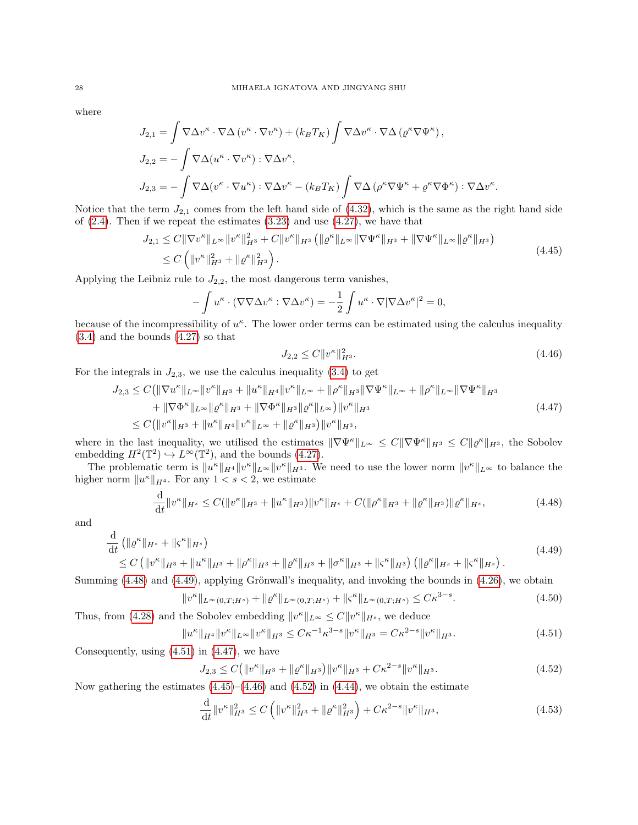where

$$
J_{2,1} = \int \nabla \Delta v^{\kappa} \cdot \nabla \Delta (v^{\kappa} \cdot \nabla v^{\kappa}) + (k_B T_K) \int \nabla \Delta v^{\kappa} \cdot \nabla \Delta (e^{\kappa} \nabla \Psi^{\kappa}),
$$
  
\n
$$
J_{2,2} = -\int \nabla \Delta (u^{\kappa} \cdot \nabla v^{\kappa}) : \nabla \Delta v^{\kappa},
$$
  
\n
$$
J_{2,3} = -\int \nabla \Delta (v^{\kappa} \cdot \nabla u^{\kappa}) : \nabla \Delta v^{\kappa} - (k_B T_K) \int \nabla \Delta (\rho^{\kappa} \nabla \Psi^{\kappa} + \varrho^{\kappa} \nabla \Phi^{\kappa}) : \nabla \Delta v^{\kappa}.
$$

Notice that the term  $J_{2,1}$  comes from the left hand side of  $(4.32)$ , which is the same as the right hand side of  $(2.4)$ . Then if we repeat the estimates  $(3.23)$  and use  $(4.27)$ , we have that

$$
J_{2,1} \leq C \|\nabla v^{\kappa}\|_{L^{\infty}} \|v^{\kappa}\|_{H^{3}}^{2} + C \|v^{\kappa}\|_{H^{3}} \left( \|{\varrho}^{\kappa}\|_{L^{\infty}} \|\nabla \Psi^{\kappa}\|_{H^{3}} + \|\nabla \Psi^{\kappa}\|_{L^{\infty}} \|\varrho^{\kappa}\|_{H^{3}} \right)
$$
  

$$
\leq C \left( \|v^{\kappa}\|_{H^{3}}^{2} + \|\varrho^{\kappa}\|_{H^{3}}^{2} \right).
$$
 (4.45)

Applying the Leibniz rule to  $J_{2,2}$ , the most dangerous term vanishes,

$$
-\int u^{\kappa} \cdot (\nabla \nabla \Delta v^{\kappa} : \nabla \Delta v^{\kappa}) = -\frac{1}{2} \int u^{\kappa} \cdot \nabla |\nabla \Delta v^{\kappa}|^2 = 0,
$$

because of the incompressibility of  $u^{\kappa}$ . The lower order terms can be estimated using the calculus inequality [\(3.4\)](#page-12-3) and the bounds [\(4.27\)](#page-23-1) so that

<span id="page-27-5"></span><span id="page-27-4"></span><span id="page-27-3"></span><span id="page-27-1"></span><span id="page-27-0"></span>
$$
J_{2,2} \le C \|v^{\kappa}\|_{H^3}^2. \tag{4.46}
$$

For the integrals in  $J_{2,3}$ , we use the calculus inequality [\(3.4\)](#page-12-3) to get

$$
J_{2,3} \leq C(||\nabla u^{\kappa}||_{L^{\infty}}||v^{\kappa}||_{H^{3}} + ||u^{\kappa}||_{H^{4}}||v^{\kappa}||_{L^{\infty}} + ||\rho^{\kappa}||_{H^{3}}||\nabla \Psi^{\kappa}||_{L^{\infty}} + ||\rho^{\kappa}||_{L^{\infty}}||\nabla \Psi^{\kappa}||_{H^{3}} + ||\nabla \Phi^{\kappa}||_{L^{\infty}}||\rho^{\kappa}||_{H^{3}} + ||\nabla \Phi^{\kappa}||_{H^{3}}||\rho^{\kappa}||_{L^{\infty}}||v^{\kappa}||_{H^{3}} + ||\nabla \Phi^{\kappa}||_{H^{3}}||v^{\kappa}||_{H^{3}} \tag{4.47}
$$
\n
$$
\leq C(||v^{\kappa}||_{H^{3}} + ||u^{\kappa}||_{H^{4}}||v^{\kappa}||_{L^{\infty}} + ||\rho^{\kappa}||_{H^{3}})||v^{\kappa}||_{H^{3}},
$$

where in the last inequality, we utilised the estimates  $\|\nabla\Psi^{\kappa}\|_{L^{\infty}} \leq C\|\nabla\Psi^{\kappa}\|_{H^{3}} \leq C\|\varrho^{\kappa}\|_{H^{3}}$ , the Sobolev embedding  $H^2(\mathbb{T}^2) \hookrightarrow L^\infty(\mathbb{T}^2)$ , and the bounds [\(4.27\)](#page-23-1).

The problematic term is  $||u^{\kappa}||_{H^4}||v^{\kappa}||_{L^{\infty}}||v^{\kappa}||_{H^3}$ . We need to use the lower norm  $||v^{\kappa}||_{L^{\infty}}$  to balance the higher norm  $||u^{\kappa}||_{H^4}$ . For any  $1 < s < 2$ , we estimate

$$
\frac{\mathrm{d}}{\mathrm{d}t} \|v^{\kappa}\|_{H^{s}} \le C(\|v^{\kappa}\|_{H^{3}} + \|u^{\kappa}\|_{H^{3}}) \|v^{\kappa}\|_{H^{s}} + C(\|\rho^{\kappa}\|_{H^{3}} + \|\varrho^{\kappa}\|_{H^{3}}) \|\varrho^{\kappa}\|_{H^{s}},\tag{4.48}
$$

and

$$
\frac{\mathrm{d}}{\mathrm{d}t} \left( \| \varrho^{\kappa} \|_{H^s} + \| \varsigma^{\kappa} \|_{H^s} \right) \leq C \left( \| v^{\kappa} \|_{H^3} + \| u^{\kappa} \|_{H^3} + \| \varrho^{\kappa} \|_{H^3} + \| \varrho^{\kappa} \|_{H^3} + \| \sigma^{\kappa} \|_{H^3} + \| \varsigma^{\kappa} \|_{H^3} \right) \left( \| \varrho^{\kappa} \|_{H^s} + \| \varsigma^{\kappa} \|_{H^s} \right).
$$
\n(4.49)

Summing  $(4.48)$  and  $(4.49)$ , applying Grönwall's inequality, and invoking the bounds in  $(4.26)$ , we obtain

$$
v^{\kappa} \|_{L^{\infty}(0,T;H^{s})} + \| \varrho^{\kappa} \|_{L^{\infty}(0,T;H^{s})} + \| \varsigma^{\kappa} \|_{L^{\infty}(0,T;H^{s})} \leq C \kappa^{3-s}.
$$
\n(4.50)

Thus, from [\(4.28\)](#page-24-4) and the Sobolev embedding  $||v^{\kappa}||_{L^{\infty}} \leq C||v^{\kappa}||_{H^{s}}$ , we deduce

$$
||u^{\kappa}||_{H^{4}}||v^{\kappa}||_{L^{\infty}}||v^{\kappa}||_{H^{3}} \leq C\kappa^{-1}\kappa^{3-s}||v^{\kappa}||_{H^{3}} = C\kappa^{2-s}||v^{\kappa}||_{H^{3}}.
$$
\n(4.51)

Consequently, using  $(4.51)$  in  $(4.47)$ , we have

 $\Vert \cdot$ 

<span id="page-27-2"></span>
$$
J_{2,3} \le C \left( \|v^{\kappa}\|_{H^3} + \|\varrho^{\kappa}\|_{H^3} \right) \|v^{\kappa}\|_{H^3} + C\kappa^{2-s} \|v^{\kappa}\|_{H^3}.
$$
\n(4.52)

Now gathering the estimates  $(4.45)$ – $(4.46)$  and  $(4.52)$  in  $(4.44)$ , we obtain the estimate

<span id="page-27-7"></span><span id="page-27-6"></span>
$$
\frac{\mathrm{d}}{\mathrm{d}t} \|v^{\kappa}\|_{H^3}^2 \le C \left( \|v^{\kappa}\|_{H^3}^2 + \|\varrho^{\kappa}\|_{H^3}^2 \right) + C\kappa^{2-s} \|v^{\kappa}\|_{H^3},\tag{4.53}
$$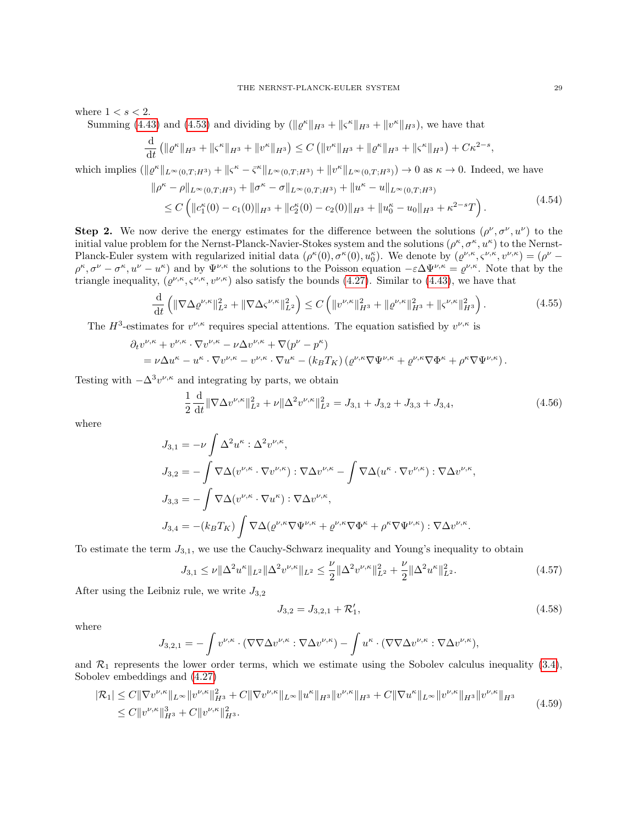where  $1 < s < 2$ .

Summing [\(4.43\)](#page-26-2) and [\(4.53\)](#page-27-7) and dividing by  $(\|\varrho^{\kappa}\|_{H^{3}} + \|\varsigma^{\kappa}\|_{H^{3}} + \|v^{\kappa}\|_{H^{3}})$ , we have that

$$
\frac{\mathrm{d}}{\mathrm{d}t} \left( \| \varrho^{\kappa} \|_{H^3} + \| \varsigma^{\kappa} \|_{H^3} + \| v^{\kappa} \|_{H^3} \right) \leq C \left( \| v^{\kappa} \|_{H^3} + \| \varrho^{\kappa} \|_{H^3} + \| \varsigma^{\kappa} \|_{H^3} \right) + C \kappa^{2-s},
$$

which implies  $(\Vert \varrho^{\kappa} \Vert_{L^{\infty}(0,T;H^3)} + \Vert \varsigma^{\kappa} - \bar{\varsigma}^{\kappa} \Vert_{L^{\infty}(0,T;H^3)} + \Vert \upsilon^{\kappa} \Vert_{L^{\infty}(0,T;H^3)}) \to 0$  as  $\kappa \to 0$ . Indeed, we have

<span id="page-28-3"></span>
$$
\|\rho^{\kappa} - \rho\|_{L^{\infty}(0,T;H^{3})} + \|\sigma^{\kappa} - \sigma\|_{L^{\infty}(0,T;H^{3})} + \|u^{\kappa} - u\|_{L^{\infty}(0,T;H^{3})}
$$
  
\n
$$
\leq C \left( \|c_{1}^{\kappa}(0) - c_{1}(0)\|_{H^{3}} + \|c_{2}^{\kappa}(0) - c_{2}(0)\|_{H^{3}} + \|u_{0}^{\kappa} - u_{0}\|_{H^{3}} + \kappa^{2-s}T \right). \tag{4.54}
$$

**Step 2.** We now derive the energy estimates for the difference between the solutions  $(\rho^{\nu}, \sigma^{\nu}, u^{\nu})$  to the initial value problem for the Nernst-Planck-Navier-Stokes system and the solutions  $(\rho^{\kappa}, \sigma^{\kappa}, u^{\kappa})$  to the Nernst-Planck-Euler system with regularized initial data  $(\rho^{\kappa}(0), \sigma^{\kappa}(0), u_0^{\kappa})$ . We denote by  $(\rho^{\nu,\kappa}, \varsigma^{\nu,\kappa}, v^{\nu,\kappa}) = (\rho^{\nu} - \sigma^{\nu})$  $\rho^{\kappa}, \sigma^{\nu} - \sigma^{\kappa}, u^{\nu} - u^{\kappa}$  and by  $\Psi^{\nu,\kappa}$  the solutions to the Poisson equation  $-\varepsilon \Delta \Psi^{\nu,\kappa} = \rho^{\nu,\kappa}$ . Note that by the triangle inequality,  $(\varrho^{\nu,\kappa}, \varsigma^{\nu,\kappa}, v^{\nu,\kappa})$  also satisfy the bounds [\(4.27\)](#page-23-1). Similar to [\(4.43\)](#page-26-2), we have that

$$
\frac{\mathrm{d}}{\mathrm{d}t} \left( \|\nabla \Delta \varrho^{\nu,\kappa}\|_{L^2}^2 + \|\nabla \Delta \varsigma^{\nu,\kappa}\|_{L^2}^2 \right) \le C \left( \|v^{\nu,\kappa}\|_{H^3}^2 + \|\varrho^{\nu,\kappa}\|_{H^3}^2 + \|\varsigma^{\nu,\kappa}\|_{H^3}^2 \right). \tag{4.55}
$$

The  $H^3$ -estimates for  $v^{\nu,\kappa}$  requires special attentions. The equation satisfied by  $v^{\nu,\kappa}$  is

$$
\partial_t v^{\nu,\kappa} + v^{\nu,\kappa} \cdot \nabla v^{\nu,\kappa} - \nu \Delta v^{\nu,\kappa} + \nabla (p^{\nu} - p^{\kappa})
$$
  
=  $\nu \Delta u^{\kappa} - u^{\kappa} \cdot \nabla v^{\nu,\kappa} - v^{\nu,\kappa} \cdot \nabla u^{\kappa} - (k_B T_K) ( \varrho^{\nu,\kappa} \nabla \Psi^{\nu,\kappa} + \varrho^{\nu,\kappa} \nabla \Phi^{\kappa} + \rho^{\kappa} \nabla \Psi^{\nu,\kappa} ).$ 

Testing with  $-\Delta^3 v^{\nu,\kappa}$  and integrating by parts, we obtain

<span id="page-28-2"></span>
$$
\frac{1}{2}\frac{\mathrm{d}}{\mathrm{d}t} \|\nabla \Delta v^{\nu,\kappa}\|_{L^2}^2 + \nu \|\Delta^2 v^{\nu,\kappa}\|_{L^2}^2 = J_{3,1} + J_{3,2} + J_{3,3} + J_{3,4},\tag{4.56}
$$

where

$$
J_{3,1} = -\nu \int \Delta^2 u^{\kappa} : \Delta^2 v^{\nu,\kappa},
$$
  
\n
$$
J_{3,2} = -\int \nabla \Delta (v^{\nu,\kappa} \cdot \nabla v^{\nu,\kappa}) : \nabla \Delta v^{\nu,\kappa} - \int \nabla \Delta (u^{\kappa} \cdot \nabla v^{\nu,\kappa}) : \nabla \Delta v^{\nu,\kappa},
$$
  
\n
$$
J_{3,3} = -\int \nabla \Delta (v^{\nu,\kappa} \cdot \nabla u^{\kappa}) : \nabla \Delta v^{\nu,\kappa},
$$
  
\n
$$
J_{3,4} = -(k_B T_K) \int \nabla \Delta (\varrho^{\nu,\kappa} \nabla \Psi^{\nu,\kappa} + \varrho^{\nu,\kappa} \nabla \Phi^{\kappa} + \rho^{\kappa} \nabla \Psi^{\nu,\kappa}) : \nabla \Delta v^{\nu,\kappa}.
$$

To estimate the term  $J_{3,1}$ , we use the Cauchy-Schwarz inequality and Young's inequality to obtain

$$
J_{3,1} \le \nu \|\Delta^2 u^{\kappa}\|_{L^2} \|\Delta^2 v^{\nu,\kappa}\|_{L^2} \le \frac{\nu}{2} \|\Delta^2 v^{\nu,\kappa}\|_{L^2}^2 + \frac{\nu}{2} \|\Delta^2 u^{\kappa}\|_{L^2}^2. \tag{4.57}
$$

After using the Leibniz rule, we write  $J_{3,2}$ 

<span id="page-28-1"></span><span id="page-28-0"></span>
$$
J_{3,2} = J_{3,2,1} + \mathcal{R}'_1,\tag{4.58}
$$

where

$$
J_{3,2,1} = -\int v^{\nu,\kappa} \cdot (\nabla \nabla \Delta v^{\nu,\kappa} : \nabla \Delta v^{\nu,\kappa}) - \int u^{\kappa} \cdot (\nabla \nabla \Delta v^{\nu,\kappa} : \nabla \Delta v^{\nu,\kappa}),
$$

and  $\mathcal{R}_1$  represents the lower order terms, which we estimate using the Sobolev calculus inequality [\(3.4\)](#page-12-3), Sobolev embeddings and [\(4.27\)](#page-23-1)

$$
|\mathcal{R}_1| \leq C \|\nabla v^{\nu,\kappa}\|_{L^\infty} \|v^{\nu,\kappa}\|_{H^3}^2 + C \|\nabla v^{\nu,\kappa}\|_{L^\infty} \|u^\kappa\|_{H^3} \|v^{\nu,\kappa}\|_{H^3} + C \|\nabla u^\kappa\|_{L^\infty} \|v^{\nu,\kappa}\|_{H^3} \|v^{\nu,\kappa}\|_{H^3}
$$
\n
$$
\leq C \|v^{\nu,\kappa}\|_{H^3}^2 + C \|v^{\nu,\kappa}\|_{H^3}^2. \tag{4.59}
$$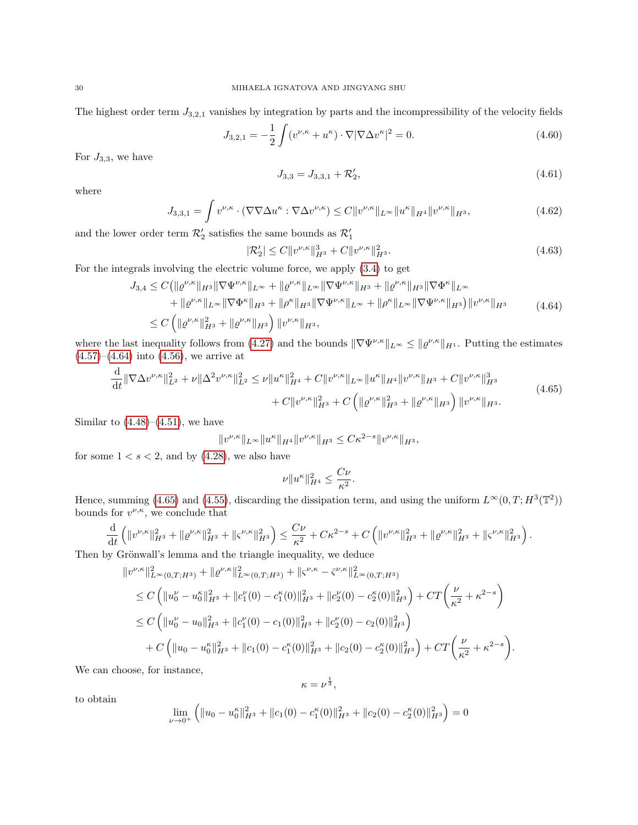The highest order term  $J_{3,2,1}$  vanishes by integration by parts and the incompressibility of the velocity fields

$$
J_{3,2,1} = -\frac{1}{2} \int (v^{\nu,\kappa} + u^{\kappa}) \cdot \nabla |\nabla \Delta v^{\kappa}|^2 = 0.
$$
 (4.60)

For  $J_{3,3}$ , we have

<span id="page-29-0"></span>
$$
J_{3,3} = J_{3,3,1} + \mathcal{R}'_2,\tag{4.61}
$$

where

$$
J_{3,3,1} = \int v^{\nu,\kappa} \cdot (\nabla \nabla \Delta u^{\kappa} : \nabla \Delta v^{\nu,\kappa}) \le C \|v^{\nu,\kappa}\|_{L^{\infty}} \|u^{\kappa}\|_{H^{4}} \|v^{\nu,\kappa}\|_{H^{3}},\tag{4.62}
$$

and the lower order term  $\mathcal{R}'_2$  satisfies the same bounds as  $\mathcal{R}'_1$ 

$$
|\mathcal{R}'_2| \le C \|v^{\nu,\kappa}\|_{H^3}^3 + C \|v^{\nu,\kappa}\|_{H^3}^2. \tag{4.63}
$$

For the integrals involving the electric volume force, we apply [\(3.4\)](#page-12-3) to get

$$
J_{3,4} \leq C \left( \|\varrho^{\nu,\kappa}\|_{H^{3}} \|\nabla \Psi^{\nu,\kappa}\|_{L^{\infty}} + \|\varrho^{\nu,\kappa}\|_{L^{\infty}} \|\nabla \Psi^{\nu,\kappa}\|_{H^{3}} + \|\varrho^{\nu,\kappa}\|_{H^{3}} \|\nabla \Phi^{\kappa}\|_{L^{\infty}} \right) + \|\varrho^{\nu,\kappa}\|_{L^{\infty}} \|\nabla \Phi^{\kappa}\|_{H^{3}} + \|\rho^{\kappa}\|_{H^{3}} \|\nabla \Psi^{\nu,\kappa}\|_{L^{\infty}} + \|\rho^{\kappa}\|_{L^{\infty}} \|\nabla \Psi^{\nu,\kappa}\|_{H^{3}} \right) \|\upsilon^{\nu,\kappa}\|_{H^{3}} \leq C \left( \|\varrho^{\nu,\kappa}\|_{H^{3}}^{2} + \|\varrho^{\nu,\kappa}\|_{H^{3}} \right) \|\upsilon^{\nu,\kappa}\|_{H^{3}}, \tag{4.64}
$$

where the last inequality follows from [\(4.27\)](#page-23-1) and the bounds  $\|\nabla\Psi^{\nu,\kappa}\|_{L^{\infty}} \leq \|\varrho^{\nu,\kappa}\|_{H^1}$ . Putting the estimates  $(4.57)$ – $(4.64)$  into  $(4.56)$ , we arrive at

$$
\frac{\mathrm{d}}{\mathrm{d}t} \|\nabla \Delta v^{\nu,\kappa}\|_{L^{2}}^{2} + \nu \|\Delta^{2} v^{\nu,\kappa}\|_{L^{2}}^{2} \leq \nu \|u^{\kappa}\|_{H^{4}}^{2} + C \|v^{\nu,\kappa}\|_{L^{\infty}} \|u^{\kappa}\|_{H^{4}} \|v^{\nu,\kappa}\|_{H^{3}} + C \|v^{\nu,\kappa}\|_{H^{3}}^{3} + C \|v^{\nu,\kappa}\|_{H^{3}}^{2} + C \|v^{\nu,\kappa}\|_{H^{3}} + C \|v^{\nu,\kappa}\|_{H^{3}} + \|e^{\nu,\kappa}\|_{H^{3}} \|v^{\nu,\kappa}\|_{H^{3}}.
$$
\n
$$
(4.65)
$$

Similar to  $(4.48)$ – $(4.51)$ , we have

$$
||v^{\nu,\kappa}||_{L^{\infty}}||u^{\kappa}||_{H^{4}}||v^{\nu,\kappa}||_{H^{3}} \leq C\kappa^{2-s}||v^{\nu,\kappa}||_{H^{3}},
$$

for some  $1 < s < 2$ , and by  $(4.28)$ , we also have

<span id="page-29-1"></span>
$$
\nu \|u^{\kappa}\|_{H^4}^2 \leq \frac{C\nu}{\kappa^2}.
$$

Hence, summing [\(4.65\)](#page-29-1) and [\(4.55\)](#page-28-2), discarding the dissipation term, and using the uniform  $L^{\infty}(0,T;H^3(\mathbb{T}^2))$ bounds for  $v^{\nu,\kappa}$ , we conclude that

$$
\frac{\mathrm{d}}{\mathrm{d}t}\left(\|v^{\nu,\kappa}\|^{2}_{H^{3}}+\|\varrho^{\nu,\kappa}\|^{2}_{H^{3}}+\|\varsigma^{\nu,\kappa}\|^{2}_{H^{3}}\right)\leq \frac{C\nu}{\kappa^{2}}+C\kappa^{2-s}+C\left(\|v^{\nu,\kappa}\|^{2}_{H^{3}}+\|\varrho^{\nu,\kappa}\|^{2}_{H^{3}}+\|\varsigma^{\nu,\kappa}\|^{2}_{H^{3}}\right).
$$

Then by Grönwall's lemma and the triangle inequality, we deduce

$$
\|v^{\nu,\kappa}\|_{L^{\infty}(0,T;H^{3})}^{2} + \| \varrho^{\nu,\kappa} \|_{L^{\infty}(0,T;H^{3})}^{2} + \| \varsigma^{\nu,\kappa} - \bar{\varsigma}^{\nu,\kappa} \|_{L^{\infty}(0,T;H^{3})}^{2}
$$
  
\n
$$
\leq C \left( \|u_{0}^{\nu} - u_{0}^{\kappa}\|_{H^{3}}^{2} + \|c_{1}^{\nu}(0) - c_{1}^{\kappa}(0) \|_{H^{3}}^{2} + \|c_{2}^{\nu}(0) - c_{2}^{\kappa}(0) \|_{H^{3}}^{2} \right) + CT \left( \frac{\nu}{\kappa^{2}} + \kappa^{2-s} \right)
$$
  
\n
$$
\leq C \left( \|u_{0}^{\nu} - u_{0} \|_{H^{3}}^{2} + \|c_{1}^{\nu}(0) - c_{1}(0) \|_{H^{3}}^{2} + \|c_{2}^{\nu}(0) - c_{2}(0) \|_{H^{3}}^{2} \right)
$$
  
\n
$$
+ C \left( \|u_{0} - u_{0}^{\kappa} \|_{H^{3}}^{2} + \|c_{1}(0) - c_{1}^{\kappa}(0) \|_{H^{3}}^{2} + \|c_{2}(0) - c_{2}^{\kappa}(0) \|_{H^{3}}^{2} \right) + CT \left( \frac{\nu}{\kappa^{2}} + \kappa^{2-s} \right).
$$

We can choose, for instance,

$$
\kappa=\nu^{\frac{1}{3}},
$$

to obtain

$$
\lim_{\nu \to 0^+} \left( \|u_0 - u_0^{\kappa}\|_{H^3}^2 + \|c_1(0) - c_1^{\kappa}(0)\|_{H^3}^2 + \|c_2(0) - c_2^{\kappa}(0)\|_{H^3}^2 \right) = 0
$$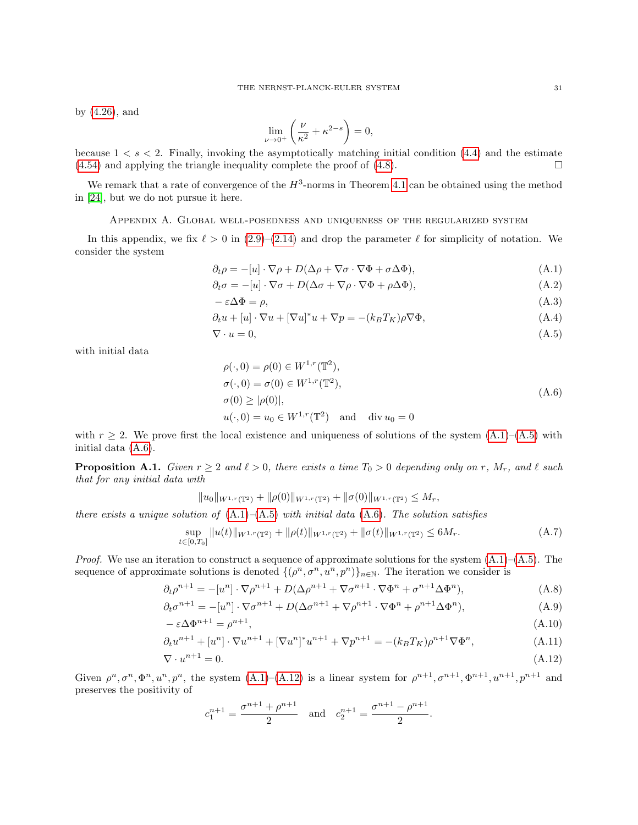by [\(4.26\)](#page-23-0), and

<span id="page-30-6"></span><span id="page-30-5"></span><span id="page-30-1"></span>
$$
\lim_{\nu \to 0^+} \left( \frac{\nu}{\kappa^2} + \kappa^{2-s} \right) = 0,
$$

because  $1 < s < 2$ . Finally, invoking the asymptotically matching initial condition [\(4.4\)](#page-18-5) and the estimate  $(4.54)$  and applying the triangle inequality complete the proof of  $(4.8)$ .

We remark that a rate of convergence of the  $H^3$ -norms in Theorem [4.1](#page-19-0) can be obtained using the method in [\[24\]](#page-35-17), but we do not pursue it here.

Appendix A. Global well-posedness and uniqueness of the regularized system

<span id="page-30-0"></span>In this appendix, we fix  $\ell > 0$  in [\(2.9\)](#page-4-0)–[\(2.14\)](#page-4-3) and drop the parameter  $\ell$  for simplicity of notation. We consider the system

$$
\partial_t \rho = -[u] \cdot \nabla \rho + D(\Delta \rho + \nabla \sigma \cdot \nabla \Phi + \sigma \Delta \Phi), \tag{A.1}
$$

$$
\partial_t \sigma = -[u] \cdot \nabla \sigma + D(\Delta \sigma + \nabla \rho \cdot \nabla \Phi + \rho \Delta \Phi), \tag{A.2}
$$

$$
-\varepsilon \Delta \Phi = \rho,\tag{A.3}
$$

$$
\partial_t u + [u] \cdot \nabla u + [\nabla u]^* u + \nabla p = -(k_B T_K) \rho \nabla \Phi,
$$
\n(A.4)

$$
\nabla \cdot u = 0,\tag{A.5}
$$

with initial data

<span id="page-30-7"></span><span id="page-30-3"></span><span id="page-30-2"></span>
$$
\rho(\cdot, 0) = \rho(0) \in W^{1,r}(\mathbb{T}^2), \n\sigma(\cdot, 0) = \sigma(0) \in W^{1,r}(\mathbb{T}^2), \n\sigma(0) \ge |\rho(0)|, \nu(\cdot, 0) = u_0 \in W^{1,r}(\mathbb{T}^2) \text{ and } \text{div } u_0 = 0
$$
\n(A.6)

with  $r \geq 2$ . We prove first the local existence and uniqueness of solutions of the system  $(A.1)$ – $(A.5)$  with initial data [\(A.6\)](#page-30-3).

<span id="page-30-12"></span>**Proposition A.1.** Given  $r \geq 2$  and  $\ell > 0$ , there exists a time  $T_0 > 0$  depending only on r,  $M_r$ , and  $\ell$  such that for any initial data with

<span id="page-30-8"></span>
$$
||u_0||_{W^{1,r}(\mathbb{T}^2)} + ||\rho(0)||_{W^{1,r}(\mathbb{T}^2)} + ||\sigma(0)||_{W^{1,r}(\mathbb{T}^2)} \le M_r
$$

there exists a unique solution of  $(A.1)$ – $(A.5)$  with initial data  $(A.6)$ . The solution satisfies

<span id="page-30-11"></span>
$$
\sup_{t \in [0,T_0]} \|u(t)\|_{W^{1,r}(\mathbb{T}^2)} + \|\rho(t)\|_{W^{1,r}(\mathbb{T}^2)} + \|\sigma(t)\|_{W^{1,r}(\mathbb{T}^2)} \le 6M_r. \tag{A.7}
$$

*Proof.* We use an iteration to construct a sequence of approximate solutions for the system  $(A.1)$ – $(A.5)$ . The sequence of approximate solutions is denoted  $\{(\rho^n, \sigma^n, u^n, p^n)\}_{n\in\mathbb{N}}$ . The iteration we consider is

$$
\partial_t \rho^{n+1} = -[u^n] \cdot \nabla \rho^{n+1} + D(\Delta \rho^{n+1} + \nabla \sigma^{n+1} \cdot \nabla \Phi^n + \sigma^{n+1} \Delta \Phi^n), \tag{A.8}
$$

$$
\partial_t \sigma^{n+1} = -[u^n] \cdot \nabla \sigma^{n+1} + D(\Delta \sigma^{n+1} + \nabla \rho^{n+1} \cdot \nabla \Phi^n + \rho^{n+1} \Delta \Phi^n), \tag{A.9}
$$

$$
-\varepsilon \Delta \Phi^{n+1} = \rho^{n+1},\tag{A.10}
$$

$$
\partial_t u^{n+1} + [u^n] \cdot \nabla u^{n+1} + [\nabla u^n]^* u^{n+1} + \nabla p^{n+1} = -(k_B T_K) \rho^{n+1} \nabla \Phi^n, \tag{A.11}
$$

$$
\nabla \cdot u^{n+1} = 0. \tag{A.12}
$$

Given  $\rho^n, \sigma^n, \Phi^n, u^n, p^n$ , the system  $(A.1)$ – $(A.12)$  is a linear system for  $\rho^{n+1}, \sigma^{n+1}, \Phi^{n+1}, u^{n+1}, p^{n+1}$  and preserves the positivity of

<span id="page-30-10"></span><span id="page-30-9"></span><span id="page-30-4"></span>
$$
c_1^{n+1} = \frac{\sigma^{n+1} + \rho^{n+1}}{2}
$$
 and  $c_2^{n+1} = \frac{\sigma^{n+1} - \rho^{n+1}}{2}$ .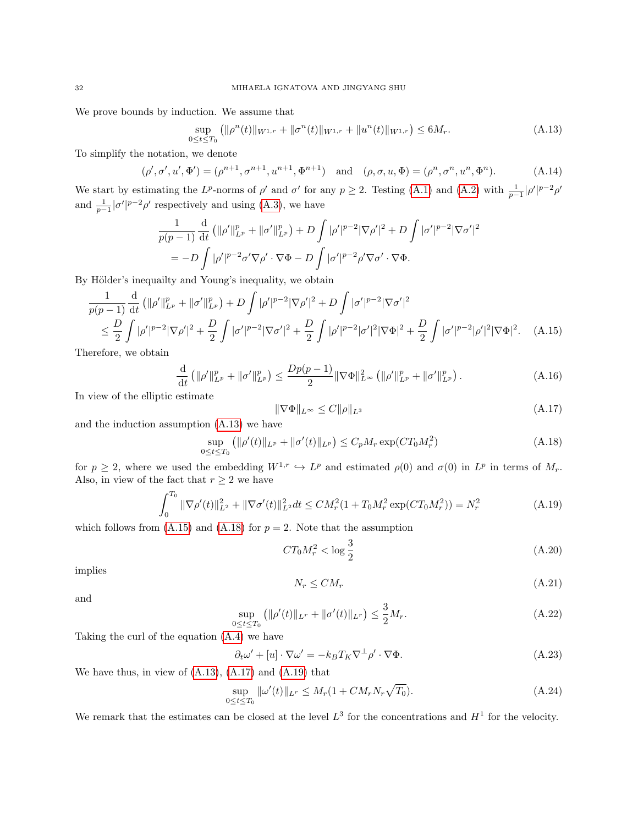We prove bounds by induction. We assume that

<span id="page-31-8"></span><span id="page-31-0"></span>
$$
\sup_{0 \le t \le T_0} (\|\rho^n(t)\|_{W^{1,r}} + \|\sigma^n(t)\|_{W^{1,r}} + \|u^n(t)\|_{W^{1,r}}) \le 6M_r. \tag{A.13}
$$

To simplify the notation, we denote

$$
(\rho', \sigma', u', \Phi') = (\rho^{n+1}, \sigma^{n+1}, u^{n+1}, \Phi^{n+1}) \text{ and } (\rho, \sigma, u, \Phi) = (\rho^n, \sigma^n, u^n, \Phi^n). \tag{A.14}
$$

We start by estimating the L<sup>p</sup>-norms of  $\rho'$  and  $\sigma'$  for any  $p \geq 2$ . Testing [\(A.1\)](#page-30-1) and [\(A.2\)](#page-30-5) with  $\frac{1}{p-1}|\rho'|^{p-2}\rho'$ and  $\frac{1}{p-1}|\sigma'|^{p-2}\rho'$  respectively and using [\(A.3\)](#page-30-6), we have

$$
\frac{1}{p(p-1)} \frac{\mathrm{d}}{\mathrm{d}t} \left( \|\rho'\|_{L^p}^p + \|\sigma'\|_{L^p}^p \right) + D \int |\rho'|^{p-2} |\nabla \rho'|^2 + D \int |\sigma'|^{p-2} |\nabla \sigma'|^2
$$
\n
$$
= -D \int |\rho'|^{p-2} \sigma' \nabla \rho' \cdot \nabla \Phi - D \int |\sigma'|^{p-2} \rho' \nabla \sigma' \cdot \nabla \Phi.
$$

By Hölder's inequality and Young's inequality, we obtain

$$
\frac{1}{p(p-1)} \frac{\mathrm{d}}{\mathrm{d}t} \left( \|\rho'\|_{L^p}^p + \|\sigma'\|_{L^p}^p \right) + D \int |\rho'|^{p-2} |\nabla \rho'|^2 + D \int |\sigma'|^{p-2} |\nabla \sigma'|^2
$$
\n
$$
\leq \frac{D}{2} \int |\rho'|^{p-2} |\nabla \rho'|^2 + \frac{D}{2} \int |\sigma'|^{p-2} |\nabla \sigma'|^2 + \frac{D}{2} \int |\rho'|^{p-2} |\sigma'|^2 |\nabla \Phi|^2 + \frac{D}{2} \int |\sigma'|^{p-2} |\rho'|^2 |\nabla \Phi|^2. \tag{A.15}
$$

Therefore, we obtain

$$
\frac{\mathrm{d}}{\mathrm{d}t} \left( \|\rho'\|_{L^p}^p + \|\sigma'\|_{L^p}^p \right) \le \frac{Dp(p-1)}{2} \|\nabla \Phi\|_{L^\infty}^2 \left( \|\rho'\|_{L^p}^p + \|\sigma'\|_{L^p}^p \right). \tag{A.16}
$$

In view of the elliptic estimate

<span id="page-31-3"></span><span id="page-31-1"></span>
$$
\|\nabla\Phi\|_{L^{\infty}} \le C\|\rho\|_{L^{3}}\tag{A.17}
$$

and the induction assumption [\(A.13\)](#page-31-0) we have

<span id="page-31-2"></span>
$$
\sup_{0 \le t \le T_0} (||\rho'(t)||_{L^p} + ||\sigma'(t)||_{L^p}) \le C_p M_r \exp(C T_0 M_r^2)
$$
\n(A.18)

for  $p \geq 2$ , where we used the embedding  $W^{1,r} \hookrightarrow L^p$  and estimated  $\rho(0)$  and  $\sigma(0)$  in  $L^p$  in terms of  $M_r$ . Also, in view of the fact that  $r \geq 2$  we have

<span id="page-31-4"></span>
$$
\int_0^{T_0} \|\nabla \rho'(t)\|_{L^2}^2 + \|\nabla \sigma'(t)\|_{L^2}^2 dt \le CM_r^2 (1 + T_0 M_r^2 \exp(CT_0 M_r^2)) = N_r^2 \tag{A.19}
$$

which follows from  $(A.15)$  and  $(A.18)$  for  $p = 2$ . Note that the assumption

$$
CT_0M_r^2 < \log \frac{3}{2}
$$
\n
$$
\tag{A.20}
$$

implies

$$
N_r \leq CM_r \tag{A.21}
$$

and

<span id="page-31-5"></span>
$$
\sup_{0 \le t \le T_0} \left( \| \rho'(t) \|_{L^r} + \| \sigma'(t) \|_{L^r} \right) \le \frac{3}{2} M_r. \tag{A.22}
$$

Taking the curl of the equation [\(A.4\)](#page-30-7) we have

<span id="page-31-6"></span>
$$
\partial_t \omega' + [u] \cdot \nabla \omega' = -k_B T_K \nabla^{\perp} \rho' \cdot \nabla \Phi.
$$
\n(A.23)

We have thus, in view of  $(A.13)$ ,  $(A.17)$  and  $(A.19)$  that

<span id="page-31-7"></span>
$$
\sup_{0 \le t \le T_0} \|\omega'(t)\|_{L^r} \le M_r (1 + CM_r N_r \sqrt{T_0}).\tag{A.24}
$$

We remark that the estimates can be closed at the level  $L^3$  for the concentrations and  $H^1$  for the velocity.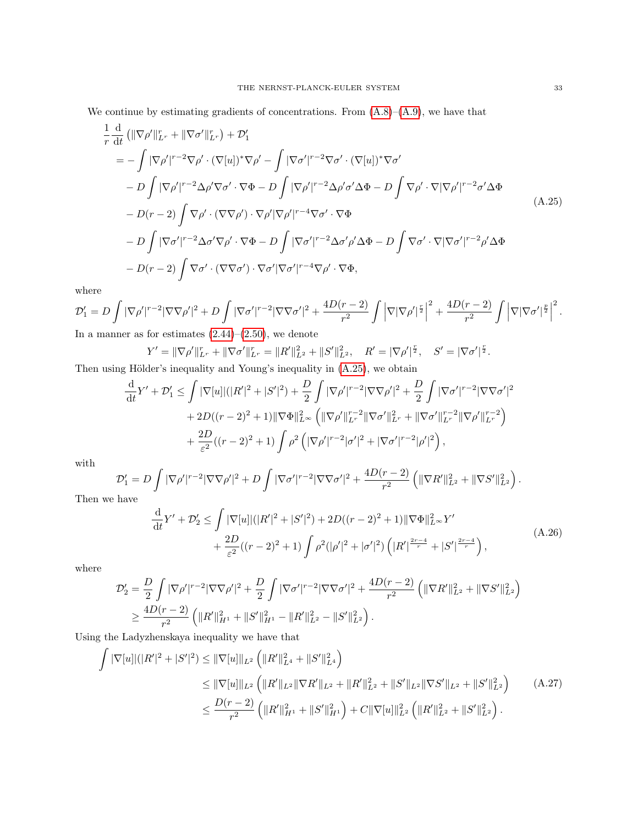We continue by estimating gradients of concentrations. From  $(A.8)$ – $(A.9)$ , we have that

$$
\frac{1}{r} \frac{d}{dt} \left( \|\nabla \rho'\|_{L^r}^r + \|\nabla \sigma'\|_{L^r}^r \right) + \mathcal{D}'_1
$$
\n
$$
= -\int |\nabla \rho'|^{r-2} \nabla \rho' \cdot (\nabla[u])^* \nabla \rho' - \int |\nabla \sigma'|^{r-2} \nabla \sigma' \cdot (\nabla[u])^* \nabla \sigma'
$$
\n
$$
- D \int |\nabla \rho'|^{r-2} \Delta \rho' \nabla \sigma' \cdot \nabla \Phi - D \int |\nabla \rho'|^{r-2} \Delta \rho' \sigma' \Delta \Phi - D \int \nabla \rho' \cdot \nabla |\nabla \rho'|^{r-2} \sigma' \Delta \Phi
$$
\n
$$
- D(r-2) \int \nabla \rho' \cdot (\nabla \nabla \rho') \cdot \nabla \rho' |\nabla \rho'|^{r-4} \nabla \sigma' \cdot \nabla \Phi
$$
\n
$$
- D \int |\nabla \sigma'|^{r-2} \Delta \sigma' \nabla \rho' \cdot \nabla \Phi - D \int |\nabla \sigma'|^{r-2} \Delta \sigma' \rho' \Delta \Phi - D \int \nabla \sigma' \cdot \nabla |\nabla \sigma'|^{r-2} \rho' \Delta \Phi
$$
\n
$$
- D(r-2) \int \nabla \sigma' \cdot (\nabla \nabla \sigma') \cdot \nabla \sigma' |\nabla \sigma'|^{r-4} \nabla \rho' \cdot \nabla \Phi,
$$
\n(A.25)

where

$$
\mathcal{D}'_1 = D \int |\nabla \rho'|^{r-2} |\nabla \nabla \rho'|^2 + D \int |\nabla \sigma'|^{r-2} |\nabla \nabla \sigma'|^2 + \frac{4D(r-2)}{r^2} \int \left| \nabla |\nabla \rho'|^{\frac{r}{2}} \right|^2 + \frac{4D(r-2)}{r^2} \int \left| \nabla |\nabla \sigma'|^{\frac{p}{2}} \right|^2.
$$
  
In a manner as for estimates (2.44), (2.50), we denote

In a manner as for estimates  $(2.44)$ – $(2.50)$ , we denote

<span id="page-32-0"></span>
$$
Y' = \|\nabla \rho'\|_{L^r}^r + \|\nabla \sigma'\|_{L^r}^r = \|R'\|_{L^2}^2 + \|S'\|_{L^2}^2, \quad R' = |\nabla \rho'|^{\frac{r}{2}}, \quad S' = |\nabla \sigma'|^{\frac{r}{2}}.
$$

Then using Hölder's inequality and Young's inequality in  $(A.25)$ , we obtain

$$
\frac{\mathrm{d}}{\mathrm{d}t}Y' + \mathcal{D}'_1 \leq \int |\nabla[u]|(|R'|^2 + |S'|^2) + \frac{D}{2} \int |\nabla\rho'|^{r-2}|\nabla\nabla\rho'|^2 + \frac{D}{2} \int |\nabla\sigma'|^{r-2}|\nabla\nabla\sigma'|^2 \n+ 2D((r-2)^2 + 1) \|\nabla\Phi\|_{L^\infty}^2 \left( \|\nabla\rho'\|_{L^r}^{r-2} \|\nabla\sigma'\|_{L^r}^2 + \|\nabla\sigma'\|_{L^r}^{r-2} \|\nabla\rho'\|_{L^r}^{r-2} \right) \n+ \frac{2D}{\varepsilon^2}((r-2)^2 + 1) \int \rho^2 \left( |\nabla\rho'|^{r-2} |\sigma'|^2 + |\nabla\sigma'|^{r-2} |\rho'|^2 \right),
$$

with

$$
\mathcal{D}'_1 = D \int |\nabla \rho'|^{r-2} |\nabla \nabla \rho'|^2 + D \int |\nabla \sigma'|^{r-2} |\nabla \nabla \sigma'|^2 + \frac{4D(r-2)}{r^2} \left( \|\nabla R'\|_{L^2}^2 + \|\nabla S'\|_{L^2}^2 \right).
$$

Then we have

<span id="page-32-2"></span><span id="page-32-1"></span>
$$
\frac{\mathrm{d}}{\mathrm{d}t}Y' + \mathcal{D}_2' \le \int |\nabla[u]|(|R'|^2 + |S'|^2) + 2D((r-2)^2 + 1)||\nabla\Phi||_{L^{\infty}}^2 Y' + \frac{2D}{\varepsilon^2}((r-2)^2 + 1)\int \rho^2(|\rho'|^2 + |\sigma'|^2) \left(|R'|^{\frac{2r-4}{r}} + |S'|^{\frac{2r-4}{r}}\right),\tag{A.26}
$$

where

$$
\mathcal{D}'_2 = \frac{D}{2} \int |\nabla \rho'|^{r-2} |\nabla \nabla \rho'|^2 + \frac{D}{2} \int |\nabla \sigma'|^{r-2} |\nabla \nabla \sigma'|^2 + \frac{4D(r-2)}{r^2} \left( \|\nabla R'\|_{L^2}^2 + \|\nabla S'\|_{L^2}^2 \right)
$$
  

$$
\geq \frac{4D(r-2)}{r^2} \left( \|R'\|_{H^1}^2 + \|S'\|_{H^1}^2 - \|R'\|_{L^2}^2 - \|S'\|_{L^2}^2 \right).
$$

Using the Ladyzhenskaya inequality we have that

$$
\int |\nabla[u]|(|R'|^2 + |S'|^2) \leq \|\nabla[u]\|_{L^2} \left( \|R'\|_{L^4}^2 + \|S'\|_{L^4}^2 \right)
$$
\n
$$
\leq \|\nabla[u]\|_{L^2} \left( \|R'\|_{L^2} \|\nabla R'\|_{L^2} + \|R'\|_{L^2}^2 + \|S'\|_{L^2} \|\nabla S'\|_{L^2} + \|S'\|_{L^2}^2 \right) \qquad (A.27)
$$
\n
$$
\leq \frac{D(r-2)}{r^2} \left( \|R'\|_{H^1}^2 + \|S'\|_{H^1}^2 \right) + C \|\nabla[u]\|_{L^2}^2 \left( \|R'\|_{L^2}^2 + \|S'\|_{L^2}^2 \right).
$$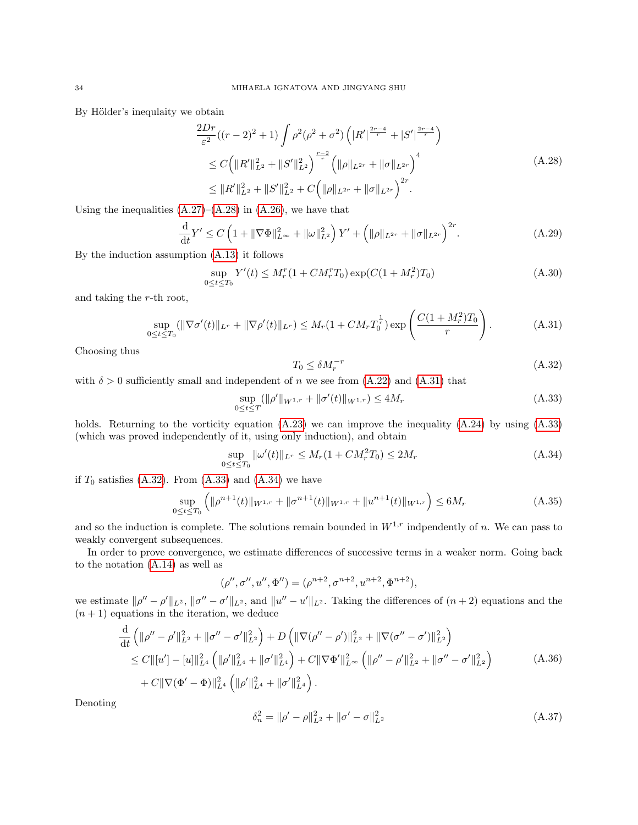By Hölder's inequlaity we obtain

$$
\frac{2Dr}{\varepsilon^2}((r-2)^2+1)\int \rho^2(\rho^2+\sigma^2)\left(|R'|^{\frac{2r-4}{r}}+|S'|^{\frac{2r-4}{r}}\right)
$$
  
\n
$$
\leq C\left(\|R'\|_{L^2}^2+\|S'\|_{L^2}^2\right)^{\frac{r-2}{r}}\left(\|\rho\|_{L^{2r}}+\|\sigma\|_{L^{2r}}\right)^4
$$
  
\n
$$
\leq \|R'\|_{L^2}^2+\|S'\|_{L^2}^2+C\left(\|\rho\|_{L^{2r}}+\|\sigma\|_{L^{2r}}\right)^{2r}.
$$
\n(A.28)

Using the inequalities  $(A.27)$ – $(A.28)$  in  $(A.26)$ , we have that

$$
\frac{\mathrm{d}}{\mathrm{d}t}Y' \le C\left(1 + \|\nabla\Phi\|_{L^{\infty}}^2 + \|\omega\|_{L^2}^2\right)Y' + \left(\|\rho\|_{L^{2r}} + \|\sigma\|_{L^{2r}}\right)^{2r}.\tag{A.29}
$$

By the induction assumption [\(A.13\)](#page-31-0) it follows

$$
\sup_{0 \le t \le T_0} Y'(t) \le M_r^r (1 + CM_r^r T_0) \exp(C(1 + M_r^2) T_0)
$$
\n(A.30)

and taking the r-th root,

<span id="page-33-1"></span>
$$
\sup_{0 \le t \le T_0} (\|\nabla \sigma'(t)\|_{L^r} + \|\nabla \rho'(t)\|_{L^r}) \le M_r (1 + CM_r T_0^{\frac{1}{r}}) \exp\left(\frac{C(1 + M_r^2)T_0}{r}\right). \tag{A.31}
$$

Choosing thus

<span id="page-33-3"></span><span id="page-33-0"></span>
$$
T_0 \le \delta M_r^{-r} \tag{A.32}
$$

with  $\delta > 0$  sufficiently small and independent of n we see from  $(A.22)$  and  $(A.31)$  that

<span id="page-33-2"></span>
$$
\sup_{0 \le t \le T} (\|\rho'\|_{W^{1,r}} + \|\sigma'(t)\|_{W^{1,r}}) \le 4M_r
$$
\n(A.33)

holds. Returning to the vorticity equation  $(A.23)$  we can improve the inequality  $(A.24)$  by using  $(A.33)$ (which was proved independently of it, using only induction), and obtain

<span id="page-33-4"></span>
$$
\sup_{0 \le t \le T_0} \|\omega'(t)\|_{L^r} \le M_r (1 + CM_r^2 T_0) \le 2M_r \tag{A.34}
$$

if  $T_0$  satisfies  $(A.32)$ . From  $(A.33)$  and  $(A.34)$  we have

$$
\sup_{0 \le t \le T_0} \left( \|\rho^{n+1}(t)\|_{W^{1,r}} + \|\sigma^{n+1}(t)\|_{W^{1,r}} + \|u^{n+1}(t)\|_{W^{1,r}} \right) \le 6M_r \tag{A.35}
$$

and so the induction is complete. The solutions remain bounded in  $W^{1,r}$  indpendently of n. We can pass to weakly convergent subsequences.

In order to prove convergence, we estimate differences of successive terms in a weaker norm. Going back to the notation [\(A.14\)](#page-31-8) as well as

$$
(\rho'', \sigma'', u'', \Phi'') = (\rho^{n+2}, \sigma^{n+2}, u^{n+2}, \Phi^{n+2}),
$$

we estimate  $\|\rho'' - \rho'\|_{L^2}$ ,  $\|\sigma'' - \sigma'\|_{L^2}$ , and  $\|u'' - u'\|_{L^2}$ . Taking the differences of  $(n+2)$  equations and the  $(n + 1)$  equations in the iteration, we deduce

<span id="page-33-5"></span>
$$
\frac{\mathrm{d}}{\mathrm{d}t} \left( \|\rho'' - \rho'\|_{L^2}^2 + \|\sigma'' - \sigma'\|_{L^2}^2 \right) + D \left( \|\nabla(\rho'' - \rho')\|_{L^2}^2 + \|\nabla(\sigma'' - \sigma')\|_{L^2}^2 \right) \n\leq C \|[u'] - [u]\|_{L^4}^2 \left( \|\rho'\|_{L^4}^2 + \|\sigma'\|_{L^4}^2 \right) + C \|\nabla\Phi'\|_{L^\infty}^2 \left( \|\rho'' - \rho'\|_{L^2}^2 + \|\sigma'' - \sigma'\|_{L^2}^2 \right) \n+ C \|\nabla(\Phi' - \Phi)\|_{L^4}^2 \left( \|\rho'\|_{L^4}^2 + \|\sigma'\|_{L^4}^2 \right).
$$
\n(A.36)

Denoting

$$
\delta_n^2 = \|\rho' - \rho\|_{L^2}^2 + \|\sigma' - \sigma\|_{L^2}^2 \tag{A.37}
$$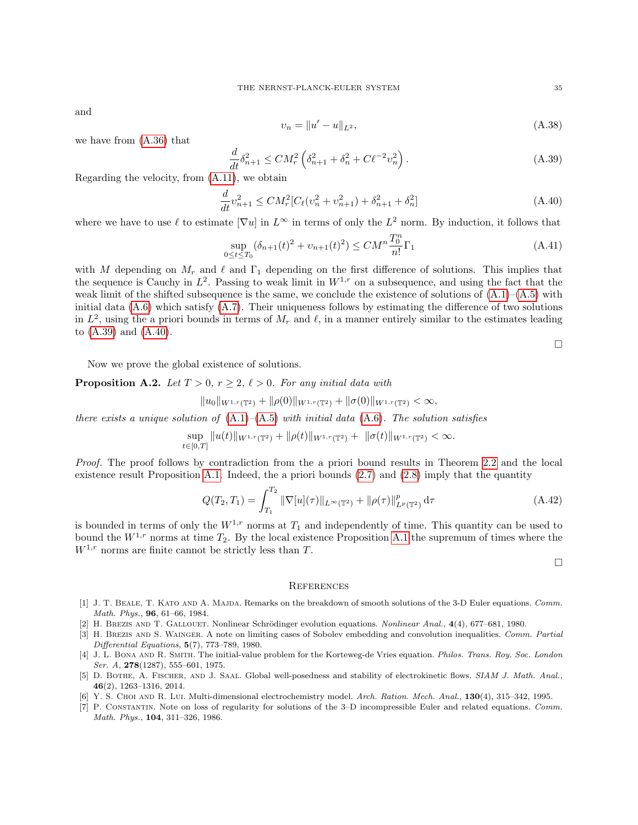and

$$
v_n = \|u' - u\|_{L^2},\tag{A.38}
$$

we have from [\(A.36\)](#page-33-5) that

<span id="page-34-7"></span>
$$
\frac{d}{dt}\delta_{n+1}^2 \le CM_r^2 \left(\delta_{n+1}^2 + \delta_n^2 + C\ell^{-2}v_n^2\right). \tag{A.39}
$$

Regarding the velocity, from [\(A.11\)](#page-30-10), we obtain

<span id="page-34-8"></span>
$$
\frac{d}{dt}v_{n+1}^2 \le CM_r^2[C_\ell(v_n^2 + v_{n+1}^2) + \delta_{n+1}^2 + \delta_n^2]
$$
\n(A.40)

where we have to use  $\ell$  to estimate  $|\nabla u|$  in  $L^{\infty}$  in terms of only the  $L^2$  norm. By induction, it follows that

$$
\sup_{0 \le t \le T_0} (\delta_{n+1}(t)^2 + v_{n+1}(t)^2) \le CM^n \frac{T_0^n}{n!} \Gamma_1
$$
\n(A.41)

with M depending on  $M_r$  and  $\ell$  and  $\Gamma_1$  depending on the first difference of solutions. This implies that the sequence is Cauchy in  $L^2$ . Passing to weak limit in  $W^{1,r}$  on a subsequence, and using the fact that the weak limit of the shifted subsequence is the same, we conclude the existence of solutions of  $(A.1)$ – $(A.5)$  with initial data [\(A.6\)](#page-30-3) which satisfy [\(A.7\)](#page-30-11). Their uniqueness follows by estimating the difference of two solutions in  $L^2$ , using the a priori bounds in terms of  $M_r$  and  $\ell$ , in a manner entirely similar to the estimates leading to [\(A.39\)](#page-34-7) and [\(A.40\)](#page-34-8).

 $\Box$ 

Now we prove the global existence of solutions.

**Proposition A.2.** Let  $T > 0$ ,  $r \geq 2$ ,  $\ell > 0$ . For any initial data with

$$
||u_0||_{W^{1,r}(\mathbb{T}^2)} + ||\rho(0)||_{W^{1,r}(\mathbb{T}^2)} + ||\sigma(0)||_{W^{1,r}(\mathbb{T}^2)} < \infty,
$$

there exists a unique solution of  $(A.1)$ – $(A.5)$  with initial data  $(A.6)$ . The solution satisfies

$$
\sup_{t\in[0,T]}\|u(t)\|_{W^{1,r}(\mathbb{T}^2)}+\|\rho(t)\|_{W^{1,r}(\mathbb{T}^2)}+\|\sigma(t)\|_{W^{1,r}(\mathbb{T}^2)}<\infty.
$$

Proof. The proof follows by contradiction from the a priori bound results in Theorem [2.2](#page-4-9) and the local existence result Proposition [A.1.](#page-30-12) Indeed, the a priori bounds [\(2.7\)](#page-3-2) and [\(2.8\)](#page-3-3) imply that the quantity

$$
Q(T_2, T_1) = \int_{T_1}^{T_2} \|\nabla[u](\tau)\|_{L^{\infty}(\mathbb{T}^2)} + \|\rho(\tau)\|_{L^p(\mathbb{T}^2)}^p d\tau
$$
\n(A.42)

is bounded in terms of only the  $W^{1,r}$  norms at  $T_1$  and independently of time. This quantity can be used to bound the  $W^{1,r}$  norms at time  $T_2$ . By the local existence Proposition [A.1](#page-30-12) the supremum of times where the  $W^{1,r}$  norms are finite cannot be strictly less than T.

 $\Box$ 

## **REFERENCES**

- <span id="page-34-4"></span>[1] J. T. BEALE, T. KATO AND A. MAJDA. Remarks on the breakdown of smooth solutions of the 3-D Euler equations. Comm. Math. Phys., 96, 61–66, 1984.
- <span id="page-34-5"></span>[2] H. BREZIS AND T. GALLOUET. Nonlinear Schrödinger evolution equations. Nonlinear Anal., 4(4), 677–681, 1980.
- <span id="page-34-6"></span>[3] H. BREZIS AND S. WAINGER. A note on limiting cases of Sobolev embedding and convolution inequalities. Comm. Partial Differential Equations, 5(7), 773–789, 1980.
- <span id="page-34-2"></span>[4] J. L. BONA AND R. SMITH. The initial-value problem for the Korteweg-de Vries equation. Philos. Trans. Roy. Soc. London Ser. A,  $278(1287)$ , 555-601, 1975.
- <span id="page-34-0"></span>[5] D. BOTHE, A. FISCHER, AND J. SAAL. Global well-posedness and stability of electrokinetic flows. SIAM J. Math. Anal., 46(2), 1263–1316, 2014.
- <span id="page-34-3"></span>[6] Y. S. Choi and R. Lui. Multi-dimensional electrochemistry model. Arch. Ration. Mech. Anal., 130(4), 315–342, 1995.
- <span id="page-34-1"></span>[7] P. CONSTANTIN. Note on loss of regularity for solutions of the 3–D incompressible Euler and related equations. Comm. Math. Phys., 104, 311–326, 1986.